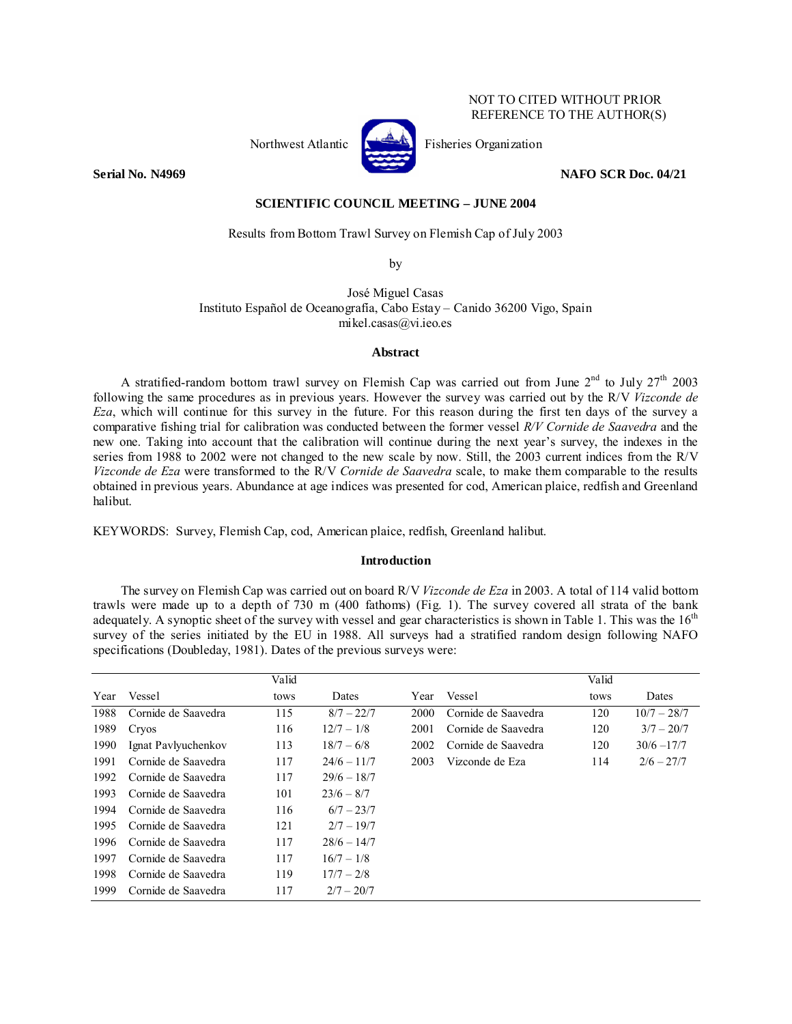## NOT TO CITED WITHOUT PRIOR REFERENCE TO THE AUTHOR(S)



Northwest Atlantic **Fisheries** Organization

**Serial No. N4969 NAFO SCR Doc. 04/21** 

## **SCIENTIFIC COUNCIL MEETING – JUNE 2004**

Results from Bottom Trawl Survey on Flemish Cap of July 2003

by

José Miguel Casas Instituto Español de Oceanografía, Cabo Estay – Canido 36200 Vigo, Spain mikel.casas@vi.ieo.es

## **Abstract**

A stratified-random bottom trawl survey on Flemish Cap was carried out from June  $2^{nd}$  to July  $27^{th}$  2003 following the same procedures as in previous years. However the survey was carried out by the R/V *Vizconde de Eza*, which will continue for this survey in the future. For this reason during the first ten days of the survey a comparative fishing trial for calibration was conducted between the former vessel *R/V Cornide de Saavedra* and the new one. Taking into account that the calibration will continue during the next year's survey, the indexes in the series from 1988 to 2002 were not changed to the new scale by now. Still, the 2003 current indices from the R/V *Vizconde de Eza* were transformed to the R/V *Cornide de Saavedra* scale, to make them comparable to the results obtained in previous years. Abundance at age indices was presented for cod, American plaice, redfish and Greenland halibut.

KEYWORDS: Survey, Flemish Cap, cod, American plaice, redfish, Greenland halibut.

### **Introduction**

The survey on Flemish Cap was carried out on board R/V *Vizconde de Eza* in 2003. A total of 114 valid bottom trawls were made up to a depth of 730 m (400 fathoms) (Fig. 1). The survey covered all strata of the bank adequately. A synoptic sheet of the survey with vessel and gear characteristics is shown in Table 1. This was the  $16<sup>th</sup>$ survey of the series initiated by the EU in 1988. All surveys had a stratified random design following NAFO specifications (Doubleday, 1981). Dates of the previous surveys were:

|      |                     | Valid |               |      |                     | Valid |               |
|------|---------------------|-------|---------------|------|---------------------|-------|---------------|
| Year | Vessel              | tows  | Dates         | Year | Vessel              | tows  | Dates         |
| 1988 | Cornide de Saavedra | 115   | $8/7 - 22/7$  | 2000 | Cornide de Saavedra | 120   | $10/7 - 28/7$ |
| 1989 | Cryos               | 116   | $12/7 - 1/8$  | 2001 | Cornide de Saavedra | 120   | $3/7 - 20/7$  |
| 1990 | Ignat Pavlyuchenkov | 113   | $18/7 - 6/8$  | 2002 | Cornide de Saavedra | 120   | $30/6 - 17/7$ |
| 1991 | Cornide de Saavedra | 117   | $24/6 - 11/7$ | 2003 | Vizconde de Eza     | 114   | $2/6 - 27/7$  |
| 1992 | Cornide de Saavedra | 117   | $29/6 - 18/7$ |      |                     |       |               |
| 1993 | Cornide de Saavedra | 101   | $23/6 - 8/7$  |      |                     |       |               |
| 1994 | Cornide de Saavedra | 116   | $6/7 - 23/7$  |      |                     |       |               |
| 1995 | Cornide de Saavedra | 121   | $2/7 - 19/7$  |      |                     |       |               |
| 1996 | Cornide de Saavedra | 117   | $28/6 - 14/7$ |      |                     |       |               |
| 1997 | Cornide de Saavedra | 117   | $16/7 - 1/8$  |      |                     |       |               |
| 1998 | Cornide de Saavedra | 119   | $17/7 - 2/8$  |      |                     |       |               |
| 1999 | Cornide de Saavedra | 117   | $2/7 - 20/7$  |      |                     |       |               |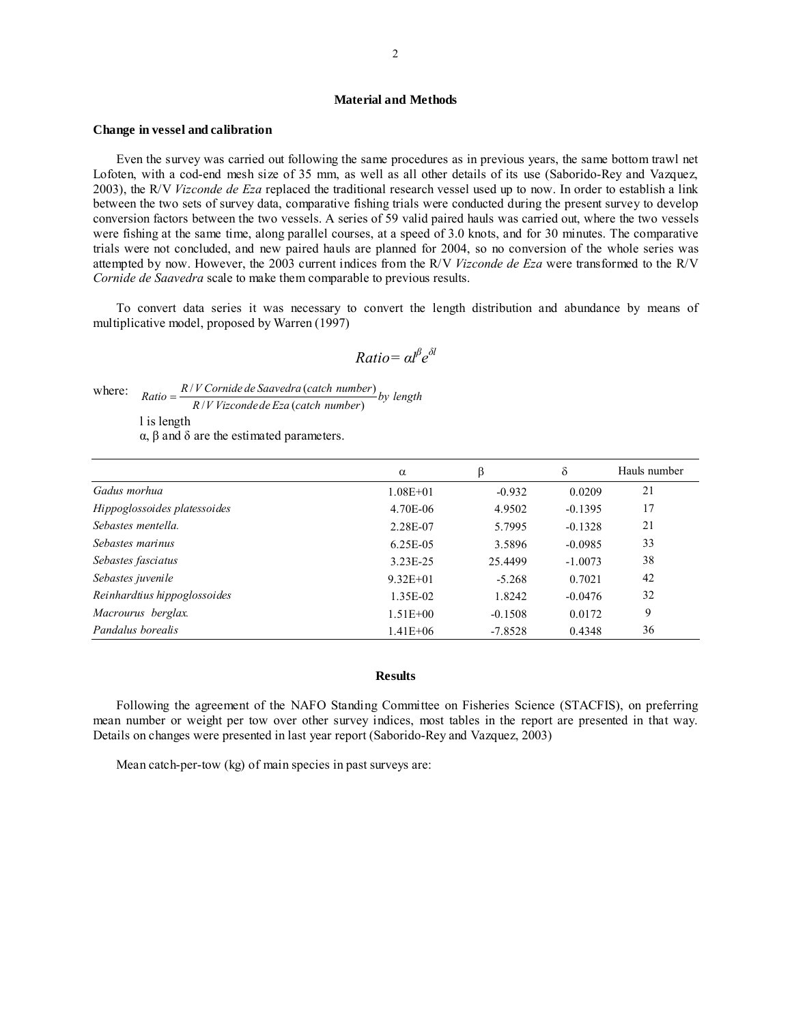### **Material and Methods**

#### **Change in vessel and calibration**

Even the survey was carried out following the same procedures as in previous years, the same bottom trawl net Lofoten, with a cod-end mesh size of 35 mm, as well as all other details of its use (Saborido-Rey and Vazquez, 2003), the R/V *Vizconde de Eza* replaced the traditional research vessel used up to now. In order to establish a link between the two sets of survey data, comparative fishing trials were conducted during the present survey to develop conversion factors between the two vessels. A series of 59 valid paired hauls was carried out, where the two vessels were fishing at the same time, along parallel courses, at a speed of 3.0 knots, and for 30 minutes. The comparative trials were not concluded, and new paired hauls are planned for 2004, so no conversion of the whole series was attempted by now. However, the 2003 current indices from the R/V *Vizconde de Eza* were transformed to the R/V *Cornide de Saavedra* scale to make them comparable to previous results.

To convert data series it was necessary to convert the length distribution and abundance by means of multiplicative model, proposed by Warren (1997)

$$
Ratio = \alpha l^{\beta} e^{\delta l}
$$

where:  $Ratio = \frac{R/V \text{ Cornide de Saavedra (catch number)}}{R/V \text{ Vizconde de Eza (catch number)}}$  by length

l is length

α, β and δ are the estimated parameters.

|                              | $\alpha$     | ß         | δ         | Hauls number |
|------------------------------|--------------|-----------|-----------|--------------|
| Gadus morhua                 | $1.08E + 01$ | $-0.932$  | 0.0209    | 21           |
| Hippoglossoides platessoides | 4.70E-06     | 4.9502    | $-0.1395$ | 17           |
| Sebastes mentella.           | 2.28E-07     | 5.7995    | $-0.1328$ | 21           |
| Sebastes marinus             | 6.25E-05     | 3.5896    | $-0.0985$ | 33           |
| Sebastes fasciatus           | 3.23E-25     | 25.4499   | $-1.0073$ | 38           |
| Sebastes juvenile            | $9.32E + 01$ | $-5.268$  | 0.7021    | 42           |
| Reinhardtius hippoglossoides | 1.35E-02     | 1.8242    | $-0.0476$ | 32           |
| Macrourus berglax.           | $1.51E + 00$ | $-0.1508$ | 0.0172    | 9            |
| Pandalus borealis            | $1.41E + 06$ | $-7.8528$ | 0.4348    | 36           |

#### **Results**

Following the agreement of the NAFO Standing Committee on Fisheries Science (STACFIS), on preferring mean number or weight per tow over other survey indices, most tables in the report are presented in that way. Details on changes were presented in last year report (Saborido-Rey and Vazquez, 2003)

Mean catch-per-tow (kg) of main species in past surveys are: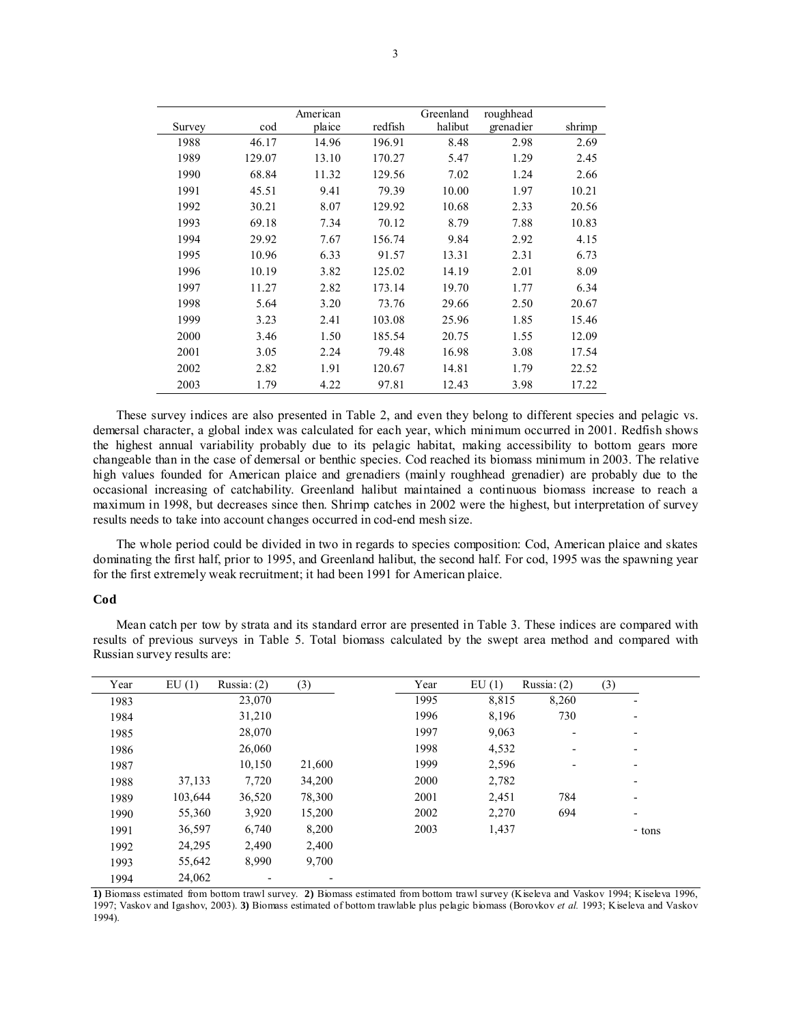|        |        | American |         | Greenland | roughhead |        |
|--------|--------|----------|---------|-----------|-----------|--------|
| Survey | cod    | plaice   | redfish | halibut   | grenadier | shrimp |
| 1988   | 46.17  | 14.96    | 196.91  | 8.48      | 2.98      | 2.69   |
| 1989   | 129.07 | 13.10    | 170.27  | 5.47      | 1.29      | 2.45   |
| 1990   | 68.84  | 11.32    | 129.56  | 7.02      | 1.24      | 2.66   |
| 1991   | 45.51  | 9.41     | 79.39   | 10.00     | 1.97      | 10.21  |
| 1992   | 30.21  | 8.07     | 129.92  | 10.68     | 2.33      | 20.56  |
| 1993   | 69.18  | 7.34     | 70.12   | 8.79      | 7.88      | 10.83  |
| 1994   | 29.92  | 7.67     | 156.74  | 9.84      | 2.92      | 4.15   |
| 1995   | 10.96  | 6.33     | 91.57   | 13.31     | 2.31      | 6.73   |
| 1996   | 10.19  | 3.82     | 125.02  | 14.19     | 2.01      | 8.09   |
| 1997   | 11.27  | 2.82     | 173.14  | 19.70     | 1.77      | 6.34   |
| 1998   | 5.64   | 3.20     | 73.76   | 29.66     | 2.50      | 20.67  |
| 1999   | 3.23   | 2.41     | 103.08  | 25.96     | 1.85      | 15.46  |
| 2000   | 3.46   | 1.50     | 185.54  | 20.75     | 1.55      | 12.09  |
| 2001   | 3.05   | 2.24     | 79.48   | 16.98     | 3.08      | 17.54  |
| 2002   | 2.82   | 1.91     | 120.67  | 14.81     | 1.79      | 22.52  |
| 2003   | 1.79   | 4.22     | 97.81   | 12.43     | 3.98      | 17.22  |

These survey indices are also presented in Table 2, and even they belong to different species and pelagic vs. demersal character, a global index was calculated for each year, which minimum occurred in 2001. Redfish shows the highest annual variability probably due to its pelagic habitat, making accessibility to bottom gears more changeable than in the case of demersal or benthic species. Cod reached its biomass minimum in 2003. The relative high values founded for American plaice and grenadiers (mainly roughhead grenadier) are probably due to the occasional increasing of catchability. Greenland halibut maintained a continuous biomass increase to reach a maximum in 1998, but decreases since then. Shrimp catches in 2002 were the highest, but interpretation of survey results needs to take into account changes occurred in cod-end mesh size.

The whole period could be divided in two in regards to species composition: Cod, American plaice and skates dominating the first half, prior to 1995, and Greenland halibut, the second half. For cod, 1995 was the spawning year for the first extremely weak recruitment; it had been 1991 for American plaice.

#### **Cod**

Mean catch per tow by strata and its standard error are presented in Table 3. These indices are compared with results of previous surveys in Table 5. Total biomass calculated by the swept area method and compared with Russian survey results are:

| Year | EU(1)   | Russia: $(2)$ | (3)    | Year | EU(1) | Russia: $(2)$            | (3)    |
|------|---------|---------------|--------|------|-------|--------------------------|--------|
| 1983 |         | 23,070        |        | 1995 | 8,815 | 8,260                    |        |
| 1984 |         | 31,210        |        | 1996 | 8,196 | 730                      |        |
| 1985 |         | 28,070        |        | 1997 | 9,063 |                          | -      |
| 1986 |         | 26,060        |        | 1998 | 4,532 | $\overline{\phantom{a}}$ | ٠      |
| 1987 |         | 10,150        | 21,600 | 1999 | 2,596 |                          |        |
| 1988 | 37,133  | 7,720         | 34,200 | 2000 | 2,782 |                          |        |
| 1989 | 103,644 | 36,520        | 78,300 | 2001 | 2,451 | 784                      | ٠      |
| 1990 | 55,360  | 3,920         | 15,200 | 2002 | 2,270 | 694                      | ۰      |
| 1991 | 36,597  | 6,740         | 8,200  | 2003 | 1,437 |                          | - tons |
| 1992 | 24,295  | 2,490         | 2,400  |      |       |                          |        |
| 1993 | 55,642  | 8,990         | 9,700  |      |       |                          |        |
| 1994 | 24,062  |               |        |      |       |                          |        |

**1)** Biomass estimated from bottom trawl survey. **2)** Biomass estimated from bottom trawl survey (Kiseleva and Vaskov 1994; Kiseleva 1996, 1997; Vaskov and Igashov, 2003). **3)** Biomass estimated of bottom trawlable plus pelagic biomass (Borovkov *et al.* 1993; Kiseleva and Vaskov 1994).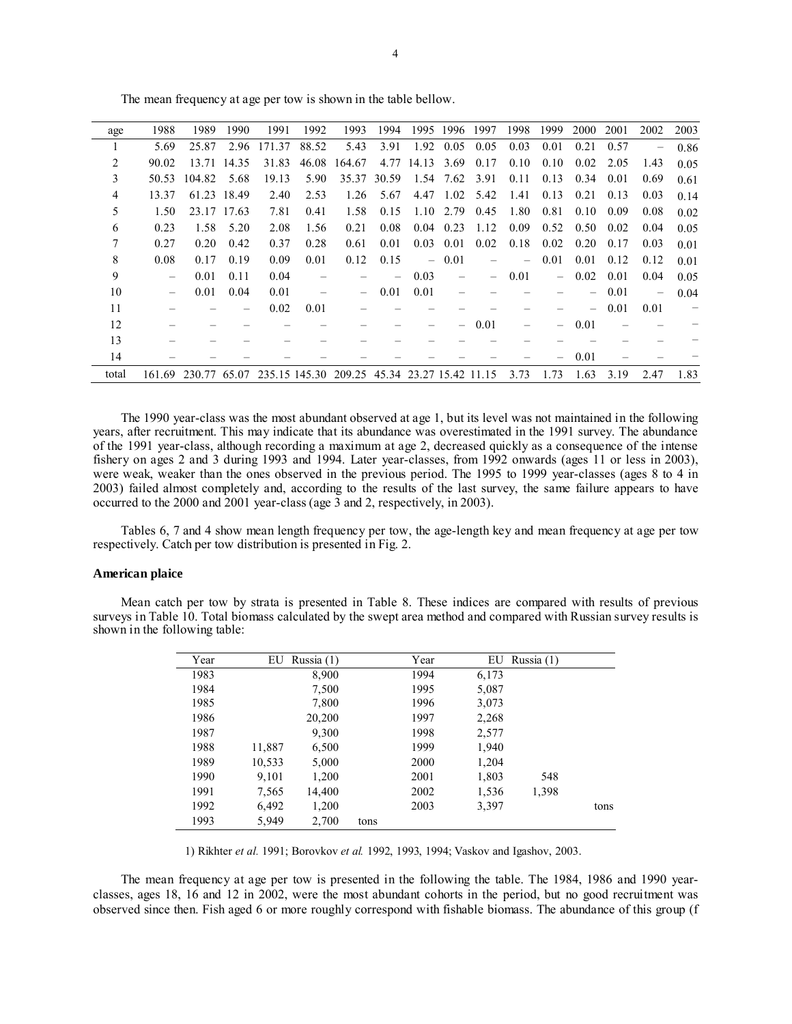| age   | 1988                     | 1989   | 1990        | 1991   | 1992  | 1993                                         | 1994  | 1995     | 1996              | 1997                     | 1998 | 1999                     | 2000 | 2001 | 2002 | 2003 |
|-------|--------------------------|--------|-------------|--------|-------|----------------------------------------------|-------|----------|-------------------|--------------------------|------|--------------------------|------|------|------|------|
|       | 5.69                     | 25.87  | 2.96        | 171.37 | 88.52 | 5.43                                         | 3.91  | 1.92     | 0.05              | 0.05                     | 0.03 | 0.01                     | 0.21 | 0.57 |      | 0.86 |
| 2     | 90.02                    |        | 13.71 14.35 | 31.83  | 46.08 | 164.67                                       | 4.77  | 14.13    | 3.69              | 0.17                     | 0.10 | 0.10                     | 0.02 | 2.05 | 1.43 | 0.05 |
| 3     | 50.53                    | 104.82 | 5.68        | 19.13  | 5.90  | 35.37                                        | 30.59 | 1.54     | 7.62              | 3.91                     | 0.11 | 0.13                     | 0.34 | 0.01 | 0.69 | 0.61 |
| 4     | 13.37                    |        | 61.23 18.49 | 2.40   | 2.53  | 1.26                                         | 5.67  | 4.47     | 1.02              | 5.42                     | 1.41 | 0.13                     | 0.21 | 0.13 | 0.03 | 0.14 |
| 5     | 1.50                     |        | 23.17 17.63 | 7.81   | 0.41  | 1.58                                         | 0.15  |          | $1.10 \quad 2.79$ | 0.45                     | 1.80 | 0.81                     | 0.10 | 0.09 | 0.08 | 0.02 |
| 6     | 0.23                     | 1.58   | 5.20        | 2.08   | 1.56  | 0.21                                         | 0.08  | 0.04     | 0.23              | 1.12                     | 0.09 | 0.52                     | 0.50 | 0.02 | 0.04 | 0.05 |
| 7     | 0.27                     | 0.20   | 0.42        | 0.37   | 0.28  | 0.61                                         | 0.01  | 0.03     | 0.01              | 0.02                     | 0.18 | 0.02                     | 0.20 | 0.17 | 0.03 | 0.01 |
| 8     | 0.08                     | 0.17   | 0.19        | 0.09   | 0.01  | 0.12                                         | 0.15  | $\equiv$ | 0.01              |                          | -    | 0.01                     | 0.01 | 0.12 | 0.12 | 0.01 |
| 9     | $\overline{\phantom{0}}$ | 0.01   | 0.11        | 0.04   |       |                                              |       | 0.03     |                   | $\overline{\phantom{0}}$ | 0.01 | $\qquad \qquad -$        | 0.02 | 0.01 | 0.04 | 0.05 |
| 10    | $\overline{\phantom{0}}$ | 0.01   | 0.04        | 0.01   |       | $\overline{\phantom{0}}$                     | 0.01  | 0.01     |                   |                          |      |                          |      | 0.01 |      | 0.04 |
| 11    |                          |        |             | 0.02   | 0.01  |                                              |       |          |                   |                          |      |                          | —    | 0.01 | 0.01 |      |
| 12    |                          |        |             |        |       |                                              |       |          |                   | 0.01                     |      | $\overline{\phantom{0}}$ | 0.01 |      |      |      |
| 13    |                          |        |             |        |       |                                              |       |          |                   |                          |      |                          |      |      |      |      |
| 14    |                          |        |             |        |       |                                              |       |          |                   |                          |      |                          | 0.01 |      |      |      |
| total | 161.69                   | 230.77 | 65.07       |        |       | 235.15 145.30 209.25 45.34 23.27 15.42 11.15 |       |          |                   |                          | 3.73 | 1.73                     | 1.63 | 3.19 | 2.47 | 1.83 |

The mean frequency at age per tow is shown in the table bellow.

The 1990 year-class was the most abundant observed at age 1, but its level was not maintained in the following years, after recruitment. This may indicate that its abundance was overestimated in the 1991 survey. The abundance of the 1991 year-class, although recording a maximum at age 2, decreased quickly as a consequence of the intense fishery on ages 2 and 3 during 1993 and 1994. Later year-classes, from 1992 onwards (ages 11 or less in 2003), were weak, weaker than the ones observed in the previous period. The 1995 to 1999 year-classes (ages 8 to 4 in 2003) failed almost completely and, according to the results of the last survey, the same failure appears to have occurred to the 2000 and 2001 year-class (age 3 and 2, respectively, in 2003).

Tables 6, 7 and 4 show mean length frequency per tow, the age-length key and mean frequency at age per tow respectively. Catch per tow distribution is presented in Fig. 2.

#### **American plaice**

Mean catch per tow by strata is presented in Table 8. These indices are compared with results of previous surveys in Table 10. Total biomass calculated by the swept area method and compared with Russian survey results is shown in the following table:

| Year | EU     | Russia $(1)$ |      | Year | EU    | Russia $(1)$ |      |
|------|--------|--------------|------|------|-------|--------------|------|
| 1983 |        | 8,900        |      | 1994 | 6,173 |              |      |
| 1984 |        | 7,500        |      | 1995 | 5,087 |              |      |
| 1985 |        | 7,800        |      | 1996 | 3,073 |              |      |
| 1986 |        | 20,200       |      | 1997 | 2,268 |              |      |
| 1987 |        | 9,300        |      | 1998 | 2,577 |              |      |
| 1988 | 11,887 | 6,500        |      | 1999 | 1,940 |              |      |
| 1989 | 10,533 | 5,000        |      | 2000 | 1,204 |              |      |
| 1990 | 9,101  | 1,200        |      | 2001 | 1,803 | 548          |      |
| 1991 | 7.565  | 14,400       |      | 2002 | 1,536 | 1,398        |      |
| 1992 | 6,492  | 1,200        |      | 2003 | 3,397 |              | tons |
| 1993 | 5,949  | 2,700        | tons |      |       |              |      |

1) Rikhter *et al.* 1991; Borovkov *et al.* 1992, 1993, 1994; Vaskov and Igashov, 2003.

The mean frequency at age per tow is presented in the following the table. The 1984, 1986 and 1990 yearclasses, ages 18, 16 and 12 in 2002, were the most abundant cohorts in the period, but no good recruitment was observed since then. Fish aged 6 or more roughly correspond with fishable biomass. The abundance of this group (f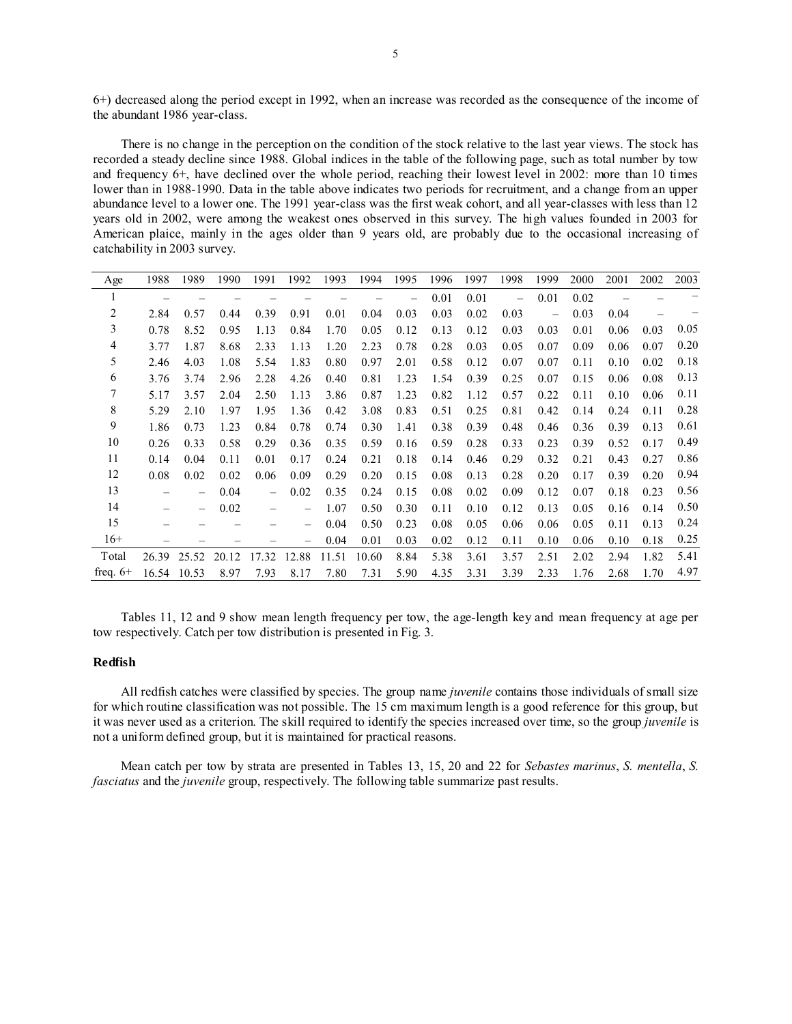6+) decreased along the period except in 1992, when an increase was recorded as the consequence of the income of the abundant 1986 year-class.

There is no change in the perception on the condition of the stock relative to the last year views. The stock has recorded a steady decline since 1988. Global indices in the table of the following page, such as total number by tow and frequency 6+, have declined over the whole period, reaching their lowest level in 2002: more than 10 times lower than in 1988-1990. Data in the table above indicates two periods for recruitment, and a change from an upper abundance level to a lower one. The 1991 year-class was the first weak cohort, and all year-classes with less than 12 years old in 2002, were among the weakest ones observed in this survey. The high values founded in 2003 for American plaice, mainly in the ages older than 9 years old, are probably due to the occasional increasing of catchability in 2003 survey.

| Age        | 1988  | 1989  | 1990  | 1991                     | 1992                     | 1993  | 1994  | 1995 | 1996 | 1997 | 1998                     | 1999                     | 2000 | 2001 | 2002 | 2003 |
|------------|-------|-------|-------|--------------------------|--------------------------|-------|-------|------|------|------|--------------------------|--------------------------|------|------|------|------|
| 1          |       |       |       |                          |                          |       |       |      | 0.01 | 0.01 | $\overline{\phantom{0}}$ | 0.01                     | 0.02 |      |      |      |
| 2          | 2.84  | 0.57  | 0.44  | 0.39                     | 0.91                     | 0.01  | 0.04  | 0.03 | 0.03 | 0.02 | 0.03                     | $\overline{\phantom{0}}$ | 0.03 | 0.04 |      |      |
| 3          | 0.78  | 8.52  | 0.95  | 1.13                     | 0.84                     | 1.70  | 0.05  | 0.12 | 0.13 | 0.12 | 0.03                     | 0.03                     | 0.01 | 0.06 | 0.03 | 0.05 |
| 4          | 3.77  | 1.87  | 8.68  | 2.33                     | 1.13                     | 1.20  | 2.23  | 0.78 | 0.28 | 0.03 | 0.05                     | 0.07                     | 0.09 | 0.06 | 0.07 | 0.20 |
| 5          | 2.46  | 4.03  | 1.08  | 5.54                     | 1.83                     | 0.80  | 0.97  | 2.01 | 0.58 | 0.12 | 0.07                     | 0.07                     | 0.11 | 0.10 | 0.02 | 0.18 |
| 6          | 3.76  | 3.74  | 2.96  | 2.28                     | 4.26                     | 0.40  | 0.81  | 1.23 | 1.54 | 0.39 | 0.25                     | 0.07                     | 0.15 | 0.06 | 0.08 | 0.13 |
| 7          | 5.17  | 3.57  | 2.04  | 2.50                     | 1.13                     | 3.86  | 0.87  | 1.23 | 0.82 | 1.12 | 0.57                     | 0.22                     | 0.11 | 0.10 | 0.06 | 0.11 |
| 8          | 5.29  | 2.10  | 1.97  | 1.95                     | 1.36                     | 0.42  | 3.08  | 0.83 | 0.51 | 0.25 | 0.81                     | 0.42                     | 0.14 | 0.24 | 0.11 | 0.28 |
| 9          | 1.86  | 0.73  | 1.23  | 0.84                     | 0.78                     | 0.74  | 0.30  | 1.41 | 0.38 | 0.39 | 0.48                     | 0.46                     | 0.36 | 0.39 | 0.13 | 0.61 |
| 10         | 0.26  | 0.33  | 0.58  | 0.29                     | 0.36                     | 0.35  | 0.59  | 0.16 | 0.59 | 0.28 | 0.33                     | 0.23                     | 0.39 | 0.52 | 0.17 | 0.49 |
| 11         | 0.14  | 0.04  | 0.11  | 0.01                     | 0.17                     | 0.24  | 0.21  | 0.18 | 0.14 | 0.46 | 0.29                     | 0.32                     | 0.21 | 0.43 | 0.27 | 0.86 |
| 12         | 0.08  | 0.02  | 0.02  | 0.06                     | 0.09                     | 0.29  | 0.20  | 0.15 | 0.08 | 0.13 | 0.28                     | 0.20                     | 0.17 | 0.39 | 0.20 | 0.94 |
| 13         |       |       | 0.04  | $\overline{\phantom{0}}$ | 0.02                     | 0.35  | 0.24  | 0.15 | 0.08 | 0.02 | 0.09                     | 0.12                     | 0.07 | 0.18 | 0.23 | 0.56 |
| 14         |       |       | 0.02  |                          |                          | 1.07  | 0.50  | 0.30 | 0.11 | 0.10 | 0.12                     | 0.13                     | 0.05 | 0.16 | 0.14 | 0.50 |
| 15         |       |       |       |                          | -                        | 0.04  | 0.50  | 0.23 | 0.08 | 0.05 | 0.06                     | 0.06                     | 0.05 | 0.11 | 0.13 | 0.24 |
| $16+$      |       |       |       |                          | $\overline{\phantom{0}}$ | 0.04  | 0.01  | 0.03 | 0.02 | 0.12 | 0.11                     | 0.10                     | 0.06 | 0.10 | 0.18 | 0.25 |
| Total      | 26.39 | 25.52 | 20.12 | 17.32                    | 12.88                    | 11.51 | 10.60 | 8.84 | 5.38 | 3.61 | 3.57                     | 2.51                     | 2.02 | 2.94 | 1.82 | 5.41 |
| freq. $6+$ | 16.54 | 10.53 | 8.97  | 7.93                     | 8.17                     | 7.80  | 7.31  | 5.90 | 4.35 | 3.31 | 3.39                     | 2.33                     | 1.76 | 2.68 | 1.70 | 4.97 |

Tables 11, 12 and 9 show mean length frequency per tow, the age-length key and mean frequency at age per tow respectively. Catch per tow distribution is presented in Fig. 3.

## **Redfish**

All redfish catches were classified by species. The group name *juvenile* contains those individuals of small size for which routine classification was not possible. The 15 cm maximum length is a good reference for this group, but it was never used as a criterion. The skill required to identify the species increased over time, so the group *juvenile* is not a uniform defined group, but it is maintained for practical reasons.

Mean catch per tow by strata are presented in Tables 13, 15, 20 and 22 for *Sebastes marinus*, *S. mentella*, *S. fasciatus* and the *juvenile* group, respectively. The following table summarize past results.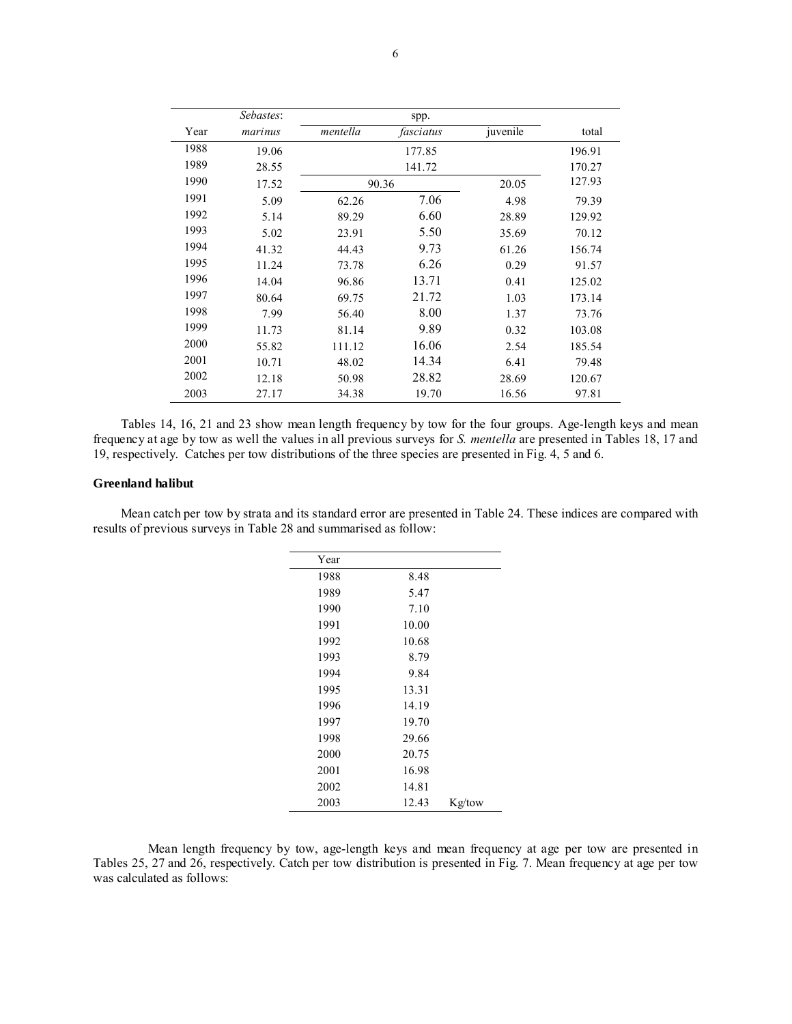|      | Sebastes: |          | spp.      |          |        |
|------|-----------|----------|-----------|----------|--------|
| Year | marinus   | mentella | fasciatus | juvenile | total  |
| 1988 | 19.06     |          | 177.85    |          | 196.91 |
| 1989 | 28.55     |          | 141.72    |          | 170.27 |
| 1990 | 17.52     |          | 90.36     | 20.05    | 127.93 |
| 1991 | 5.09      | 62.26    | 7.06      | 4.98     | 79.39  |
| 1992 | 5.14      | 89.29    | 6.60      | 28.89    | 129.92 |
| 1993 | 5.02      | 23.91    | 5.50      | 35.69    | 70.12  |
| 1994 | 41.32     | 44.43    | 9.73      | 61.26    | 156.74 |
| 1995 | 11.24     | 73.78    | 6.26      | 0.29     | 91.57  |
| 1996 | 14.04     | 96.86    | 13.71     | 0.41     | 125.02 |
| 1997 | 80.64     | 69.75    | 21.72     | 1.03     | 173.14 |
| 1998 | 7.99      | 56.40    | 8.00      | 1.37     | 73.76  |
| 1999 | 11.73     | 81.14    | 9.89      | 0.32     | 103.08 |
| 2000 | 55.82     | 111.12   | 16.06     | 2.54     | 185.54 |
| 2001 | 10.71     | 48.02    | 14.34     | 6.41     | 79.48  |
| 2002 | 12.18     | 50.98    | 28.82     | 28.69    | 120.67 |
| 2003 | 27.17     | 34.38    | 19.70     | 16.56    | 97.81  |

Tables 14, 16, 21 and 23 show mean length frequency by tow for the four groups. Age-length keys and mean frequency at age by tow as well the values in all previous surveys for *S. mentella* are presented in Tables 18, 17 and 19, respectively. Catches per tow distributions of the three species are presented in Fig. 4, 5 and 6.

## **Greenland halibut**

Mean catch per tow by strata and its standard error are presented in Table 24. These indices are compared with results of previous surveys in Table 28 and summarised as follow:

| Year |       |        |
|------|-------|--------|
| 1988 | 8.48  |        |
| 1989 | 5.47  |        |
| 1990 | 7.10  |        |
| 1991 | 10.00 |        |
| 1992 | 10.68 |        |
| 1993 | 8.79  |        |
| 1994 | 9.84  |        |
| 1995 | 13.31 |        |
| 1996 | 14.19 |        |
| 1997 | 19.70 |        |
| 1998 | 29.66 |        |
| 2000 | 20.75 |        |
| 2001 | 16.98 |        |
| 2002 | 14.81 |        |
| 2003 | 12.43 | Kg/tow |

Mean length frequency by tow, age-length keys and mean frequency at age per tow are presented in Tables 25, 27 and 26, respectively. Catch per tow distribution is presented in Fig. 7. Mean frequency at age per tow was calculated as follows: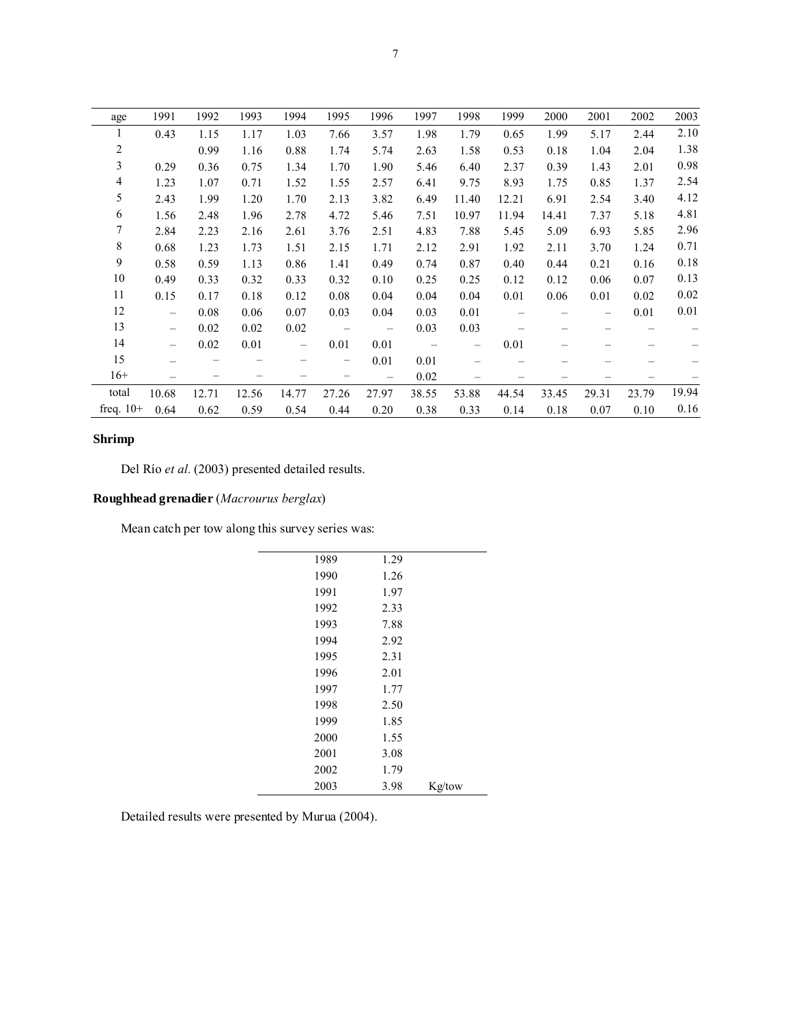| age         | 1991  | 1992  | 1993  | 1994  | 1995  | 1996                     | 1997  | 1998                     | 1999  | 2000  | 2001                     | 2002  | 2003  |
|-------------|-------|-------|-------|-------|-------|--------------------------|-------|--------------------------|-------|-------|--------------------------|-------|-------|
|             | 0.43  | 1.15  | 1.17  | 1.03  | 7.66  | 3.57                     | 1.98  | 1.79                     | 0.65  | 1.99  | 5.17                     | 2.44  | 2.10  |
| 2           |       | 0.99  | 1.16  | 0.88  | 1.74  | 5.74                     | 2.63  | 1.58                     | 0.53  | 0.18  | 1.04                     | 2.04  | 1.38  |
| 3           | 0.29  | 0.36  | 0.75  | 1.34  | 1.70  | 1.90                     | 5.46  | 6.40                     | 2.37  | 0.39  | 1.43                     | 2.01  | 0.98  |
| 4           | 1.23  | 1.07  | 0.71  | 1.52  | 1.55  | 2.57                     | 6.41  | 9.75                     | 8.93  | 1.75  | 0.85                     | 1.37  | 2.54  |
| 5           | 2.43  | 1.99  | 1.20  | 1.70  | 2.13  | 3.82                     | 6.49  | 11.40                    | 12.21 | 6.91  | 2.54                     | 3.40  | 4.12  |
| 6           | 1.56  | 2.48  | 1.96  | 2.78  | 4.72  | 5.46                     | 7.51  | 10.97                    | 11.94 | 14.41 | 7.37                     | 5.18  | 4.81  |
| 7           | 2.84  | 2.23  | 2.16  | 2.61  | 3.76  | 2.51                     | 4.83  | 7.88                     | 5.45  | 5.09  | 6.93                     | 5.85  | 2.96  |
| 8           | 0.68  | 1.23  | 1.73  | 1.51  | 2.15  | 1.71                     | 2.12  | 2.91                     | 1.92  | 2.11  | 3.70                     | 1.24  | 0.71  |
| 9           | 0.58  | 0.59  | 1.13  | 0.86  | 1.41  | 0.49                     | 0.74  | 0.87                     | 0.40  | 0.44  | 0.21                     | 0.16  | 0.18  |
| 10          | 0.49  | 0.33  | 0.32  | 0.33  | 0.32  | 0.10                     | 0.25  | 0.25                     | 0.12  | 0.12  | 0.06                     | 0.07  | 0.13  |
| 11          | 0.15  | 0.17  | 0.18  | 0.12  | 0.08  | 0.04                     | 0.04  | 0.04                     | 0.01  | 0.06  | 0.01                     | 0.02  | 0.02  |
| 12          | -     | 0.08  | 0.06  | 0.07  | 0.03  | 0.04                     | 0.03  | 0.01                     |       |       | $\overline{\phantom{0}}$ | 0.01  | 0.01  |
| 13          | —     | 0.02  | 0.02  | 0.02  |       | $\overline{\phantom{0}}$ | 0.03  | 0.03                     |       |       |                          |       |       |
| 14          | -     | 0.02  | 0.01  | -     | 0.01  | 0.01                     |       | $\overline{\phantom{0}}$ | 0.01  |       |                          |       |       |
| 15          |       |       |       |       |       | 0.01                     | 0.01  |                          |       |       |                          |       |       |
| $16+$       |       |       |       |       |       |                          | 0.02  |                          |       |       |                          |       |       |
| total       | 10.68 | 12.71 | 12.56 | 14.77 | 27.26 | 27.97                    | 38.55 | 53.88                    | 44.54 | 33.45 | 29.31                    | 23.79 | 19.94 |
| freq. $10+$ | 0.64  | 0.62  | 0.59  | 0.54  | 0.44  | 0.20                     | 0.38  | 0.33                     | 0.14  | 0.18  | 0.07                     | 0.10  | 0.16  |

# **Shrimp**

Del Río et al. (2003) presented detailed results.

# **Roughhead grenadier** (*Macrourus berglax*)

Mean catch per tow along this survey series was:

| 1989 | 1.29 |        |
|------|------|--------|
| 1990 | 1.26 |        |
| 1991 | 1.97 |        |
| 1992 | 2.33 |        |
| 1993 | 7.88 |        |
| 1994 | 2.92 |        |
| 1995 | 2.31 |        |
| 1996 | 2.01 |        |
| 1997 | 1.77 |        |
| 1998 | 2.50 |        |
| 1999 | 1.85 |        |
| 2000 | 1.55 |        |
| 2001 | 3.08 |        |
| 2002 | 1.79 |        |
| 2003 | 3.98 | Kg/tow |

Detailed results were presented by Murua (2004).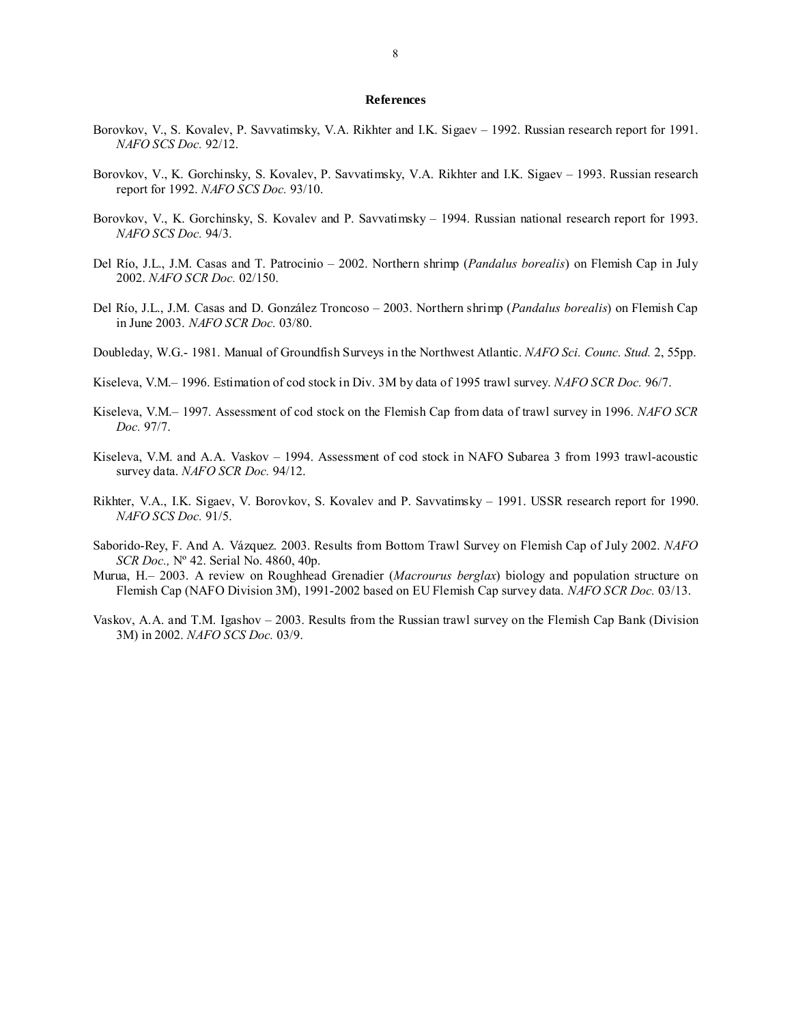#### **References**

- Borovkov, V., S. Kovalev, P. Savvatimsky, V.A. Rikhter and I.K. Sigaev 1992. Russian research report for 1991. *NAFO SCS Doc.* 92/12.
- Borovkov, V., K. Gorchinsky, S. Kovalev, P. Savvatimsky, V.A. Rikhter and I.K. Sigaev 1993. Russian research report for 1992. *NAFO SCS Doc.* 93/10.
- Borovkov, V., K. Gorchinsky, S. Kovalev and P. Savvatimsky 1994. Russian national research report for 1993. *NAFO SCS Doc.* 94/3.
- Del Río, J.L., J.M. Casas and T. Patrocinio 2002. Northern shrimp (*Pandalus borealis*) on Flemish Cap in July 2002. *NAFO SCR Doc.* 02/150.
- Del Río, J.L., J.M. Casas and D. González Troncoso 2003. Northern shrimp (*Pandalus borealis*) on Flemish Cap in June 2003. *NAFO SCR Doc.* 03/80.
- Doubleday, W.G.- 1981. Manual of Groundfish Surveys in the Northwest Atlantic. *NAFO Sci. Counc. Stud.* 2, 55pp.
- Kiseleva, V.M.– 1996. Estimation of cod stock in Div. 3M by data of 1995 trawl survey. *NAFO SCR Doc.* 96/7.
- Kiseleva, V.M.– 1997. Assessment of cod stock on the Flemish Cap from data of trawl survey in 1996. *NAFO SCR Doc.* 97/7.
- Kiseleva, V.M. and A.A. Vaskov 1994. Assessment of cod stock in NAFO Subarea 3 from 1993 trawl-acoustic survey data. *NAFO SCR Doc.* 94/12.
- Rikhter, V.A., I.K. Sigaev, V. Borovkov, S. Kovalev and P. Savvatimsky 1991. USSR research report for 1990. *NAFO SCS Doc.* 91/5.
- Saborido-Rey, F. And A. Vázquez. 2003. Results from Bottom Trawl Survey on Flemish Cap of July 2002. *NAFO SCR Doc.,* Nº 42. Serial No. 4860, 40p.
- Murua, H.– 2003. A review on Roughhead Grenadier (*Macrourus berglax*) biology and population structure on Flemish Cap (NAFO Division 3M), 1991-2002 based on EU Flemish Cap survey data. *NAFO SCR Doc.* 03/13.
- Vaskov, A.A. and T.M. Igashov 2003. Results from the Russian trawl survey on the Flemish Cap Bank (Division 3M) in 2002. *NAFO SCS Doc.* 03/9.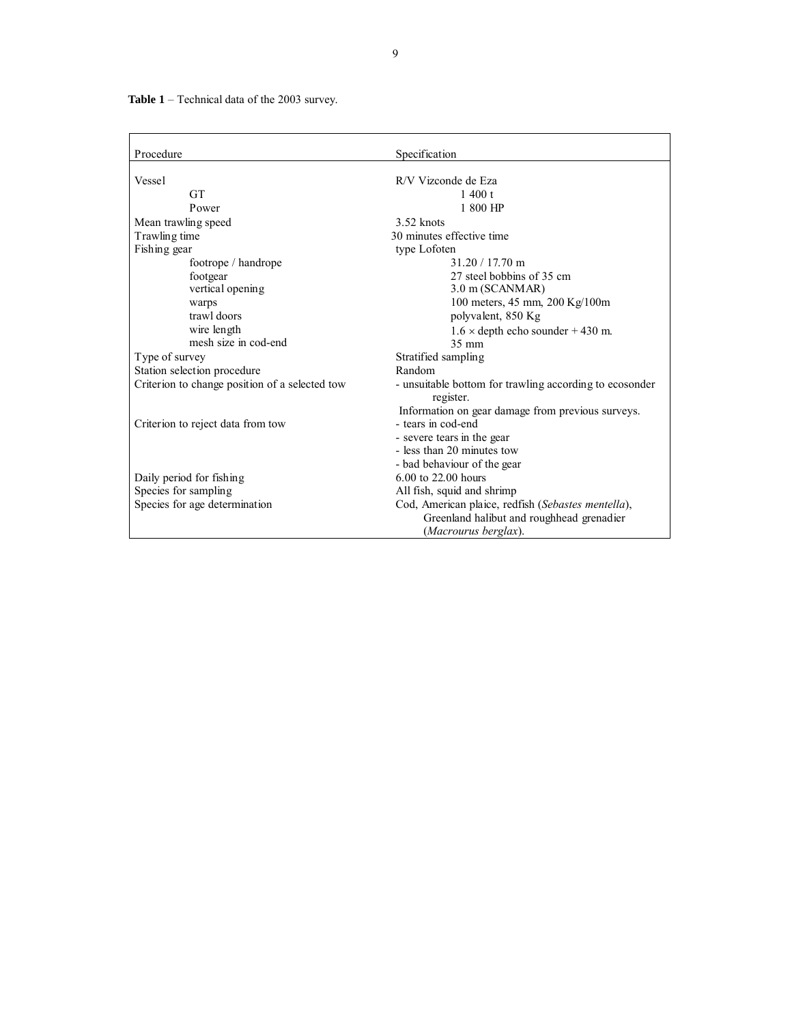**Table 1** – Technical data of the 2003 survey.

| Procedure                                      | Specification                                           |
|------------------------------------------------|---------------------------------------------------------|
|                                                | R/V Vizconde de Eza                                     |
| Vessel                                         |                                                         |
| <b>GT</b>                                      | 1400 t                                                  |
| Power                                          | 1 800 HP                                                |
| Mean trawling speed                            | $3.52$ knots                                            |
| Trawling time                                  | 30 minutes effective time                               |
| Fishing gear                                   | type Lofoten                                            |
| footrope / handrope                            | 31.20 / 17.70 m                                         |
| footgear                                       | 27 steel bobbins of 35 cm                               |
| vertical opening                               | 3.0 m (SCANMAR)                                         |
| warps                                          | 100 meters, 45 mm, 200 Kg/100m                          |
| trawl doors                                    | polyvalent, 850 Kg                                      |
| wire length                                    | $1.6 \times$ depth echo sounder +430 m.                 |
| mesh size in cod-end                           | 35 mm                                                   |
| Type of survey                                 | Stratified sampling                                     |
| Station selection procedure                    | Random                                                  |
| Criterion to change position of a selected tow | - unsuitable bottom for trawling according to ecosonder |
|                                                | register.                                               |
|                                                | Information on gear damage from previous surveys.       |
| Criterion to reject data from tow              | - tears in cod-end                                      |
|                                                | - severe tears in the gear                              |
|                                                | - less than 20 minutes tow                              |
|                                                | - bad behaviour of the gear                             |
| Daily period for fishing                       | 6.00 to 22.00 hours                                     |
| Species for sampling                           | All fish, squid and shrimp                              |
| Species for age determination                  | Cod, American plaice, redfish (Sebastes mentella),      |
|                                                | Greenland halibut and roughhead grenadier               |
|                                                | (Macrourus berglax).                                    |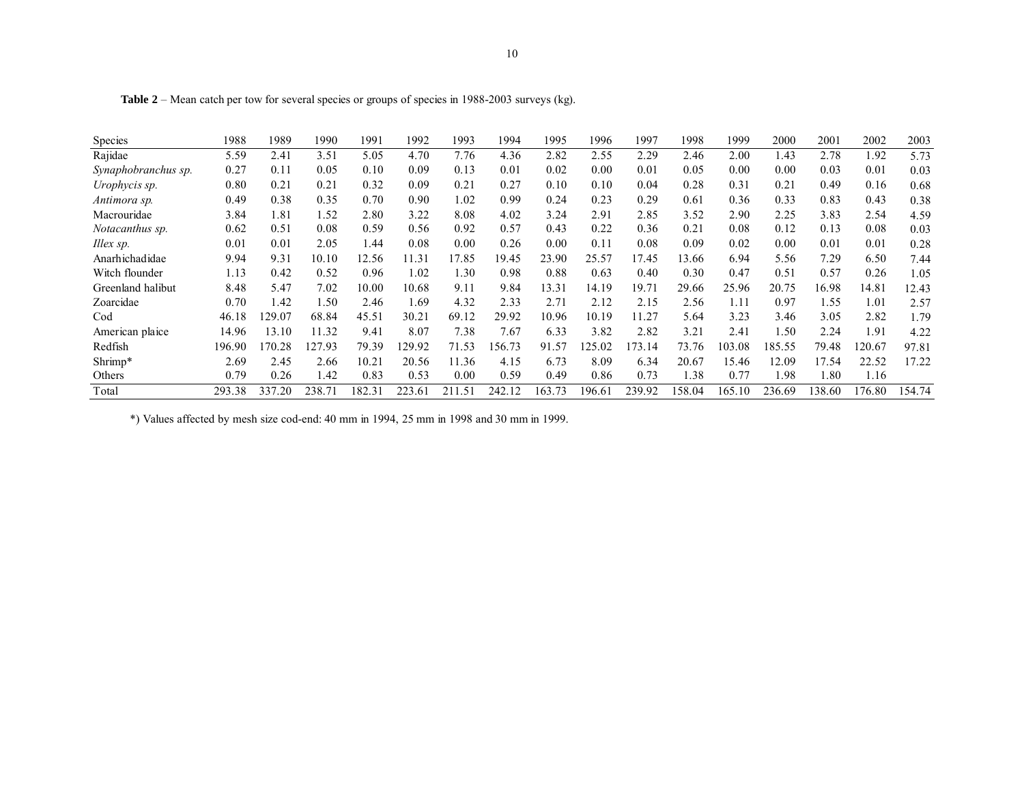| <b>Species</b>      | 1988   | 1989          | 1990   | 1991   | 1992   | 1993   | 1994   | 1995   | 1996   | 1997   | 1998   | 1999   | 2000   | 2001   | 2002   | 2003   |
|---------------------|--------|---------------|--------|--------|--------|--------|--------|--------|--------|--------|--------|--------|--------|--------|--------|--------|
| Rajidae             | 5.59   | $2.4^{\circ}$ | 3.51   | 5.05   | 4.70   | 7.76   | 4.36   | 2.82   | 2.55   | 2.29   | 2.46   | 2.00   | 1.43   | 2.78   | 1.92   | 5.73   |
| Synaphobranchus sp. | 0.27   | 0.11          | 0.05   | 0.10   | 0.09   | 0.13   | 0.01   | 0.02   | 0.00   | 0.01   | 0.05   | 0.00   | 0.00   | 0.03   | 0.01   | 0.03   |
| Urophycis sp.       | 0.80   | $0.2^{\circ}$ | 0.21   | 0.32   | 0.09   | 0.21   | 0.27   | 0.10   | 0.10   | 0.04   | 0.28   | 0.31   | 0.21   | 0.49   | 0.16   | 0.68   |
| Antimora sp.        | 0.49   | 0.38          | 0.35   | 0.70   | 0.90   | l.02   | 0.99   | 0.24   | 0.23   | 0.29   | 0.61   | 0.36   | 0.33   | 0.83   | 0.43   | 0.38   |
| Macrouridae         | 3.84   | 1.81          | 1.52   | 2.80   | 3.22   | 8.08   | 4.02   | 3.24   | 2.91   | 2.85   | 3.52   | 2.90   | 2.25   | 3.83   | 2.54   | 4.59   |
| Notacanthus sp.     | 0.62   | 0.51          | 0.08   | 0.59   | 0.56   | 0.92   | 0.57   | 0.43   | 0.22   | 0.36   | 0.21   | 0.08   | 0.12   | 0.13   | 0.08   | 0.03   |
| Illex sp.           | 0.01   | $0.0^{\circ}$ | 2.05   | 1.44   | 0.08   | 0.00   | 0.26   | 0.00   | 0.11   | 0.08   | 0.09   | 0.02   | 0.00   | 0.01   | 0.01   | 0.28   |
| Anarhichadidae      | 9.94   | 9.31          | 10.10  | 12.56  | 11.31  | 17.85  | 19.45  | 23.90  | 25.57  | 17.45  | 13.66  | 6.94   | 5.56   | 7.29   | 6.50   | 7.44   |
| Witch flounder      | 1.13   | 0.42          | 0.52   | 0.96   | 1.02   | 1.30   | 0.98   | 0.88   | 0.63   | 0.40   | 0.30   | 0.47   | 0.51   | 0.57   | 0.26   | 1.05   |
| Greenland halibut   | 8.48   | 5.47          | 7.02   | 10.00  | 10.68  | 9.11   | 9.84   | 13.31  | 14.19  | 19.71  | 29.66  | 25.96  | 20.75  | 16.98  | 14.81  | 12.43  |
| Zoarcidae           | 0.70   | 1.42          | 1.50   | 2.46   | 1.69   | 4.32   | 2.33   | 2.71   | 2.12   | 2.15   | 2.56   | 1.11   | 0.97   | 1.55   | 1.01   | 2.57   |
| Cod                 | 46.18  | 129.07        | 68.84  | 45.51  | 30.21  | 69.12  | 29.92  | 10.96  | 10.19  | 11.27  | 5.64   | 3.23   | 3.46   | 3.05   | 2.82   | 1.79   |
| American plaice     | 14.96  | 13.10         | 11.32  | 9.41   | 8.07   | 7.38   | 7.67   | 6.33   | 3.82   | 2.82   | 3.21   | 2.41   | 1.50   | 2.24   | 1.91   | 4.22   |
| Redfish             | 196.90 | 70.28         | 127.93 | 79.39  | 29.92  | 71.53  | 56.73  | 91.57  | 25.02  | 173.14 | 73.76  | 103.08 | 185.55 | 79.48  | 120.67 | 97.81  |
| Shrimp*             | 2.69   | 2.45          | 2.66   | 10.21  | 20.56  | 11.36  | 4.15   | 6.73   | 8.09   | 6.34   | 20.67  | 15.46  | 12.09  | 17.54  | 22.52  | 17.22  |
| Others              | 0.79   | 0.26          | 1.42   | 0.83   | 0.53   | 0.00   | 0.59   | 0.49   | 0.86   | 0.73   | 1.38   | 0.77   | 1.98   | 80     | 1.16   |        |
| Total               | 293.38 | 337.20        | 238.71 | 182.31 | 223.61 | 211.51 | 242.12 | 163.73 | 196.61 | 239.92 | 158.04 | 165.10 | 236.69 | 138.60 | 176.80 | 154.74 |

**Table 2** – Mean catch per tow for several species or groups of species in 1988-2003 surveys (kg).

\*) Values affected by mesh size cod-end: 40 mm in 1994, 25 mm in 1998 and 30 mm in 1999.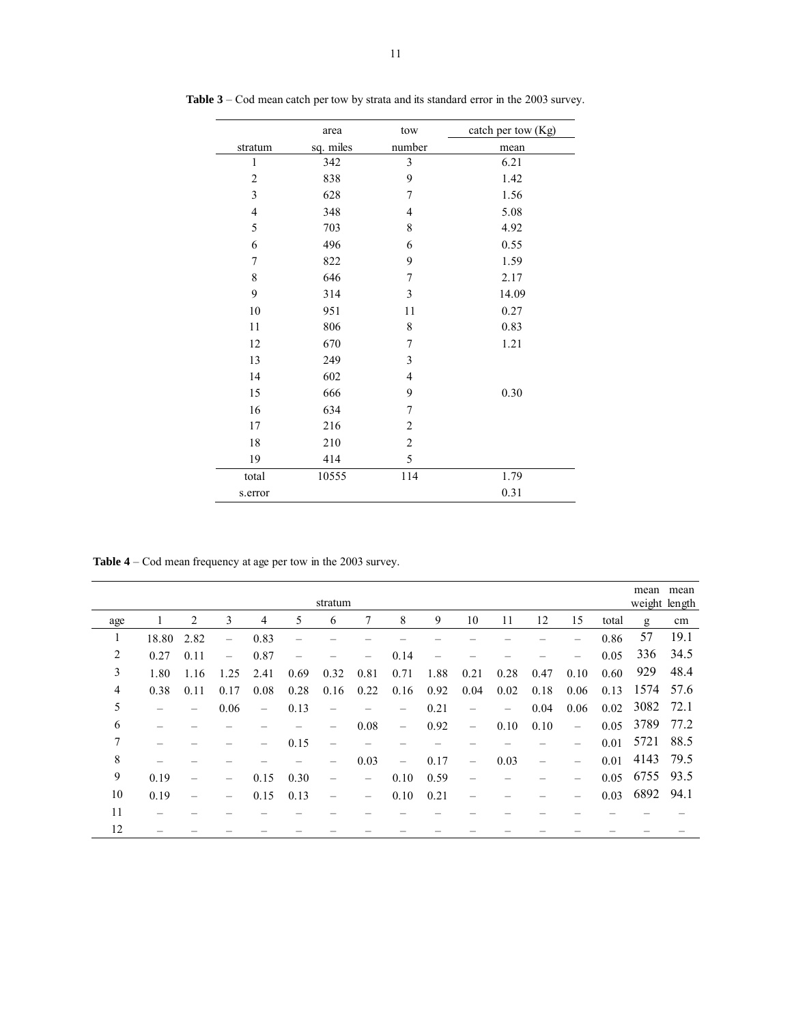|                | area      | tow            | catch per tow (Kg) |
|----------------|-----------|----------------|--------------------|
| stratum        | sq. miles | number         | mean               |
| $\mathbf{1}$   | 342       | 3              | 6.21               |
| $\overline{c}$ | 838       | 9              | 1.42               |
| 3              | 628       | 7              | 1.56               |
| $\overline{4}$ | 348       | $\overline{4}$ | 5.08               |
| 5              | 703       | 8              | 4.92               |
| 6              | 496       | 6              | 0.55               |
| $\overline{7}$ | 822       | 9              | 1.59               |
| 8              | 646       | 7              | 2.17               |
| 9              | 314       | 3              | 14.09              |
| 10             | 951       | 11             | 0.27               |
| 11             | 806       | 8              | 0.83               |
| 12             | 670       | 7              | 1.21               |
| 13             | 249       | 3              |                    |
| 14             | 602       | $\overline{4}$ |                    |
| 15             | 666       | 9              | 0.30               |
| 16             | 634       | 7              |                    |
| 17             | 216       | $\overline{c}$ |                    |
| 18             | 210       | $\overline{c}$ |                    |
| 19             | 414       | 5              |                    |
| total          | 10555     | 114            | 1.79               |
| s.error        |           |                | 0.31               |

**Table 3** – Cod mean catch per tow by strata and its standard error in the 2003 survey.

**Table 4** – Cod mean frequency at age per tow in the 2003 survey.

|     |       |      |                          |      |      | stratum                  |                   |                          |      |                                   |      |      |                                   |       | mean<br>weight length | mean |
|-----|-------|------|--------------------------|------|------|--------------------------|-------------------|--------------------------|------|-----------------------------------|------|------|-----------------------------------|-------|-----------------------|------|
| age |       | 2    | 3                        | 4    | 5    | 6                        |                   | 8                        | 9    | 10                                | 11   | 12   | 15                                | total | g                     | cm   |
|     | 18.80 | 2.82 |                          | 0.83 |      |                          |                   |                          |      |                                   |      |      | -                                 | 0.86  | 57                    | 19.1 |
| 2   | 0.27  | 0.11 | $\overline{\phantom{0}}$ | 0.87 |      |                          |                   | 0.14                     |      |                                   |      |      |                                   | 0.05  | 336                   | 34.5 |
| 3   | 1.80  | 1.16 | 1.25                     | 2.41 | 0.69 | 0.32                     | 0.81              | 0.71                     | 1.88 | 0.21                              | 0.28 | 0.47 | 0.10                              | 0.60  | 929                   | 48.4 |
| 4   | 0.38  | 0.11 | 0.17                     | 0.08 | 0.28 | 0.16                     | 0.22              | 0.16                     | 0.92 | 0.04                              | 0.02 | 0.18 | 0.06                              | 0.13  | 1574                  | 57.6 |
| 5   |       | -    | 0.06                     |      | 0.13 | -                        |                   | -                        | 0.21 | -                                 |      | 0.04 | 0.06                              | 0.02  | 3082                  | 72.1 |
| 6   |       |      |                          |      |      |                          | 0.08              | $\qquad \qquad -$        | 0.92 | $\overbrace{\phantom{123221111}}$ | 0.10 | 0.10 | $\overbrace{\phantom{123221111}}$ | 0.05  | 3789                  | 77.2 |
| 7   |       |      |                          |      | 0.15 |                          |                   |                          |      |                                   |      |      | -                                 | 0.01  | 5721                  | 88.5 |
| 8   |       |      |                          |      |      |                          | 0.03              | $\overline{\phantom{0}}$ | 0.17 | $\overline{\phantom{0}}$          | 0.03 |      | $\overline{\phantom{0}}$          | 0.01  | 4143                  | 79.5 |
| 9   | 0.19  |      |                          | 0.15 | 0.30 | $\overline{\phantom{0}}$ | $\qquad \qquad -$ | 0.10                     | 0.59 |                                   |      |      | $\overline{\phantom{0}}$          | 0.05  | 6755                  | 93.5 |
| 10  | 0.19  |      |                          | 0.15 | 0.13 | $\overline{\phantom{0}}$ | $\qquad \qquad -$ | 0.10                     | 0.21 |                                   |      |      |                                   | 0.03  | 6892                  | 94.1 |
| 11  |       |      |                          |      |      |                          |                   |                          |      |                                   |      |      |                                   |       |                       |      |
| 12  |       |      |                          |      |      |                          |                   |                          |      |                                   |      |      |                                   |       |                       |      |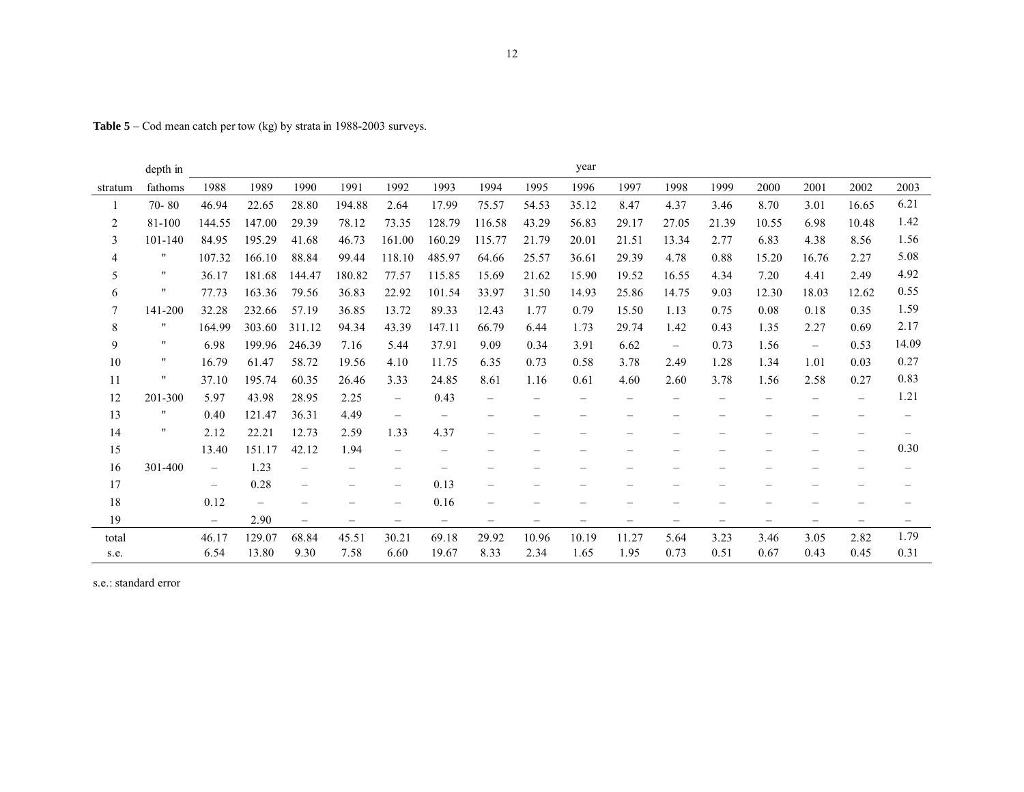**Table 5** – Cod mean catch per tow (kg) by strata in 1988-2003 surveys.

|         | depth in             |                          |        |                          |                          |                          |                   |                          |                   | year              |                          |                          |                   |                   |                   |                          |                          |
|---------|----------------------|--------------------------|--------|--------------------------|--------------------------|--------------------------|-------------------|--------------------------|-------------------|-------------------|--------------------------|--------------------------|-------------------|-------------------|-------------------|--------------------------|--------------------------|
| stratum | fathoms              | 1988                     | 1989   | 1990                     | 1991                     | 1992                     | 1993              | 1994                     | 1995              | 1996              | 1997                     | 1998                     | 1999              | 2000              | 2001              | 2002                     | 2003                     |
|         | $70 - 80$            | 46.94                    | 22.65  | 28.80                    | 194.88                   | 2.64                     | 17.99             | 75.57                    | 54.53             | 35.12             | 8.47                     | 4.37                     | 3.46              | 8.70              | 3.01              | 16.65                    | 6.21                     |
| 2       | 81-100               | 144.55                   | 147.00 | 29.39                    | 78.12                    | 73.35                    | 128.79            | 116.58                   | 43.29             | 56.83             | 29.17                    | 27.05                    | 21.39             | 10.55             | 6.98              | 10.48                    | 1.42                     |
| 3       | 101-140              | 84.95                    | 195.29 | 41.68                    | 46.73                    | 161.00                   | 160.29            | 115.77                   | 21.79             | 20.01             | 21.51                    | 13.34                    | 2.77              | 6.83              | 4.38              | 8.56                     | 1.56                     |
| 4       | "                    | 107.32                   | 166.10 | 88.84                    | 99.44                    | 118.10                   | 485.97            | 64.66                    | 25.57             | 36.61             | 29.39                    | 4.78                     | 0.88              | 15.20             | 16.76             | 2.27                     | 5.08                     |
| 5       | $\pmb{\mathfrak{m}}$ | 36.17                    | 181.68 | 144.47                   | 180.82                   | 77.57                    | 115.85            | 15.69                    | 21.62             | 15.90             | 19.52                    | 16.55                    | 4.34              | 7.20              | 4.41              | 2.49                     | 4.92                     |
| 6       | $\pmb{\mathsf{H}}$   | 77.73                    | 163.36 | 79.56                    | 36.83                    | 22.92                    | 101.54            | 33.97                    | 31.50             | 14.93             | 25.86                    | 14.75                    | 9.03              | 12.30             | 18.03             | 12.62                    | 0.55                     |
| 7       | 141-200              | 32.28                    | 232.66 | 57.19                    | 36.85                    | 13.72                    | 89.33             | 12.43                    | 1.77              | 0.79              | 15.50                    | 1.13                     | 0.75              | 0.08              | 0.18              | 0.35                     | 1.59                     |
| 8       | $\pmb{\mathsf{H}}$   | 164.99                   | 303.60 | 311.12                   | 94.34                    | 43.39                    | 147.11            | 66.79                    | 6.44              | 1.73              | 29.74                    | 1.42                     | 0.43              | 1.35              | 2.27              | 0.69                     | 2.17                     |
| 9       | $\pmb{\mathfrak{m}}$ | 6.98                     | 199.96 | 246.39                   | 7.16                     | 5.44                     | 37.91             | 9.09                     | 0.34              | 3.91              | 6.62                     | $\overline{\phantom{m}}$ | 0.73              | 1.56              | -                 | 0.53                     | 14.09                    |
| 10      | $\pmb{\mathsf{H}}$   | 16.79                    | 61.47  | 58.72                    | 19.56                    | 4.10                     | 11.75             | 6.35                     | 0.73              | 0.58              | 3.78                     | 2.49                     | 1.28              | 1.34              | 1.01              | 0.03                     | 0.27                     |
| 11      | $\pmb{\mathsf{H}}$   | 37.10                    | 195.74 | 60.35                    | 26.46                    | 3.33                     | 24.85             | 8.61                     | 1.16              | 0.61              | 4.60                     | 2.60                     | 3.78              | 1.56              | 2.58              | 0.27                     | 0.83                     |
| 12      | 201-300              | 5.97                     | 43.98  | 28.95                    | 2.25                     | $\overline{\phantom{0}}$ | 0.43              |                          |                   | -                 |                          |                          |                   |                   | -                 | $\overline{\phantom{0}}$ | 1.21                     |
| 13      | $^{\prime\prime}$    | 0.40                     | 121.47 | 36.31                    | 4.49                     |                          |                   |                          |                   |                   |                          |                          |                   |                   |                   |                          |                          |
| 14      | $^{\prime\prime}$    | 2.12                     | 22.21  | 12.73                    | 2.59                     | 1.33                     | 4.37              | $\overline{\phantom{0}}$ | ۰                 |                   |                          |                          |                   |                   |                   |                          |                          |
| 15      |                      | 13.40                    | 151.17 | 42.12                    | 1.94                     | $\overline{\phantom{0}}$ | $\qquad \qquad -$ |                          |                   |                   |                          |                          |                   |                   |                   |                          | 0.30                     |
| 16      | 301-400              | $-$                      | 1.23   | $\overline{\phantom{0}}$ | -                        | $\overline{\phantom{0}}$ |                   |                          |                   | —                 | $\overline{\phantom{0}}$ |                          |                   |                   |                   |                          | $\overline{\phantom{0}}$ |
| 17      |                      | $\overline{\phantom{0}}$ | 0.28   |                          |                          | $\overline{\phantom{0}}$ | 0.13              | $\overline{\phantom{0}}$ |                   |                   |                          |                          |                   |                   |                   |                          |                          |
| 18      |                      | 0.12                     |        |                          |                          |                          | 0.16              |                          |                   |                   |                          |                          |                   |                   |                   |                          |                          |
| 19      |                      | $\equiv$                 | 2.90   | $\overline{\phantom{0}}$ | $\overline{\phantom{m}}$ | $\qquad \qquad -$        | $\qquad \qquad -$ | -                        | $\qquad \qquad -$ | $\qquad \qquad -$ | $\qquad \qquad -$        | $\qquad \qquad -$        | $\qquad \qquad -$ | $\qquad \qquad -$ | $\qquad \qquad -$ | $\overline{\phantom{m}}$ | $\qquad \qquad -$        |
| total   |                      | 46.17                    | 129.07 | 68.84                    | 45.51                    | 30.21                    | 69.18             | 29.92                    | 10.96             | 10.19             | 11.27                    | 5.64                     | 3.23              | 3.46              | 3.05              | 2.82                     | 1.79                     |
| s.e.    |                      | 6.54                     | 13.80  | 9.30                     | 7.58                     | 6.60                     | 19.67             | 8.33                     | 2.34              | 1.65              | 1.95                     | 0.73                     | 0.51              | 0.67              | 0.43              | 0.45                     | 0.31                     |

s.e.: standard error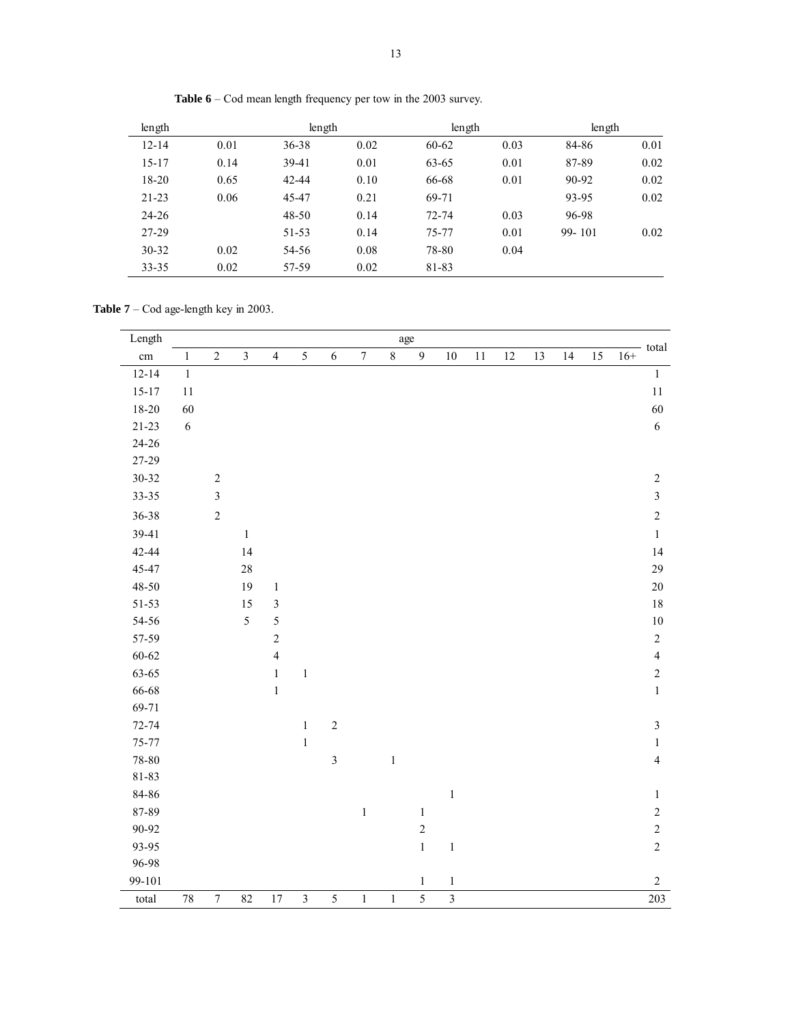| length    |      | length    |      | length    |      | length     |      |
|-----------|------|-----------|------|-----------|------|------------|------|
| $12 - 14$ | 0.01 | $36 - 38$ | 0.02 | $60 - 62$ | 0.03 | 84-86      | 0.01 |
| $15 - 17$ | 0.14 | 39-41     | 0.01 | 63-65     | 0.01 | 87-89      | 0.02 |
| 18-20     | 0.65 | 42-44     | 0.10 | 66-68     | 0.01 | 90-92      | 0.02 |
| $21 - 23$ | 0.06 | 45-47     | 0.21 | 69-71     |      | 93-95      | 0.02 |
| 24-26     |      | 48-50     | 0.14 | 72-74     | 0.03 | 96-98      |      |
| 27-29     |      | 51-53     | 0.14 | 75-77     | 0.01 | $99 - 101$ | 0.02 |
| $30 - 32$ | 0.02 | 54-56     | 0.08 | 78-80     | 0.04 |            |      |
| $33 - 35$ | 0.02 | 57-59     | 0.02 | 81-83     |      |            |      |

**Table 6** – Cod mean length frequency per tow in the 2003 survey.

**Table 7** – Cod age-length key in 2003.

| Length    |            |                  |                |                |                |                |                  |         | age          |                         |        |        |    |    |    |       | total          |
|-----------|------------|------------------|----------------|----------------|----------------|----------------|------------------|---------|--------------|-------------------------|--------|--------|----|----|----|-------|----------------|
| cm        | $\,1$      | $\sqrt{2}$       | $\overline{3}$ | $\overline{4}$ | 5              | 6              | $\boldsymbol{7}$ | $\,8\,$ | $\mathbf{9}$ | $10\,$                  | $1\,1$ | $12\,$ | 13 | 14 | 15 | $16+$ |                |
| $12 - 14$ | $\,1\,$    |                  |                |                |                |                |                  |         |              |                         |        |        |    |    |    |       | $\,1\,$        |
| $15 - 17$ | $1\,1$     |                  |                |                |                |                |                  |         |              |                         |        |        |    |    |    |       | $1\,1$         |
| 18-20     | 60         |                  |                |                |                |                |                  |         |              |                         |        |        |    |    |    |       | 60             |
| $21 - 23$ | $\sqrt{6}$ |                  |                |                |                |                |                  |         |              |                         |        |        |    |    |    |       | $\sqrt{6}$     |
| 24-26     |            |                  |                |                |                |                |                  |         |              |                         |        |        |    |    |    |       |                |
| 27-29     |            |                  |                |                |                |                |                  |         |              |                         |        |        |    |    |    |       |                |
| $30 - 32$ |            | $\sqrt{2}$       |                |                |                |                |                  |         |              |                         |        |        |    |    |    |       | $\sqrt{2}$     |
| 33-35     |            | $\mathfrak{Z}$   |                |                |                |                |                  |         |              |                         |        |        |    |    |    |       | $\sqrt{3}$     |
| 36-38     |            | $\sqrt{2}$       |                |                |                |                |                  |         |              |                         |        |        |    |    |    |       | $\sqrt{2}$     |
| 39-41     |            |                  | $\,1$          |                |                |                |                  |         |              |                         |        |        |    |    |    |       | $\,1\,$        |
| 42-44     |            |                  | 14             |                |                |                |                  |         |              |                         |        |        |    |    |    |       | 14             |
| 45-47     |            |                  | $28\,$         |                |                |                |                  |         |              |                         |        |        |    |    |    |       | 29             |
| 48-50     |            |                  | 19             | $\,1\,$        |                |                |                  |         |              |                         |        |        |    |    |    |       | $20\,$         |
| $51 - 53$ |            |                  | 15             | $\mathfrak{Z}$ |                |                |                  |         |              |                         |        |        |    |    |    |       | $18\,$         |
| 54-56     |            |                  | 5              | 5              |                |                |                  |         |              |                         |        |        |    |    |    |       | $10\,$         |
| 57-59     |            |                  |                | $\sqrt{2}$     |                |                |                  |         |              |                         |        |        |    |    |    |       | $\sqrt{2}$     |
| $60 - 62$ |            |                  |                | $\overline{4}$ |                |                |                  |         |              |                         |        |        |    |    |    |       | $\overline{4}$ |
| 63-65     |            |                  |                | $\,1\,$        | $\,1$          |                |                  |         |              |                         |        |        |    |    |    |       | $\sqrt{2}$     |
| 66-68     |            |                  |                | $\,1$          |                |                |                  |         |              |                         |        |        |    |    |    |       | $\,1\,$        |
| 69-71     |            |                  |                |                |                |                |                  |         |              |                         |        |        |    |    |    |       |                |
| $72 - 74$ |            |                  |                |                | $\,1$          | $\sqrt{2}$     |                  |         |              |                         |        |        |    |    |    |       | $\sqrt{3}$     |
| 75-77     |            |                  |                |                | $\,1$          |                |                  |         |              |                         |        |        |    |    |    |       | $\,1\,$        |
| 78-80     |            |                  |                |                |                | $\overline{3}$ |                  | $\,1$   |              |                         |        |        |    |    |    |       | $\overline{4}$ |
| 81-83     |            |                  |                |                |                |                |                  |         |              |                         |        |        |    |    |    |       |                |
| 84-86     |            |                  |                |                |                |                |                  |         |              | $\,1\,$                 |        |        |    |    |    |       | $\,1\,$        |
| 87-89     |            |                  |                |                |                |                | $\,1\,$          |         | $\,1$        |                         |        |        |    |    |    |       | $\sqrt{2}$     |
| 90-92     |            |                  |                |                |                |                |                  |         | $\sqrt{2}$   |                         |        |        |    |    |    |       | $\sqrt{2}$     |
| 93-95     |            |                  |                |                |                |                |                  |         | $\,1\,$      | $\,1\,$                 |        |        |    |    |    |       | $\sqrt{2}$     |
| 96-98     |            |                  |                |                |                |                |                  |         |              |                         |        |        |    |    |    |       |                |
| 99-101    |            |                  |                |                |                |                |                  |         | $\mathbf{1}$ | $\,1$                   |        |        |    |    |    |       | $\sqrt{2}$     |
| total     | $78\,$     | $\boldsymbol{7}$ | 82             | 17             | $\overline{3}$ | $\sqrt{5}$     | $\,1$            | $\,1$   | 5            | $\overline{\mathbf{3}}$ |        |        |    |    |    |       | 203            |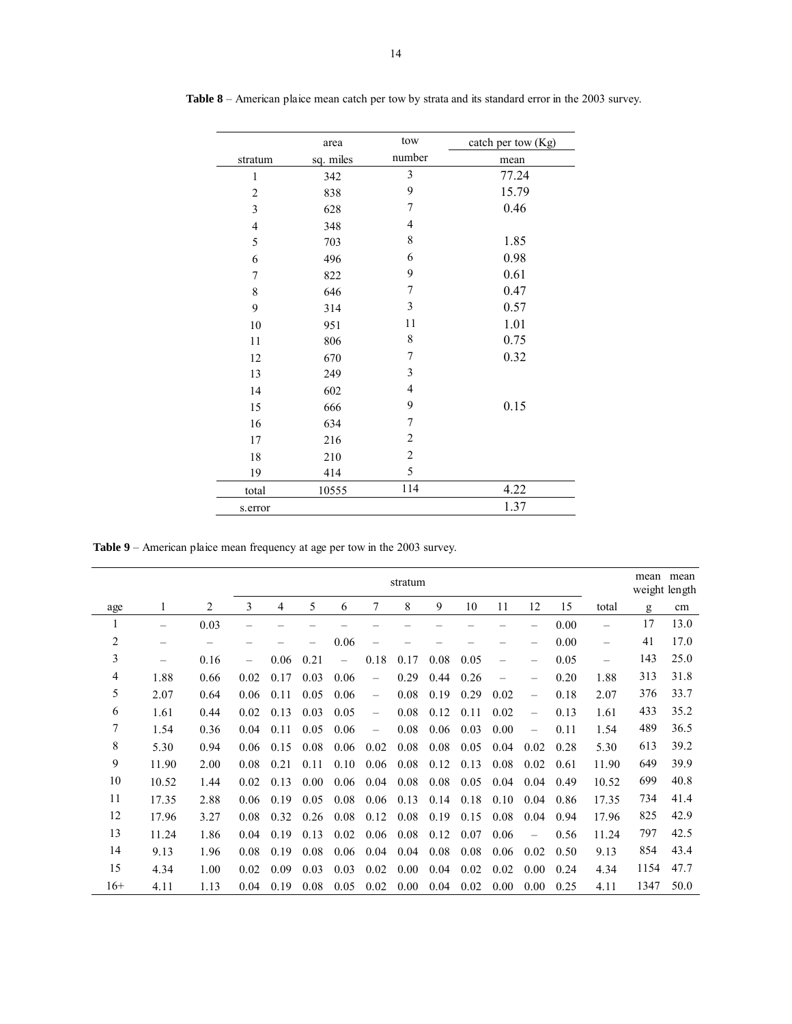|                  | area      | tow            | catch per tow (Kg) |
|------------------|-----------|----------------|--------------------|
| stratum          | sq. miles | number         | mean               |
| $\mathbf{1}$     | 342       | 3              | 77.24              |
| $\overline{c}$   | 838       | 9              | 15.79              |
| $\mathfrak{Z}$   | 628       | 7              | 0.46               |
| $\overline{4}$   | 348       | $\overline{4}$ |                    |
| 5                | 703       | 8              | 1.85               |
| 6                | 496       | 6              | 0.98               |
| $\boldsymbol{7}$ | 822       | 9              | 0.61               |
| $\,$ $\,$        | 646       | 7              | 0.47               |
| 9                | 314       | $\mathfrak{Z}$ | 0.57               |
| 10               | 951       | 11             | 1.01               |
| 11               | 806       | 8              | 0.75               |
| 12               | 670       | 7              | 0.32               |
| 13               | 249       | 3              |                    |
| 14               | 602       | 4              |                    |
| 15               | 666       | 9              | 0.15               |
| 16               | 634       | 7              |                    |
| 17               | 216       | $\overline{c}$ |                    |
| 18               | 210       | $\overline{c}$ |                    |
| 19               | 414       | 5              |                    |
| total            | 10555     | 114            | 4.22               |
| s.error          |           |                | 1.37               |

**Table 8** – American plaice mean catch per tow by strata and its standard error in the 2003 survey.

**Table 9** – American plaice mean frequency at age per tow in the 2003 survey.

|                |                   |      |                          |      |      |      |                          | mean | mean<br>weight length |      |      |                          |      |                          |      |      |
|----------------|-------------------|------|--------------------------|------|------|------|--------------------------|------|-----------------------|------|------|--------------------------|------|--------------------------|------|------|
| age            |                   | 2    | 3                        | 4    | 5    | 6    | 7                        | 8    | 9                     | 10   | 11   | 12                       | 15   | total                    | g    | cm   |
|                | -                 | 0.03 |                          |      |      |      |                          |      |                       |      |      | -                        | 0.00 | —                        | 17   | 13.0 |
| $\overline{c}$ |                   | -    |                          |      |      | 0.06 |                          |      |                       |      |      | —                        | 0.00 | $\overline{\phantom{0}}$ | 41   | 17.0 |
| 3              | $\qquad \qquad -$ | 0.16 | $\overline{\phantom{0}}$ | 0.06 | 0.21 |      | 0.18                     | 0.17 | 0.08                  | 0.05 | -    | $\qquad \qquad -$        | 0.05 |                          | 143  | 25.0 |
| 4              | 1.88              | 0.66 | 0.02                     | 0.17 | 0.03 | 0.06 | $\overline{\phantom{0}}$ | 0.29 | 0.44                  | 0.26 | -    | -                        | 0.20 | 1.88                     | 313  | 31.8 |
| 5              | 2.07              | 0.64 | 0.06                     | 0.11 | 0.05 | 0.06 |                          | 0.08 | 0.19                  | 0.29 | 0.02 | $\overline{\phantom{0}}$ | 0.18 | 2.07                     | 376  | 33.7 |
| 6              | 1.61              | 0.44 | 0.02                     | 0.13 | 0.03 | 0.05 | $\overline{\phantom{0}}$ | 0.08 | 0.12                  | 0.11 | 0.02 | $\overline{\phantom{0}}$ | 0.13 | 1.61                     | 433  | 35.2 |
| 7              | 1.54              | 0.36 | 0.04                     | 0.11 | 0.05 | 0.06 | $\overline{\phantom{0}}$ | 0.08 | 0.06                  | 0.03 | 0.00 | $\overline{\phantom{0}}$ | 0.11 | 1.54                     | 489  | 36.5 |
| 8              | 5.30              | 0.94 | 0.06                     | 0.15 | 0.08 | 0.06 | 0.02                     | 0.08 | 0.08                  | 0.05 | 0.04 | 0.02                     | 0.28 | 5.30                     | 613  | 39.2 |
| 9              | 11.90             | 2.00 | 0.08                     | 0.21 | 0.11 | 0.10 | 0.06                     | 0.08 | 0.12                  | 0.13 | 0.08 | 0.02                     | 0.61 | 11.90                    | 649  | 39.9 |
| 10             | 10.52             | 1.44 | 0.02                     | 0.13 | 0.00 | 0.06 | 0.04                     | 0.08 | 0.08                  | 0.05 | 0.04 | 0.04                     | 0.49 | 10.52                    | 699  | 40.8 |
| 11             | 17.35             | 2.88 | 0.06                     | 0.19 | 0.05 | 0.08 | 0.06                     | 0.13 | 0.14                  | 0.18 | 0.10 | 0.04                     | 0.86 | 17.35                    | 734  | 41.4 |
| 12             | 17.96             | 3.27 | 0.08                     | 0.32 | 0.26 | 0.08 | 0.12                     | 0.08 | 0.19                  | 0.15 | 0.08 | 0.04                     | 0.94 | 17.96                    | 825  | 42.9 |
| 13             | 11.24             | 1.86 | 0.04                     | 0.19 | 0.13 | 0.02 | 0.06                     | 0.08 | 0.12                  | 0.07 | 0.06 |                          | 0.56 | 11.24                    | 797  | 42.5 |
| 14             | 9.13              | 1.96 | 0.08                     | 0.19 | 0.08 | 0.06 | 0.04                     | 0.04 | 0.08                  | 0.08 | 0.06 | 0.02                     | 0.50 | 9.13                     | 854  | 43.4 |
| 15             | 4.34              | 1.00 | 0.02                     | 0.09 | 0.03 | 0.03 | 0.02                     | 0.00 | 0.04                  | 0.02 | 0.02 | 0.00                     | 0.24 | 4.34                     | 1154 | 47.7 |
| $16+$          | 4.11              | 1.13 | 0.04                     | 0.19 | 0.08 | 0.05 | 0.02                     | 0.00 | 0.04                  | 0.02 | 0.00 | 0.00                     | 0.25 | 4.11                     | 1347 | 50.0 |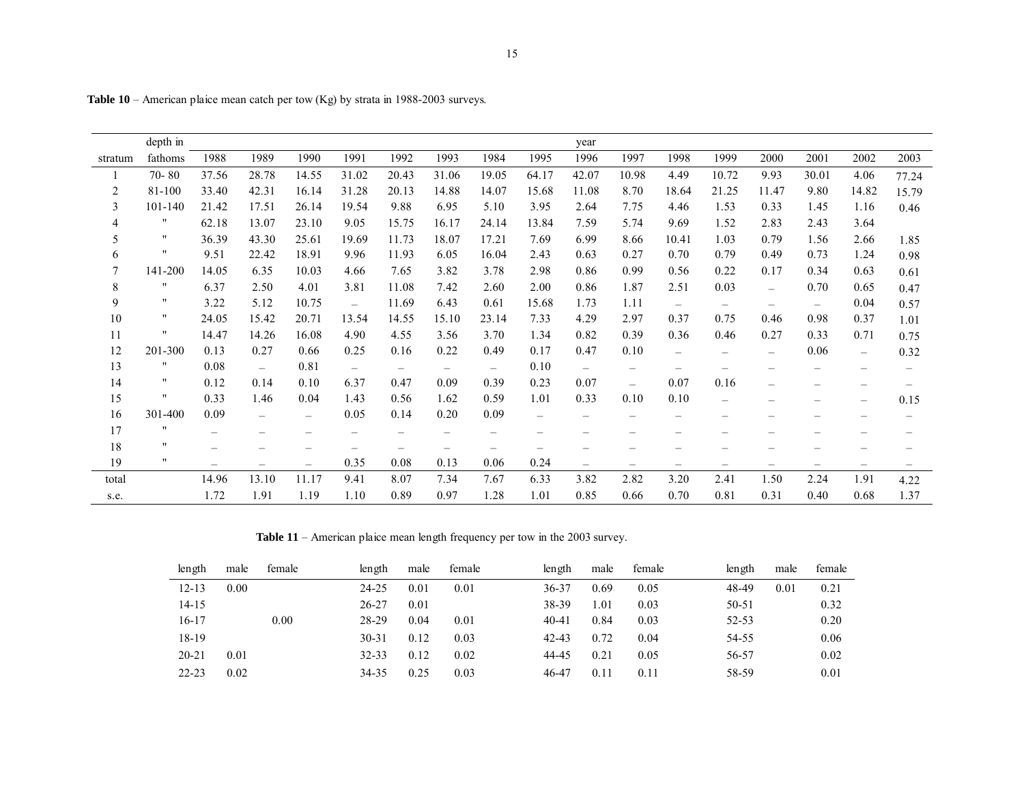|                | depth in             |       |                          |                          |                          |                          |                   |                          |                   | year                     |                          |                          |                          |                          |                          |                          |                          |
|----------------|----------------------|-------|--------------------------|--------------------------|--------------------------|--------------------------|-------------------|--------------------------|-------------------|--------------------------|--------------------------|--------------------------|--------------------------|--------------------------|--------------------------|--------------------------|--------------------------|
| stratum        | fathoms              | 1988  | 1989                     | 1990                     | 1991                     | 1992                     | 1993              | 1984                     | 1995              | 1996                     | 1997                     | 1998                     | 1999                     | 2000                     | 2001                     | 2002                     | 2003                     |
|                | $70 - 80$            | 37.56 | 28.78                    | 14.55                    | 31.02                    | 20.43                    | 31.06             | 19.05                    | 64.17             | 42.07                    | 10.98                    | 4.49                     | 10.72                    | 9.93                     | 30.01                    | 4.06                     | 77.24                    |
| $\overline{c}$ | 81-100               | 33.40 | 42.31                    | 16.14                    | 31.28                    | 20.13                    | 14.88             | 14.07                    | 15.68             | 11.08                    | 8.70                     | 18.64                    | 21.25                    | 11.47                    | 9.80                     | 14.82                    | 15.79                    |
| 3              | 101-140              | 21.42 | 17.51                    | 26.14                    | 19.54                    | 9.88                     | 6.95              | 5.10                     | 3.95              | 2.64                     | 7.75                     | 4.46                     | 1.53                     | 0.33                     | 1.45                     | 1.16                     | 0.46                     |
| 4              | $\pmb{\mathsf{H}}$   | 62.18 | 13.07                    | 23.10                    | 9.05                     | 15.75                    | 16.17             | 24.14                    | 13.84             | 7.59                     | 5.74                     | 9.69                     | 1.52                     | 2.83                     | 2.43                     | 3.64                     |                          |
| 5              | $\pmb{\mathsf{H}}$   | 36.39 | 43.30                    | 25.61                    | 19.69                    | 11.73                    | 18.07             | 17.21                    | 7.69              | 6.99                     | 8.66                     | 10.41                    | 1.03                     | 0.79                     | 1.56                     | 2.66                     | 1.85                     |
| 6              | $^{\prime\prime}$    | 9.51  | 22.42                    | 18.91                    | 9.96                     | 11.93                    | 6.05              | 16.04                    | 2.43              | 0.63                     | 0.27                     | 0.70                     | 0.79                     | 0.49                     | 0.73                     | 1.24                     | 0.98                     |
| 7              | 141-200              | 14.05 | 6.35                     | 10.03                    | 4.66                     | 7.65                     | 3.82              | 3.78                     | 2.98              | 0.86                     | 0.99                     | 0.56                     | 0.22                     | 0.17                     | 0.34                     | 0.63                     | 0.61                     |
| 8              | $\pmb{\mathsf{H}}$   | 6.37  | 2.50                     | 4.01                     | 3.81                     | 11.08                    | 7.42              | 2.60                     | 2.00              | 0.86                     | 1.87                     | 2.51                     | 0.03                     | $\overline{\phantom{0}}$ | 0.70                     | 0.65                     | 0.47                     |
| 9              | $\pmb{\mathsf{H}}$   | 3.22  | 5.12                     | 10.75                    | $\overline{\phantom{0}}$ | 11.69                    | 6.43              | 0.61                     | 15.68             | 1.73                     | 1.11                     | $\overline{\phantom{m}}$ | $\qquad \qquad -$        | $\overline{\phantom{m}}$ | $\overline{\phantom{0}}$ | 0.04                     | 0.57                     |
| 10             | 11                   | 24.05 | 15.42                    | 20.71                    | 13.54                    | 14.55                    | 15.10             | 23.14                    | 7.33              | 4.29                     | 2.97                     | 0.37                     | 0.75                     | 0.46                     | 0.98                     | 0.37                     | 1.01                     |
| 11             | 11                   | 14.47 | 14.26                    | 16.08                    | 4.90                     | 4.55                     | 3.56              | 3.70                     | 1.34              | 0.82                     | 0.39                     | 0.36                     | 0.46                     | 0.27                     | 0.33                     | 0.71                     | 0.75                     |
| 12             | 201-300              | 0.13  | 0.27                     | 0.66                     | 0.25                     | 0.16                     | 0.22              | 0.49                     | 0.17              | 0.47                     | 0.10                     | $\overline{\phantom{0}}$ | $\overline{\phantom{0}}$ | $\overline{\phantom{0}}$ | 0.06                     | $\overline{\phantom{m}}$ | 0.32                     |
| 13             | 11                   | 0.08  | $\overline{\phantom{0}}$ | 0.81                     | $\overline{\phantom{0}}$ | $\qquad \qquad -$        | $\qquad \qquad -$ | $\qquad \qquad -$        | 0.10              | $-$                      | $\qquad \qquad -$        | $\overline{\phantom{m}}$ |                          |                          | -                        |                          | $\overline{\phantom{m}}$ |
| 14             | 11                   | 0.12  | 0.14                     | 0.10                     | 6.37                     | 0.47                     | 0.09              | 0.39                     | 0.23              | 0.07                     | $\overline{\phantom{0}}$ | 0.07                     | 0.16                     | $\qquad \qquad -$        |                          |                          |                          |
| 15             | $\pmb{\mathfrak{m}}$ | 0.33  | 1.46                     | 0.04                     | 1.43                     | 0.56                     | 1.62              | 0.59                     | 1.01              | 0.33                     | 0.10                     | 0.10                     | $\qquad \qquad -$        | —                        | -                        | $\overline{\phantom{0}}$ | 0.15                     |
| 16             | 301-400              | 0.09  | $\overline{\phantom{0}}$ |                          | 0.05                     | 0.14                     | 0.20              | 0.09                     | $\qquad \qquad -$ | $\overline{\phantom{0}}$ | -                        | $\qquad \qquad -$        | $\overline{\phantom{0}}$ |                          | -                        |                          | $\overline{\phantom{m}}$ |
| 17             | $\mathbf{H}$         |       | -                        | $\overline{\phantom{0}}$ | $\overline{\phantom{0}}$ | $\overline{\phantom{0}}$ | -                 | -                        |                   |                          |                          | -                        |                          |                          |                          |                          |                          |
| 18             | 11                   |       |                          |                          |                          |                          |                   | $\overline{\phantom{0}}$ |                   |                          |                          |                          |                          |                          |                          |                          |                          |
| 19             | $\pmb{\mathsf{H}}$   | -     | -                        | $\overline{\phantom{0}}$ | 0.35                     | 0.08                     | 0.13              | 0.06                     | 0.24              | -                        | -                        | $\overline{\phantom{m}}$ | $\qquad \qquad -$        | $\overline{\phantom{0}}$ | -                        | $\overline{\phantom{0}}$ |                          |
| total          |                      | 14.96 | 13.10                    | 11.17                    | 9.41                     | 8.07                     | 7.34              | 7.67                     | 6.33              | 3.82                     | 2.82                     | 3.20                     | 2.41                     | 1.50                     | 2.24                     | 1.91                     | 4.22                     |
| s.e.           |                      | 1.72  | 1.91                     | 1.19                     | 1.10                     | 0.89                     | 0.97              | 1.28                     | 1.01              | 0.85                     | 0.66                     | 0.70                     | 0.81                     | 0.31                     | 0.40                     | 0.68                     | 1.37                     |

**Table 10** – American plaice mean catch per tow (Kg) by strata in 1988-2003 surveys.

**Table 11** – American plaice mean length frequency per tow in the 2003 survey.

| length    | male | female | length    | male | female | length    | male | female | length    | male | female |
|-----------|------|--------|-----------|------|--------|-----------|------|--------|-----------|------|--------|
| $12 - 13$ | 0.00 |        | $24 - 25$ | 0.01 | 0.01   | 36-37     | 0.69 | 0.05   | 48-49     | 0.01 | 0.21   |
| 14-15     |      |        | $26 - 27$ | 0.01 |        | 38-39     | l.01 | 0.03   | $50 - 51$ |      | 0.32   |
| 16-17     |      | 0.00   | 28-29     | 0.04 | 0.01   | $40 - 41$ | 0.84 | 0.03   | $52 - 53$ |      | 0.20   |
| 18-19     |      |        | $30 - 31$ | 0.12 | 0.03   | $42 - 43$ | 0.72 | 0.04   | 54-55     |      | 0.06   |
| $20 - 21$ | 0.01 |        | $32 - 33$ | 0.12 | 0.02   | 44-45     | 0.21 | 0.05   | 56-57     |      | 0.02   |
| $22 - 23$ | 0.02 |        | 34-35     | 0.25 | 0.03   | 46-47     | 0.11 | 0.11   | 58-59     |      | 0.01   |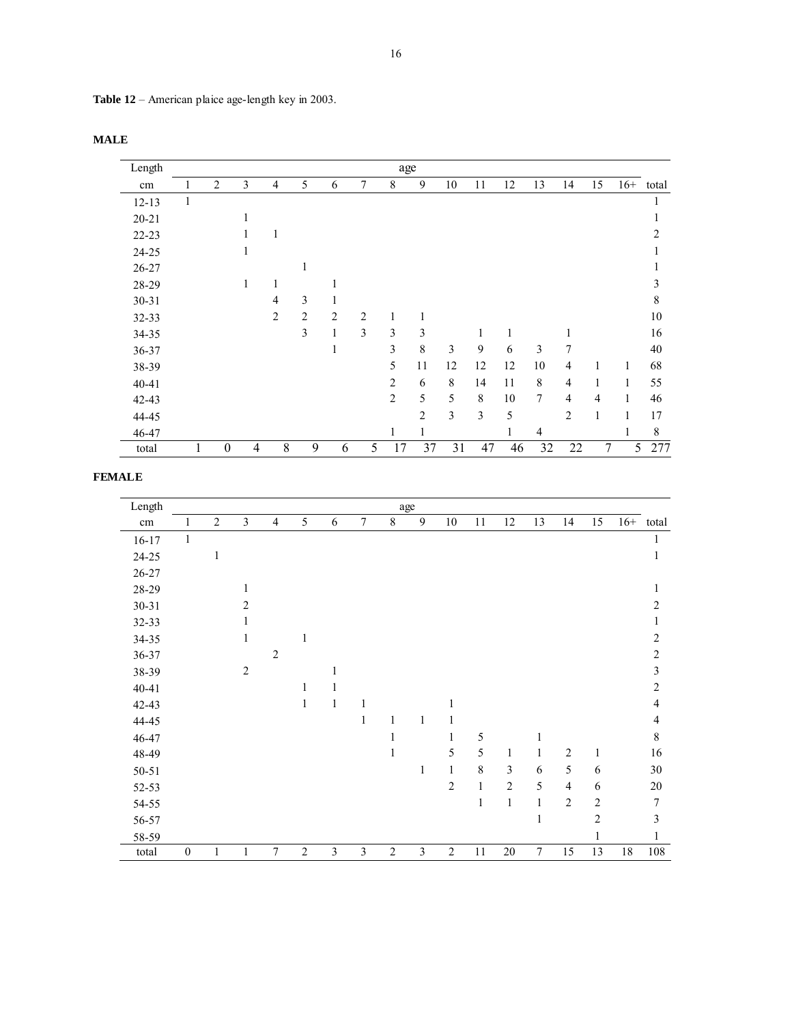**Table 12** – American plaice age-length key in 2003.

| Length    |              |                |                |                |                |                |                | age            |                |             |    |    |                |                |                |       |                |
|-----------|--------------|----------------|----------------|----------------|----------------|----------------|----------------|----------------|----------------|-------------|----|----|----------------|----------------|----------------|-------|----------------|
| cm        |              | $\overline{2}$ | 3              | 4              | 5              | 6              | 7              | 8              | 9              | 10          | 11 | 12 | 13             | 14             | 15             | $16+$ | total          |
| $12 - 13$ | $\mathbf{1}$ |                |                |                |                |                |                |                |                |             |    |    |                |                |                |       | 1              |
| $20 - 21$ |              |                | л.             |                |                |                |                |                |                |             |    |    |                |                |                |       | 1              |
| $22 - 23$ |              |                |                | 1              |                |                |                |                |                |             |    |    |                |                |                |       | $\overline{2}$ |
| 24-25     |              |                | 1              |                |                |                |                |                |                |             |    |    |                |                |                |       | 1              |
| $26 - 27$ |              |                |                |                | 1              |                |                |                |                |             |    |    |                |                |                |       | 1              |
| 28-29     |              |                | 1              | 1              |                | 1              |                |                |                |             |    |    |                |                |                |       | 3              |
| $30 - 31$ |              |                |                | 4              | 3              | 1              |                |                |                |             |    |    |                |                |                |       | $\,8\,$        |
| 32-33     |              |                |                | $\overline{2}$ | $\overline{2}$ | $\overline{2}$ | $\overline{2}$ | 1              | 1              |             |    |    |                |                |                |       | $10\,$         |
| 34-35     |              |                |                |                | 3              | $\mathbf{1}$   | 3              | 3              | 3              |             |    | 1  |                |                |                |       | 16             |
| 36-37     |              |                |                |                |                | 1              |                | 3              | 8              | 3           | 9  | 6  | 3              | 7              |                |       | 40             |
| 38-39     |              |                |                |                |                |                |                | 5              | 11             | 12          | 12 | 12 | 10             | $\overline{4}$ | 1              | 1     | 68             |
| $40 - 41$ |              |                |                |                |                |                |                | $\overline{c}$ | 6              | $\,$ 8 $\,$ | 14 | 11 | $\,8\,$        | $\overline{4}$ | 1              | 1     | 55             |
| $42 - 43$ |              |                |                |                |                |                |                | $\overline{c}$ | 5              | 5           | 8  | 10 | $\tau$         | $\overline{4}$ | $\overline{4}$ | 1     | 46             |
| 44-45     |              |                |                |                |                |                |                |                | $\overline{c}$ | 3           | 3  | 5  |                | $\overline{c}$ | $\mathbf{1}$   | 1     | 17             |
| 46-47     |              |                |                |                |                |                |                | 1              | 1              |             |    | 1  | $\overline{4}$ |                |                | 1     | $\,8\,$        |
| total     |              | $\mathbf{0}$   | $\overline{4}$ | 8              | 9              | 6              | 5              | 17             | 37             | 31          | 47 | 46 | 32             | 22             | $\overline{7}$ | 5     | 277            |

# **FEMALE**

| Length    |                  |                |                |                |                |            |        |                | age            |                |              |                |                |                |                |       |                |
|-----------|------------------|----------------|----------------|----------------|----------------|------------|--------|----------------|----------------|----------------|--------------|----------------|----------------|----------------|----------------|-------|----------------|
| cm        |                  | $\overline{2}$ | 3              | $\overline{4}$ | 5              | $\sqrt{6}$ | $\tau$ | $8\,$          | 9              | $10\,$         | $11\,$       | 12             | 13             | 14             | 15             | $16+$ | total          |
| $16 - 17$ | $\mathbf{1}$     |                |                |                |                |            |        |                |                |                |              |                |                |                |                |       | 1              |
| 24-25     |                  | 1              |                |                |                |            |        |                |                |                |              |                |                |                |                |       | $\mathbf{1}$   |
| 26-27     |                  |                |                |                |                |            |        |                |                |                |              |                |                |                |                |       |                |
| 28-29     |                  |                | 1              |                |                |            |        |                |                |                |              |                |                |                |                |       | 1              |
| 30-31     |                  |                | $\overline{2}$ |                |                |            |        |                |                |                |              |                |                |                |                |       | 2              |
| 32-33     |                  |                | 1              |                |                |            |        |                |                |                |              |                |                |                |                |       | 1              |
| 34-35     |                  |                | 1              |                | 1              |            |        |                |                |                |              |                |                |                |                |       | $\overline{c}$ |
| 36-37     |                  |                |                | $\overline{2}$ |                |            |        |                |                |                |              |                |                |                |                |       | $\overline{c}$ |
| 38-39     |                  |                | $\overline{2}$ |                |                |            |        |                |                |                |              |                |                |                |                |       | $\mathfrak{Z}$ |
| $40 - 41$ |                  |                |                |                | 1              |            |        |                |                |                |              |                |                |                |                |       | $\overline{c}$ |
| 42-43     |                  |                |                |                | $\mathbf{1}$   | 1          | 1      |                |                | 1              |              |                |                |                |                |       | 4              |
| 44-45     |                  |                |                |                |                |            | 1      | 1              | 1              |                |              |                |                |                |                |       | 4              |
| 46-47     |                  |                |                |                |                |            |        | 1              |                |                | 5            |                | 1              |                |                |       | 8              |
| 48-49     |                  |                |                |                |                |            |        | 1              |                | 5              | 5            | $\mathbf{1}$   | $\mathbf{1}$   | $\overline{2}$ | $\mathbf{1}$   |       | 16             |
| 50-51     |                  |                |                |                |                |            |        |                | 1              | $\mathbf{1}$   | 8            | $\mathfrak{Z}$ | 6              | 5              | 6              |       | $30\,$         |
| 52-53     |                  |                |                |                |                |            |        |                |                | $\overline{c}$ | $\mathbf{1}$ | $\overline{2}$ | 5              | $\overline{4}$ | 6              |       | 20             |
| 54-55     |                  |                |                |                |                |            |        |                |                |                | 1            | $\mathbf{1}$   | $\mathbf{1}$   | $\overline{2}$ | $\sqrt{2}$     |       | $\overline{7}$ |
| 56-57     |                  |                |                |                |                |            |        |                |                |                |              |                | $\,1$          |                | $\overline{c}$ |       | 3              |
| 58-59     |                  |                |                |                |                |            |        |                |                |                |              |                |                |                | 1              |       | $\mathbf{1}$   |
| total     | $\boldsymbol{0}$ | $\mathbf{1}$   | 1              | 7              | $\overline{c}$ | 3          | 3      | $\overline{c}$ | $\mathfrak{Z}$ | $\overline{c}$ | 11           | $20\,$         | $\overline{7}$ | 15             | 13             | 18    | 108            |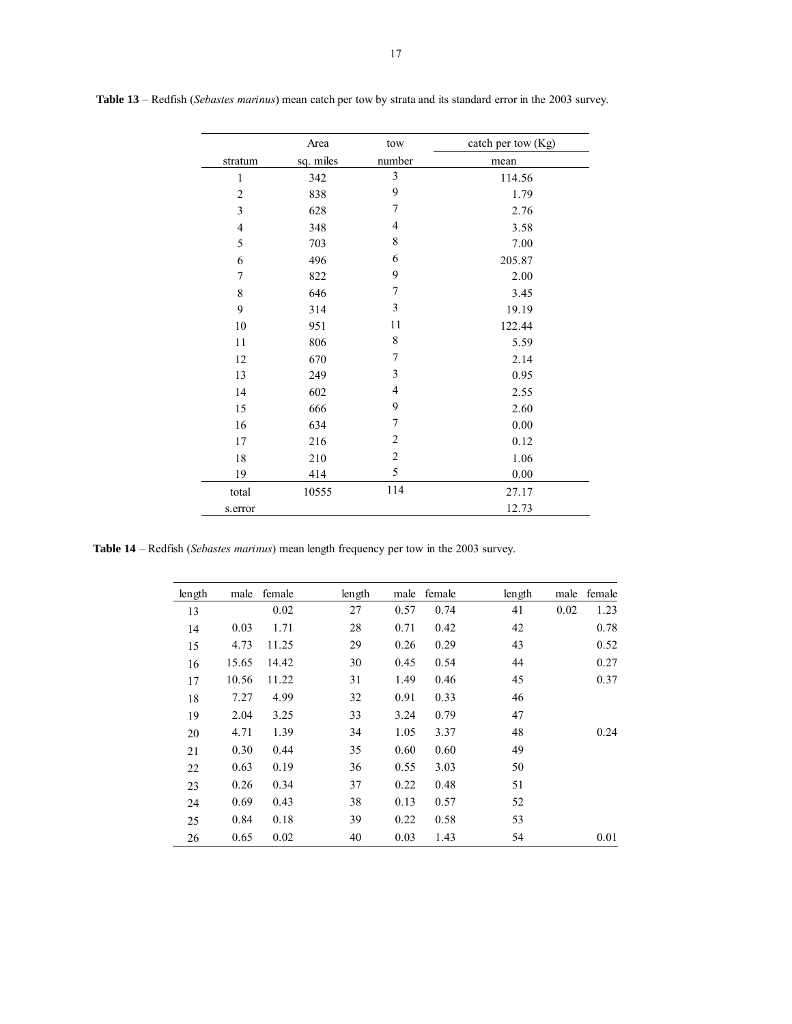|                | Area      | tow                     | catch per tow (Kg) |
|----------------|-----------|-------------------------|--------------------|
| stratum        | sq. miles | number                  | mean               |
| $\mathbf{1}$   | 342       | $\overline{\mathbf{3}}$ | 114.56             |
| $\overline{2}$ | 838       | 9                       | 1.79               |
| $\mathfrak{Z}$ | 628       | 7                       | 2.76               |
| $\overline{4}$ | 348       | $\overline{4}$          | 3.58               |
| 5              | 703       | 8                       | 7.00               |
| 6              | 496       | 6                       | 205.87             |
| $\tau$         | 822       | 9                       | 2.00               |
| $\,$ $\,$      | 646       | 7                       | 3.45               |
| 9              | 314       | $\mathfrak{Z}$          | 19.19              |
| 10             | 951       | 11                      | 122.44             |
| 11             | 806       | 8                       | 5.59               |
| 12             | 670       | 7                       | 2.14               |
| 13             | 249       | 3                       | 0.95               |
| 14             | 602       | $\overline{4}$          | 2.55               |
| 15             | 666       | 9                       | 2.60               |
| 16             | 634       | 7                       | 0.00               |
| 17             | 216       | $\overline{2}$          | 0.12               |
| 18             | 210       | $\overline{2}$          | 1.06               |
| 19             | 414       | 5                       | 0.00               |
| total          | 10555     | 114                     | 27.17              |
| s.error        |           |                         | 12.73              |

 **Table 13** – Redfish (*Sebastes marinus*) mean catch per tow by strata and its standard error in the 2003 survey.

**Table 14** – Redfish (*Sebastes marinus*) mean length frequency per tow in the 2003 survey.

| length | male  | female | length | male | female | length | male | female |
|--------|-------|--------|--------|------|--------|--------|------|--------|
| 13     |       | 0.02   | 27     | 0.57 | 0.74   | 41     | 0.02 | 1.23   |
| 14     | 0.03  | 1.71   | 28     | 0.71 | 0.42   | 42     |      | 0.78   |
| 15     | 4.73  | 11.25  | 29     | 0.26 | 0.29   | 43     |      | 0.52   |
| 16     | 15.65 | 14.42  | 30     | 0.45 | 0.54   | 44     |      | 0.27   |
| 17     | 10.56 | 11.22  | 31     | 1.49 | 0.46   | 45     |      | 0.37   |
| 18     | 7.27  | 4.99   | 32     | 0.91 | 0.33   | 46     |      |        |
| 19     | 2.04  | 3.25   | 33     | 3.24 | 0.79   | 47     |      |        |
| 20     | 4.71  | 1.39   | 34     | 1.05 | 3.37   | 48     |      | 0.24   |
| 21     | 0.30  | 0.44   | 35     | 0.60 | 0.60   | 49     |      |        |
| 22     | 0.63  | 0.19   | 36     | 0.55 | 3.03   | 50     |      |        |
| 23     | 0.26  | 0.34   | 37     | 0.22 | 0.48   | 51     |      |        |
| 24     | 0.69  | 0.43   | 38     | 0.13 | 0.57   | 52     |      |        |
| 25     | 0.84  | 0.18   | 39     | 0.22 | 0.58   | 53     |      |        |
| 26     | 0.65  | 0.02   | 40     | 0.03 | 1.43   | 54     |      | 0.01   |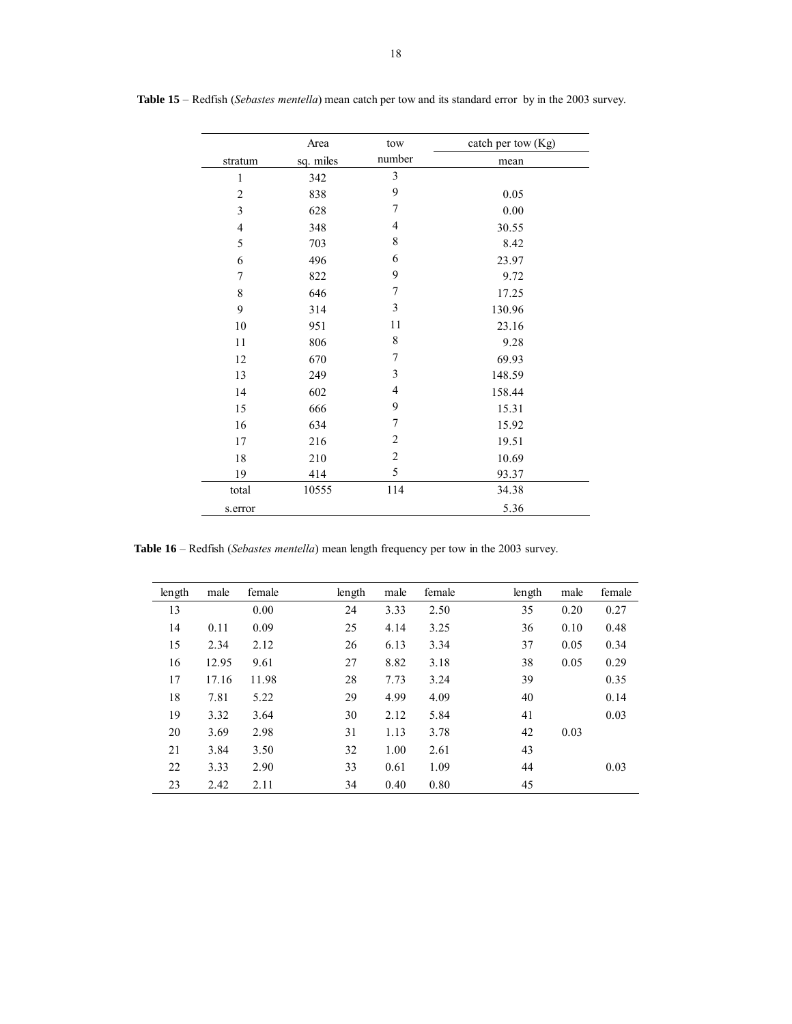|                  | Area      | tow            | catch per tow (Kg) |
|------------------|-----------|----------------|--------------------|
| stratum          | sq. miles | number         | mean               |
| 1                | 342       | 3              |                    |
| $\overline{2}$   | 838       | 9              | 0.05               |
| $\mathfrak{Z}$   | 628       | $\overline{7}$ | 0.00               |
| $\overline{4}$   | 348       | $\overline{4}$ | 30.55              |
| 5                | 703       | $\,8\,$        | 8.42               |
| 6                | 496       | 6              | 23.97              |
| $\boldsymbol{7}$ | 822       | 9              | 9.72               |
| 8                | 646       | $\overline{7}$ | 17.25              |
| 9                | 314       | 3              | 130.96             |
| 10               | 951       | 11             | 23.16              |
| 11               | 806       | 8              | 9.28               |
| 12               | 670       | $\sqrt{ }$     | 69.93              |
| 13               | 249       | 3              | 148.59             |
| 14               | 602       | $\overline{4}$ | 158.44             |
| 15               | 666       | 9              | 15.31              |
| 16               | 634       | 7              | 15.92              |
| 17               | 216       | $\overline{2}$ | 19.51              |
| 18               | 210       | $\overline{2}$ | 10.69              |
| 19               | 414       | 5              | 93.37              |
| total            | 10555     | 114            | 34.38              |
| s.error          |           |                | 5.36               |

 **Table 15** – Redfish (*Sebastes mentella*) mean catch per tow and its standard error by in the 2003 survey.

**Table 16** – Redfish (*Sebastes mentella*) mean length frequency per tow in the 2003 survey.

| length | male  | female | length | male | female | length | male | female |
|--------|-------|--------|--------|------|--------|--------|------|--------|
| 13     |       | 0.00   | 24     | 3.33 | 2.50   | 35     | 0.20 | 0.27   |
| 14     | 0.11  | 0.09   | 25     | 4.14 | 3.25   | 36     | 0.10 | 0.48   |
| 15     | 2.34  | 2.12   | 26     | 6.13 | 3.34   | 37     | 0.05 | 0.34   |
| 16     | 12.95 | 9.61   | 27     | 8.82 | 3.18   | 38     | 0.05 | 0.29   |
| 17     | 17.16 | 11.98  | 28     | 7.73 | 3.24   | 39     |      | 0.35   |
| 18     | 7.81  | 5.22   | 29     | 4.99 | 4.09   | 40     |      | 0.14   |
| 19     | 3.32  | 3.64   | 30     | 2.12 | 5.84   | 41     |      | 0.03   |
| 20     | 3.69  | 2.98   | 31     | 1.13 | 3.78   | 42     | 0.03 |        |
| 21     | 3.84  | 3.50   | 32     | 1.00 | 2.61   | 43     |      |        |
| 22     | 3.33  | 2.90   | 33     | 0.61 | 1.09   | 44     |      | 0.03   |
| 23     | 2.42  | 2.11   | 34     | 0.40 | 0.80   | 45     |      |        |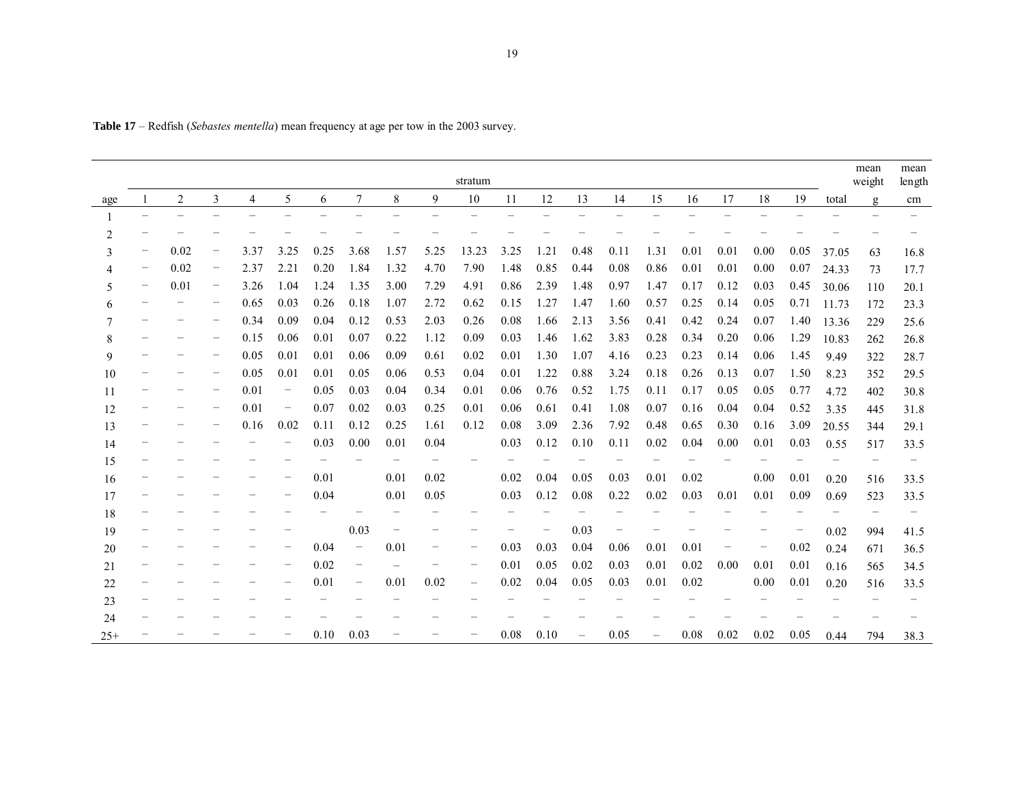|       |                                   |                |                          |      |                          |                          |                   |          |                          | stratum                  |      |      |                          |      |                   |      |                          |      |                   |       | mean<br>weight           | mean<br>length |
|-------|-----------------------------------|----------------|--------------------------|------|--------------------------|--------------------------|-------------------|----------|--------------------------|--------------------------|------|------|--------------------------|------|-------------------|------|--------------------------|------|-------------------|-------|--------------------------|----------------|
| age   |                                   | $\overline{2}$ | 3                        | 4    | 5                        | 6                        | $\overline{7}$    | 8        | 9                        | 10                       | 11   | 12   | 13                       | 14   | 15                | 16   | 17                       | 18   | 19                | total | g                        | cm             |
|       | $\overbrace{\phantom{123221111}}$ |                |                          |      |                          | $\overline{\phantom{0}}$ |                   |          |                          |                          |      |      |                          |      |                   |      |                          |      |                   |       |                          |                |
| 2     |                                   |                |                          |      |                          |                          |                   |          |                          |                          |      |      |                          |      |                   |      |                          |      |                   |       |                          |                |
| 3     | $\overline{\phantom{m}}$          | 0.02           | $\qquad \qquad -$        | 3.37 | 3.25                     | 0.25                     | 3.68              | 1.57     | 5.25                     | 13.23                    | 3.25 | 1.21 | 0.48                     | 0.11 | 1.31              | 0.01 | 0.01                     | 0.00 | 0.05              | 37.05 | 63                       | 16.8           |
|       | $\overline{\phantom{m}}$          | 0.02           | $\overline{\phantom{m}}$ | 2.37 | 2.21                     | 0.20                     | 1.84              | 1.32     | 4.70                     | 7.90                     | 1.48 | 0.85 | 0.44                     | 0.08 | 0.86              | 0.01 | 0.01                     | 0.00 | 0.07              | 24.33 | 73                       | 17.7           |
| 5     | $\overline{\phantom{m}}$          | 0.01           | $\qquad \qquad -$        | 3.26 | 1.04                     | 1.24                     | 1.35              | 3.00     | 7.29                     | 4.91                     | 0.86 | 2.39 | 1.48                     | 0.97 | 1.47              | 0.17 | 0.12                     | 0.03 | 0.45              | 30.06 | 110                      | 20.1           |
| 6     | $\overline{\phantom{0}}$          |                | $\overline{\phantom{0}}$ | 0.65 | 0.03                     | 0.26                     | 0.18              | 1.07     | 2.72                     | 0.62                     | 0.15 | 1.27 | 1.47                     | 1.60 | 0.57              | 0.25 | 0.14                     | 0.05 | 0.71              | 11.73 | 172                      | 23.3           |
|       |                                   |                | $\qquad \qquad -$        | 0.34 | 0.09                     | 0.04                     | 0.12              | 0.53     | 2.03                     | 0.26                     | 0.08 | 1.66 | 2.13                     | 3.56 | 0.41              | 0.42 | 0.24                     | 0.07 | 1.40              | 13.36 | 229                      | 25.6           |
| 8     | $\overline{\phantom{0}}$          |                | $\qquad \qquad -$        | 0.15 | 0.06                     | 0.01                     | 0.07              | 0.22     | 1.12                     | 0.09                     | 0.03 | 1.46 | 1.62                     | 3.83 | 0.28              | 0.34 | 0.20                     | 0.06 | 1.29              | 10.83 | 262                      | 26.8           |
| 9     |                                   |                | $\overline{\phantom{0}}$ | 0.05 | 0.01                     | 0.01                     | 0.06              | 0.09     | 0.61                     | 0.02                     | 0.01 | 1.30 | 1.07                     | 4.16 | 0.23              | 0.23 | 0.14                     | 0.06 | 1.45              | 9.49  | 322                      | 28.7           |
| 10    | $\overline{\phantom{0}}$          |                | $\qquad \qquad -$        | 0.05 | 0.01                     | 0.01                     | 0.05              | 0.06     | 0.53                     | 0.04                     | 0.01 | 1.22 | 0.88                     | 3.24 | 0.18              | 0.26 | 0.13                     | 0.07 | 1.50              | 8.23  | 352                      | 29.5           |
| 11    | $\overline{\phantom{0}}$          |                | $\qquad \qquad -$        | 0.01 | $\qquad \qquad -$        | 0.05                     | 0.03              | 0.04     | 0.34                     | 0.01                     | 0.06 | 0.76 | 0.52                     | 1.75 | 0.11              | 0.17 | 0.05                     | 0.05 | 0.77              | 4.72  | 402                      | 30.8           |
| 12    |                                   |                | $\overline{\phantom{0}}$ | 0.01 | $\overline{\phantom{m}}$ | 0.07                     | 0.02              | 0.03     | 0.25                     | 0.01                     | 0.06 | 0.61 | 0.41                     | 1.08 | 0.07              | 0.16 | 0.04                     | 0.04 | 0.52              | 3.35  | 445                      | 31.8           |
| 13    | $\overline{\phantom{0}}$          |                | $\qquad \qquad -$        | 0.16 | 0.02                     | 0.11                     | 0.12              | 0.25     | 1.61                     | 0.12                     | 0.08 | 3.09 | 2.36                     | 7.92 | 0.48              | 0.65 | 0.30                     | 0.16 | 3.09              | 20.55 | 344                      | 29.1           |
| 14    | $\overline{\phantom{0}}$          |                |                          |      |                          | 0.03                     | 0.00              | 0.01     | 0.04                     |                          | 0.03 | 0.12 | 0.10                     | 0.11 | 0.02              | 0.04 | 0.00                     | 0.01 | 0.03              | 0.55  | 517                      | 33.5           |
| 15    |                                   |                |                          |      |                          |                          |                   |          |                          |                          |      |      |                          |      |                   |      |                          |      |                   |       | $\overline{\phantom{0}}$ |                |
| 16    | $\qquad \qquad -$                 |                |                          |      | -                        | 0.01                     |                   | 0.01     | 0.02                     |                          | 0.02 | 0.04 | 0.05                     | 0.03 | 0.01              | 0.02 |                          | 0.00 | 0.01              | 0.20  | 516                      | 33.5           |
| 17    | $\overline{\phantom{0}}$          |                |                          |      |                          | 0.04                     |                   | 0.01     | 0.05                     |                          | 0.03 | 0.12 | 0.08                     | 0.22 | 0.02              | 0.03 | 0.01                     | 0.01 | 0.09              | 0.69  | 523                      | 33.5           |
| 18    |                                   |                |                          |      |                          |                          |                   |          |                          |                          |      |      |                          |      |                   |      |                          |      |                   |       | $\overline{\phantom{0}}$ |                |
| 19    | $\qquad \qquad -$                 |                |                          |      |                          |                          | 0.03              |          | $\overline{\phantom{m}}$ |                          |      | -    | 0.03                     |      |                   |      |                          |      | $\qquad \qquad -$ | 0.02  | 994                      | 41.5           |
| 20    | $\overline{\phantom{0}}$          |                |                          |      | -                        | 0.04                     | $\qquad \qquad -$ | 0.01     | $\overline{\phantom{m}}$ | $\qquad \qquad -$        | 0.03 | 0.03 | 0.04                     | 0.06 | 0.01              | 0.01 | $\overline{\phantom{0}}$ | -    | 0.02              | 0.24  | 671                      | 36.5           |
| 21    |                                   |                |                          |      |                          | 0.02                     | $\qquad \qquad -$ | $\equiv$ | $\qquad \qquad -$        | $\overline{\phantom{0}}$ | 0.01 | 0.05 | 0.02                     | 0.03 | 0.01              | 0.02 | 0.00                     | 0.01 | 0.01              | 0.16  | 565                      | 34.5           |
| 22    | $\qquad \qquad -$                 |                |                          |      |                          | 0.01                     | $\qquad \qquad -$ | 0.01     | 0.02                     | $\overline{\phantom{0}}$ | 0.02 | 0.04 | 0.05                     | 0.03 | 0.01              | 0.02 |                          | 0.00 | 0.01              | 0.20  | 516                      | 33.5           |
| 23    | $\qquad \qquad -$                 |                |                          |      |                          |                          |                   |          |                          |                          |      |      |                          |      |                   |      |                          |      |                   |       |                          |                |
| 24    |                                   |                |                          |      |                          |                          |                   |          |                          |                          |      |      |                          |      |                   |      |                          |      |                   |       |                          |                |
| $25+$ |                                   |                |                          |      |                          | 0.10                     | 0.03              |          |                          |                          | 0.08 | 0.10 | $\overline{\phantom{0}}$ | 0.05 | $\qquad \qquad -$ | 0.08 | 0.02                     | 0.02 | 0.05              | 0.44  | 794                      | 38.3           |

**Table 17** – Redfish (*Sebastes mentella*) mean frequency at age per tow in the 2003 survey.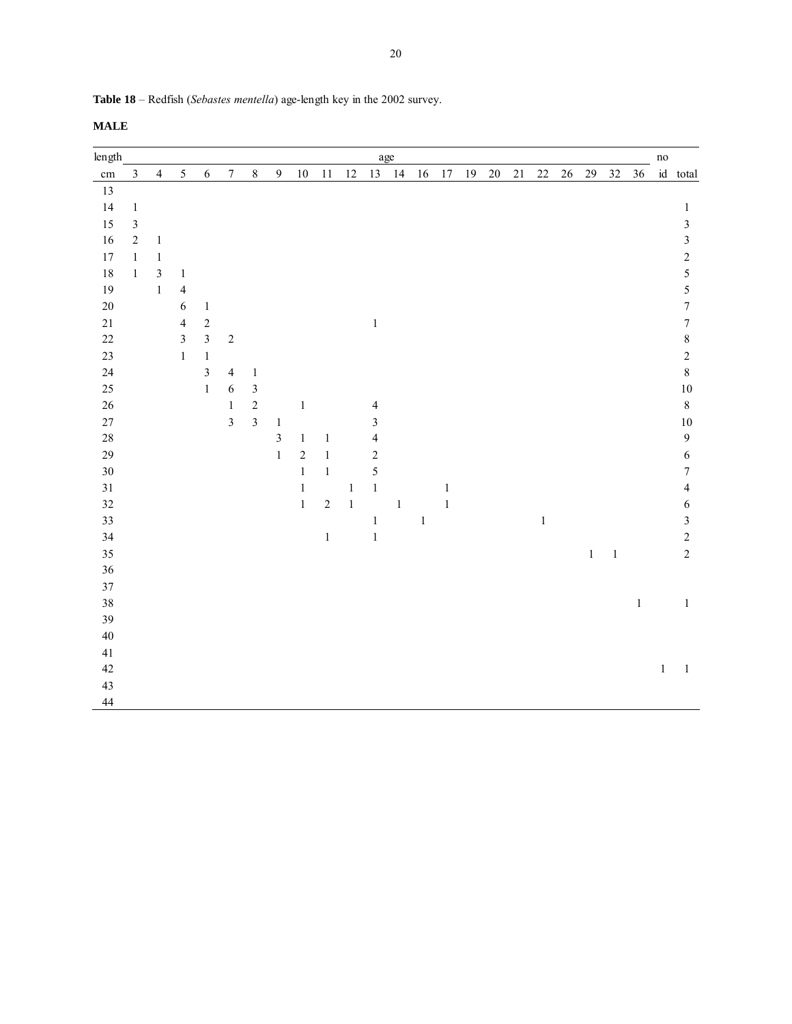**Table 18** – Redfish (*Sebastes mentella*) age-length key in the 2002 survey.

| length   |                |                |                         |                |                         |                         |                  |               |              |         |                         | age     |       |              |    |        |        |        |    |         |                |        | $\rm no$     |                         |
|----------|----------------|----------------|-------------------------|----------------|-------------------------|-------------------------|------------------|---------------|--------------|---------|-------------------------|---------|-------|--------------|----|--------|--------|--------|----|---------|----------------|--------|--------------|-------------------------|
| $\rm cm$ | $\mathfrak{Z}$ | $\overline{4}$ | $\sqrt{5}$              | $\sqrt{6}$     | $\boldsymbol{7}$        | $\,8\,$                 | $\boldsymbol{9}$ | $10\,$        | 11           | $12\,$  |                         | 13 14   | 16    | $17\,$       | 19 | $20\,$ | $21\,$ | $22\,$ | 26 | 29      | 32             | $36\,$ |              | id total                |
| 13       |                |                |                         |                |                         |                         |                  |               |              |         |                         |         |       |              |    |        |        |        |    |         |                |        |              |                         |
| 14       | $\,1\,$        |                |                         |                |                         |                         |                  |               |              |         |                         |         |       |              |    |        |        |        |    |         |                |        |              | $\,1$                   |
| 15       | $\mathfrak{Z}$ |                |                         |                |                         |                         |                  |               |              |         |                         |         |       |              |    |        |        |        |    |         |                |        |              | $\overline{\mathbf{3}}$ |
| $16\,$   | $\sqrt{2}$     | $\,1$          |                         |                |                         |                         |                  |               |              |         |                         |         |       |              |    |        |        |        |    |         |                |        |              | $\overline{\mathbf{3}}$ |
| 17       | $1\,$          | $\,1\,$        |                         |                |                         |                         |                  |               |              |         |                         |         |       |              |    |        |        |        |    |         |                |        |              | $\sqrt{2}$              |
| 18       | $1\,$          | $\sqrt{3}$     | $\mathbf{1}$            |                |                         |                         |                  |               |              |         |                         |         |       |              |    |        |        |        |    |         |                |        |              | 5                       |
| 19       |                | $\mathbf{1}$   | $\overline{4}$          |                |                         |                         |                  |               |              |         |                         |         |       |              |    |        |        |        |    |         |                |        |              | $\overline{5}$          |
| $20\,$   |                |                | 6                       | $\mathbf{1}$   |                         |                         |                  |               |              |         |                         |         |       |              |    |        |        |        |    |         |                |        |              | $\boldsymbol{7}$        |
| $21\,$   |                |                | $\overline{4}$          | $\sqrt{2}$     |                         |                         |                  |               |              |         | $\,1\,$                 |         |       |              |    |        |        |        |    |         |                |        |              | $\boldsymbol{7}$        |
| 22       |                |                | $\overline{\mathbf{3}}$ | $\overline{3}$ | $\sqrt{2}$              |                         |                  |               |              |         |                         |         |       |              |    |        |        |        |    |         |                |        |              | $\,8\,$                 |
| 23       |                |                | $\,1$                   | $\,1$          |                         |                         |                  |               |              |         |                         |         |       |              |    |        |        |        |    |         |                |        |              | $\sqrt{2}$              |
| 24       |                |                |                         | $\overline{3}$ | $\overline{4}$          | $\,1\,$                 |                  |               |              |         |                         |         |       |              |    |        |        |        |    |         |                |        |              | $\,8\,$                 |
| 25       |                |                |                         | $\,1$          | $\sqrt{6}$              | $\mathfrak{Z}$          |                  |               |              |         |                         |         |       |              |    |        |        |        |    |         |                |        |              | $10\,$                  |
| $26\,$   |                |                |                         |                | $\,1$                   | $\sqrt{2}$              |                  | $\,1\,$       |              |         | $\overline{4}$          |         |       |              |    |        |        |        |    |         |                |        |              | $8\,$                   |
| $27\,$   |                |                |                         |                | $\overline{\mathbf{3}}$ | $\overline{\mathbf{3}}$ | $\,1\,$          |               |              |         | $\mathfrak{Z}$          |         |       |              |    |        |        |        |    |         |                |        |              | $10\,$                  |
| $28\,$   |                |                |                         |                |                         |                         | $\mathfrak{Z}$   | $\,1\,$       | $\,1\,$      |         | $\overline{\mathbf{4}}$ |         |       |              |    |        |        |        |    |         |                |        |              | $\mathbf{9}$            |
| 29       |                |                |                         |                |                         |                         | $\,1\,$          | $\sqrt{2}$    | $\,1\,$      |         | $\sqrt{2}$              |         |       |              |    |        |        |        |    |         |                |        |              | $\sqrt{6}$              |
| $30\,$   |                |                |                         |                |                         |                         |                  | $\mathbbm{1}$ | $\mathbf{1}$ |         | 5                       |         |       |              |    |        |        |        |    |         |                |        |              | $\boldsymbol{7}$        |
| 31       |                |                |                         |                |                         |                         |                  | $\mathbf{1}$  |              | $\,1\,$ | $\,1\,$                 |         |       | $\mathbf{1}$ |    |        |        |        |    |         |                |        |              | $\overline{4}$          |
| 32       |                |                |                         |                |                         |                         |                  | $\,1$         | $\sqrt{2}$   | $\,1\,$ |                         | $\,1\,$ |       | $\,1\,$      |    |        |        |        |    |         |                |        |              | $\sqrt{6}$              |
| 33       |                |                |                         |                |                         |                         |                  |               |              |         | $\,1\,$                 |         | $\,1$ |              |    |        |        | $\,1$  |    |         |                |        |              | $\mathfrak{Z}$          |
| 34       |                |                |                         |                |                         |                         |                  |               | $\,1$        |         | $\,1\,$                 |         |       |              |    |        |        |        |    |         |                |        |              | $\overline{2}$          |
| 35       |                |                |                         |                |                         |                         |                  |               |              |         |                         |         |       |              |    |        |        |        |    | $\,1\,$ | $\overline{1}$ |        |              | $\overline{2}$          |
| 36       |                |                |                         |                |                         |                         |                  |               |              |         |                         |         |       |              |    |        |        |        |    |         |                |        |              |                         |
| 37       |                |                |                         |                |                         |                         |                  |               |              |         |                         |         |       |              |    |        |        |        |    |         |                |        |              |                         |
| 38       |                |                |                         |                |                         |                         |                  |               |              |         |                         |         |       |              |    |        |        |        |    |         |                | $\,1$  |              | $\,1$                   |
| 39       |                |                |                         |                |                         |                         |                  |               |              |         |                         |         |       |              |    |        |        |        |    |         |                |        |              |                         |
| $40\,$   |                |                |                         |                |                         |                         |                  |               |              |         |                         |         |       |              |    |        |        |        |    |         |                |        |              |                         |
| 41       |                |                |                         |                |                         |                         |                  |               |              |         |                         |         |       |              |    |        |        |        |    |         |                |        |              |                         |
| 42       |                |                |                         |                |                         |                         |                  |               |              |         |                         |         |       |              |    |        |        |        |    |         |                |        | $\mathbf{1}$ | $\mathbf{1}$            |
| 43       |                |                |                         |                |                         |                         |                  |               |              |         |                         |         |       |              |    |        |        |        |    |         |                |        |              |                         |
| 44       |                |                |                         |                |                         |                         |                  |               |              |         |                         |         |       |              |    |        |        |        |    |         |                |        |              |                         |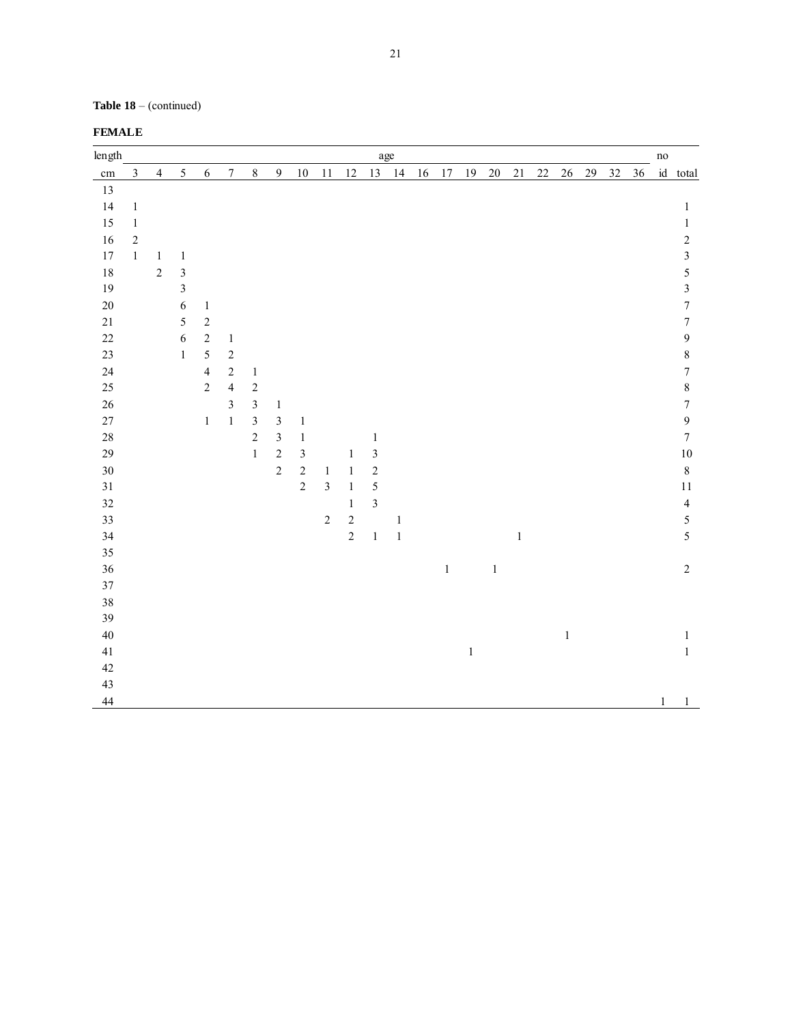**Table 18** – (continued)

| length   |                |                |                |                |                  |                         |                         |                |                |              |                | age     |    |         |        |         |        |        |         |        |    |    | $\rm no$ |                         |
|----------|----------------|----------------|----------------|----------------|------------------|-------------------------|-------------------------|----------------|----------------|--------------|----------------|---------|----|---------|--------|---------|--------|--------|---------|--------|----|----|----------|-------------------------|
| $\rm cm$ | $\mathfrak{Z}$ | $\overline{4}$ | 5              | $\sqrt{6}$     | $\boldsymbol{7}$ | $8\,$                   | $\overline{9}$          | $10\,$         | 11             | 12           | 13             | 14      | 16 | 17      | $19\,$ | $20\,$  | $21\,$ | $22\,$ | $26\,$  | $29\,$ | 32 | 36 |          | id total                |
| 13       |                |                |                |                |                  |                         |                         |                |                |              |                |         |    |         |        |         |        |        |         |        |    |    |          |                         |
| 14       | $\mathbf{1}$   |                |                |                |                  |                         |                         |                |                |              |                |         |    |         |        |         |        |        |         |        |    |    |          | $\mathbf{1}$            |
| 15       | $\,1\,$        |                |                |                |                  |                         |                         |                |                |              |                |         |    |         |        |         |        |        |         |        |    |    |          | $\,1$                   |
| 16       | $\sqrt{2}$     |                |                |                |                  |                         |                         |                |                |              |                |         |    |         |        |         |        |        |         |        |    |    |          | $\overline{c}$          |
| $17\,$   | $\mathbf{1}$   | $\,1$          | $\mathbf{1}$   |                |                  |                         |                         |                |                |              |                |         |    |         |        |         |        |        |         |        |    |    |          | $\overline{\mathbf{3}}$ |
| 18       |                | $\overline{c}$ | $\mathfrak{Z}$ |                |                  |                         |                         |                |                |              |                |         |    |         |        |         |        |        |         |        |    |    |          | $\sqrt{5}$              |
| 19       |                |                | $\overline{3}$ |                |                  |                         |                         |                |                |              |                |         |    |         |        |         |        |        |         |        |    |    |          | $\mathfrak{Z}$          |
| $20\,$   |                |                | 6              | $\mathbf{1}$   |                  |                         |                         |                |                |              |                |         |    |         |        |         |        |        |         |        |    |    |          | $\boldsymbol{7}$        |
| 21       |                |                | 5              | $\overline{c}$ |                  |                         |                         |                |                |              |                |         |    |         |        |         |        |        |         |        |    |    |          | $\sqrt{ }$              |
| 22       |                |                | 6              | $\overline{2}$ | $\,1\,$          |                         |                         |                |                |              |                |         |    |         |        |         |        |        |         |        |    |    |          | $\mathbf{9}$            |
| 23       |                |                | $\mathbf{1}$   | $\overline{5}$ | $\overline{c}$   |                         |                         |                |                |              |                |         |    |         |        |         |        |        |         |        |    |    |          | $\,8\,$                 |
| $24\,$   |                |                |                | $\overline{4}$ | $\sqrt{2}$       | $\,1\,$                 |                         |                |                |              |                |         |    |         |        |         |        |        |         |        |    |    |          | $\sqrt{ }$              |
| 25       |                |                |                | $\overline{c}$ | $\overline{4}$   | $\sqrt{2}$              |                         |                |                |              |                |         |    |         |        |         |        |        |         |        |    |    |          | $\,8\,$                 |
| $26\,$   |                |                |                |                | $\mathfrak{Z}$   | $\mathfrak{Z}$          | $\mathbf{1}$            |                |                |              |                |         |    |         |        |         |        |        |         |        |    |    |          | $\boldsymbol{7}$        |
| 27       |                |                |                | $\mathbf{1}$   | $\,1$            | $\overline{\mathbf{3}}$ | $\mathfrak{Z}$          | $\mathbf{1}$   |                |              |                |         |    |         |        |         |        |        |         |        |    |    |          | $\boldsymbol{9}$        |
| $28\,$   |                |                |                |                |                  | $\overline{c}$          | $\overline{\mathbf{3}}$ | $\mathbf{1}$   |                |              | $\mathbf{1}$   |         |    |         |        |         |        |        |         |        |    |    |          | $\boldsymbol{7}$        |
| 29       |                |                |                |                |                  | $\mathbf{1}$            | $\sqrt{2}$              | $\mathfrak{Z}$ |                | $\mathbf{1}$ | $\mathfrak{Z}$ |         |    |         |        |         |        |        |         |        |    |    |          | $10\,$                  |
| $30\,$   |                |                |                |                |                  |                         | $\sqrt{2}$              | $\sqrt{2}$     | $\,1\,$        | $\,1\,$      | $\sqrt{2}$     |         |    |         |        |         |        |        |         |        |    |    |          | $\,8\,$                 |
| 31       |                |                |                |                |                  |                         |                         | $\sqrt{2}$     | $\overline{3}$ | $\mathbf{1}$ | $\overline{5}$ |         |    |         |        |         |        |        |         |        |    |    |          | $11\,$                  |
| 32       |                |                |                |                |                  |                         |                         |                |                | $\mathbf{1}$ | $\overline{3}$ |         |    |         |        |         |        |        |         |        |    |    |          | $\overline{4}$          |
| 33       |                |                |                |                |                  |                         |                         |                | $\sqrt{2}$     | $\sqrt{2}$   |                | $\,1\,$ |    |         |        |         |        |        |         |        |    |    |          | 5                       |
| 34       |                |                |                |                |                  |                         |                         |                |                | $\sqrt{2}$   | $\,1\,$        | $\,1\,$ |    |         |        |         | $\,1$  |        |         |        |    |    |          | $\sqrt{5}$              |
| 35       |                |                |                |                |                  |                         |                         |                |                |              |                |         |    |         |        |         |        |        |         |        |    |    |          |                         |
| 36       |                |                |                |                |                  |                         |                         |                |                |              |                |         |    | $\,1\,$ |        | $\,1\,$ |        |        |         |        |    |    |          | $\sqrt{2}$              |
| 37       |                |                |                |                |                  |                         |                         |                |                |              |                |         |    |         |        |         |        |        |         |        |    |    |          |                         |
| 38       |                |                |                |                |                  |                         |                         |                |                |              |                |         |    |         |        |         |        |        |         |        |    |    |          |                         |
| 39       |                |                |                |                |                  |                         |                         |                |                |              |                |         |    |         |        |         |        |        |         |        |    |    |          |                         |
| 40       |                |                |                |                |                  |                         |                         |                |                |              |                |         |    |         |        |         |        |        | $\,1\,$ |        |    |    |          | $\,1\,$                 |
| 41       |                |                |                |                |                  |                         |                         |                |                |              |                |         |    |         | $\,1$  |         |        |        |         |        |    |    |          | $\,1\,$                 |
| 42       |                |                |                |                |                  |                         |                         |                |                |              |                |         |    |         |        |         |        |        |         |        |    |    |          |                         |
| 43       |                |                |                |                |                  |                         |                         |                |                |              |                |         |    |         |        |         |        |        |         |        |    |    |          |                         |
| 44       |                |                |                |                |                  |                         |                         |                |                |              |                |         |    |         |        |         |        |        |         |        |    |    | $1\,$    | $\mathbf{1}$            |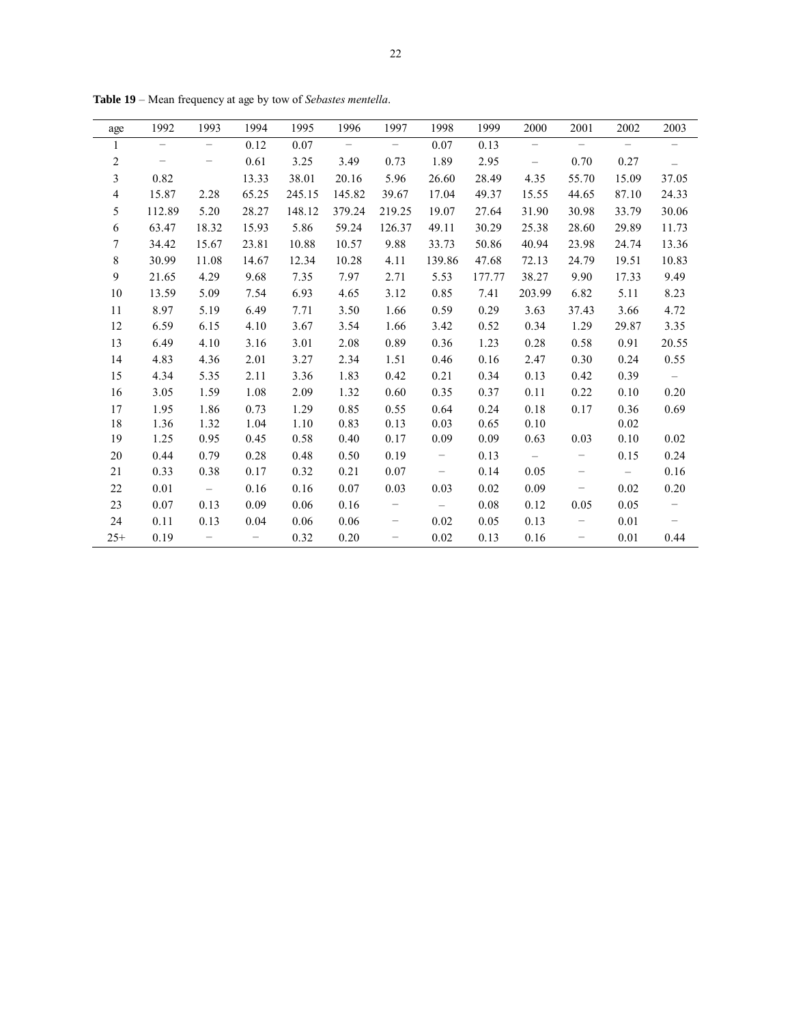| age             | 1992                     | 1993                     | 1994              | 1995   | 1996   | 1997                     | 1998                     | 1999   | 2000                     | 2001                     | 2002                     | 2003                     |
|-----------------|--------------------------|--------------------------|-------------------|--------|--------|--------------------------|--------------------------|--------|--------------------------|--------------------------|--------------------------|--------------------------|
| $\mathbf{1}$    | $\qquad \qquad -$        | -                        | 0.12              | 0.07   | $-$    | $\overline{\phantom{a}}$ | 0.07                     | 0.13   | $\overline{\phantom{0}}$ | $\overline{\phantom{m}}$ | $\overline{\phantom{m}}$ | $\overline{\phantom{m}}$ |
| $\sqrt{2}$      | $\overline{\phantom{m}}$ | -                        | 0.61              | 3.25   | 3.49   | 0.73                     | 1.89                     | 2.95   | $\overline{\phantom{a}}$ | 0.70                     | 0.27                     | $\overline{\phantom{m}}$ |
| $\mathfrak{Z}$  | 0.82                     |                          | 13.33             | 38.01  | 20.16  | 5.96                     | 26.60                    | 28.49  | 4.35                     | 55.70                    | 15.09                    | 37.05                    |
| $\overline{4}$  | 15.87                    | 2.28                     | 65.25             | 245.15 | 145.82 | 39.67                    | 17.04                    | 49.37  | 15.55                    | 44.65                    | 87.10                    | 24.33                    |
| 5               | 112.89                   | 5.20                     | 28.27             | 148.12 | 379.24 | 219.25                   | 19.07                    | 27.64  | 31.90                    | 30.98                    | 33.79                    | 30.06                    |
| 6               | 63.47                    | 18.32                    | 15.93             | 5.86   | 59.24  | 126.37                   | 49.11                    | 30.29  | 25.38                    | 28.60                    | 29.89                    | 11.73                    |
| $7\phantom{.0}$ | 34.42                    | 15.67                    | 23.81             | 10.88  | 10.57  | 9.88                     | 33.73                    | 50.86  | 40.94                    | 23.98                    | 24.74                    | 13.36                    |
| 8               | 30.99                    | 11.08                    | 14.67             | 12.34  | 10.28  | 4.11                     | 139.86                   | 47.68  | 72.13                    | 24.79                    | 19.51                    | 10.83                    |
| 9               | 21.65                    | 4.29                     | 9.68              | 7.35   | 7.97   | 2.71                     | 5.53                     | 177.77 | 38.27                    | 9.90                     | 17.33                    | 9.49                     |
| 10              | 13.59                    | 5.09                     | 7.54              | 6.93   | 4.65   | 3.12                     | 0.85                     | 7.41   | 203.99                   | 6.82                     | 5.11                     | 8.23                     |
| 11              | 8.97                     | 5.19                     | 6.49              | 7.71   | 3.50   | 1.66                     | 0.59                     | 0.29   | 3.63                     | 37.43                    | 3.66                     | 4.72                     |
| 12              | 6.59                     | 6.15                     | 4.10              | 3.67   | 3.54   | 1.66                     | 3.42                     | 0.52   | 0.34                     | 1.29                     | 29.87                    | 3.35                     |
| 13              | 6.49                     | 4.10                     | 3.16              | 3.01   | 2.08   | 0.89                     | 0.36                     | 1.23   | 0.28                     | 0.58                     | 0.91                     | 20.55                    |
| 14              | 4.83                     | 4.36                     | 2.01              | 3.27   | 2.34   | 1.51                     | 0.46                     | 0.16   | 2.47                     | 0.30                     | 0.24                     | 0.55                     |
| 15              | 4.34                     | 5.35                     | 2.11              | 3.36   | 1.83   | 0.42                     | 0.21                     | 0.34   | 0.13                     | 0.42                     | 0.39                     | $\overline{\phantom{m}}$ |
| 16              | 3.05                     | 1.59                     | 1.08              | 2.09   | 1.32   | 0.60                     | 0.35                     | 0.37   | 0.11                     | 0.22                     | 0.10                     | 0.20                     |
| 17              | 1.95                     | 1.86                     | 0.73              | 1.29   | 0.85   | 0.55                     | 0.64                     | 0.24   | 0.18                     | 0.17                     | 0.36                     | 0.69                     |
| 18              | 1.36                     | 1.32                     | 1.04              | 1.10   | 0.83   | 0.13                     | 0.03                     | 0.65   | 0.10                     |                          | 0.02                     |                          |
| 19              | 1.25                     | 0.95                     | 0.45              | 0.58   | 0.40   | 0.17                     | 0.09                     | 0.09   | 0.63                     | 0.03                     | 0.10                     | 0.02                     |
| 20              | 0.44                     | 0.79                     | 0.28              | 0.48   | 0.50   | 0.19                     | $\overline{\phantom{m}}$ | 0.13   | $\overline{\phantom{a}}$ | $\overline{\phantom{m}}$ | 0.15                     | 0.24                     |
| 21              | 0.33                     | 0.38                     | 0.17              | 0.32   | 0.21   | 0.07                     | $\overline{\phantom{a}}$ | 0.14   | 0.05                     | $\overline{\phantom{a}}$ | $\overline{\phantom{m}}$ | 0.16                     |
| 22              | 0.01                     | $\sim$                   | 0.16              | 0.16   | 0.07   | 0.03                     | 0.03                     | 0.02   | 0.09                     | $\overline{\phantom{a}}$ | 0.02                     | 0.20                     |
| 23              | 0.07                     | 0.13                     | 0.09              | 0.06   | 0.16   | $\overline{\phantom{m}}$ | $\overline{\phantom{m}}$ | 0.08   | 0.12                     | 0.05                     | 0.05                     | $-$                      |
| 24              | 0.11                     | 0.13                     | 0.04              | 0.06   | 0.06   | -                        | 0.02                     | 0.05   | 0.13                     |                          | 0.01                     |                          |
| $25+$           | 0.19                     | $\overline{\phantom{0}}$ | $\qquad \qquad -$ | 0.32   | 0.20   | $\qquad \qquad -$        | 0.02                     | 0.13   | 0.16                     | $\overline{\phantom{m}}$ | 0.01                     | 0.44                     |

**Table 19** – Mean frequency at age by tow of *Sebastes mentella*.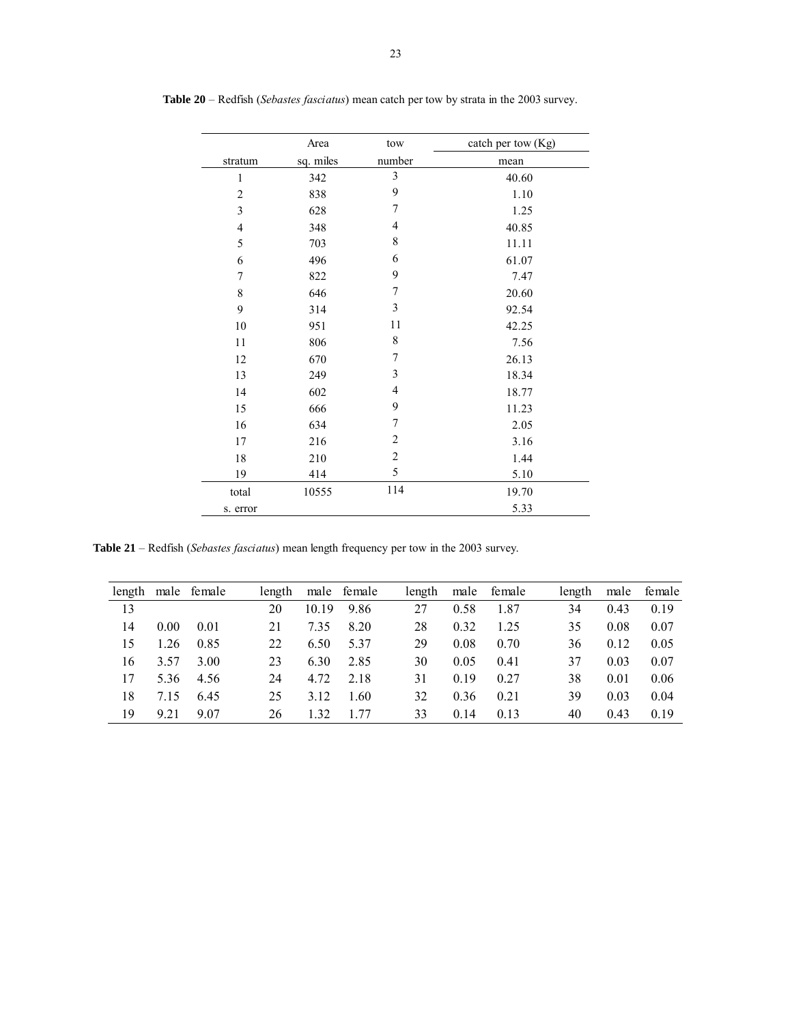|                          | Area      | tow                     | catch per tow (Kg) |
|--------------------------|-----------|-------------------------|--------------------|
| stratum                  | sq. miles | number                  | mean               |
| $\mathbf{1}$             | 342       | $\overline{\mathbf{3}}$ | 40.60              |
| $\overline{c}$           | 838       | 9                       | 1.10               |
| 3                        | 628       | 7                       | 1.25               |
| $\overline{\mathcal{L}}$ | 348       | $\overline{4}$          | 40.85              |
| 5                        | 703       | 8                       | 11.11              |
| 6                        | 496       | 6                       | 61.07              |
| 7                        | 822       | 9                       | 7.47               |
| 8                        | 646       | 7                       | 20.60              |
| 9                        | 314       | 3                       | 92.54              |
| 10                       | 951       | 11                      | 42.25              |
| 11                       | 806       | 8                       | 7.56               |
| 12                       | 670       | 7                       | 26.13              |
| 13                       | 249       | 3                       | 18.34              |
| 14                       | 602       | $\overline{4}$          | 18.77              |
| 15                       | 666       | 9                       | 11.23              |
| 16                       | 634       | 7                       | 2.05               |
| 17                       | 216       | $\overline{c}$          | 3.16               |
| 18                       | 210       | $\overline{2}$          | 1.44               |
| 19                       | 414       | 5                       | 5.10               |
| total                    | 10555     | 114                     | 19.70              |
| s. error                 |           |                         | 5.33               |

**Table 20** – Redfish (*Sebastes fasciatus*) mean catch per tow by strata in the 2003 survey.

**Table 21** – Redfish (*Sebastes fasciatus*) mean length frequency per tow in the 2003 survey.

| length |      | male female | length |       | male female | length | male | female | length | male | female |
|--------|------|-------------|--------|-------|-------------|--------|------|--------|--------|------|--------|
| 13     |      |             | 20     | 10.19 | 9.86        | 27     | 0.58 | 1.87   | 34     | 0.43 | 0.19   |
| 14     | 0.00 | 0.01        | 21     | 7.35  | 8.20        | 28     | 0.32 | 1.25   | 35     | 0.08 | 0.07   |
| 15     | 1.26 | 0.85        | 22     | 6.50  | 5.37        | 29     | 0.08 | 0.70   | 36     | 0.12 | 0.05   |
| 16     | 3.57 | 3.00        | 23     | 6.30  | 2.85        | 30     | 0.05 | 0.41   | 37     | 0.03 | 0.07   |
| 17     | 5.36 | 4.56        | 24     | 4.72  | 2.18        | 31     | 0.19 | 0.27   | 38     | 0.01 | 0.06   |
| 18     | 7.15 | 6.45        | 25     | 3.12  | 1.60        | 32     | 0.36 | 0.21   | 39     | 0.03 | 0.04   |
| 19     | 9.21 | 9.07        | 26     | 1.32  | 77          | 33     | 0.14 | 0.13   | 40     | 0.43 | 0.19   |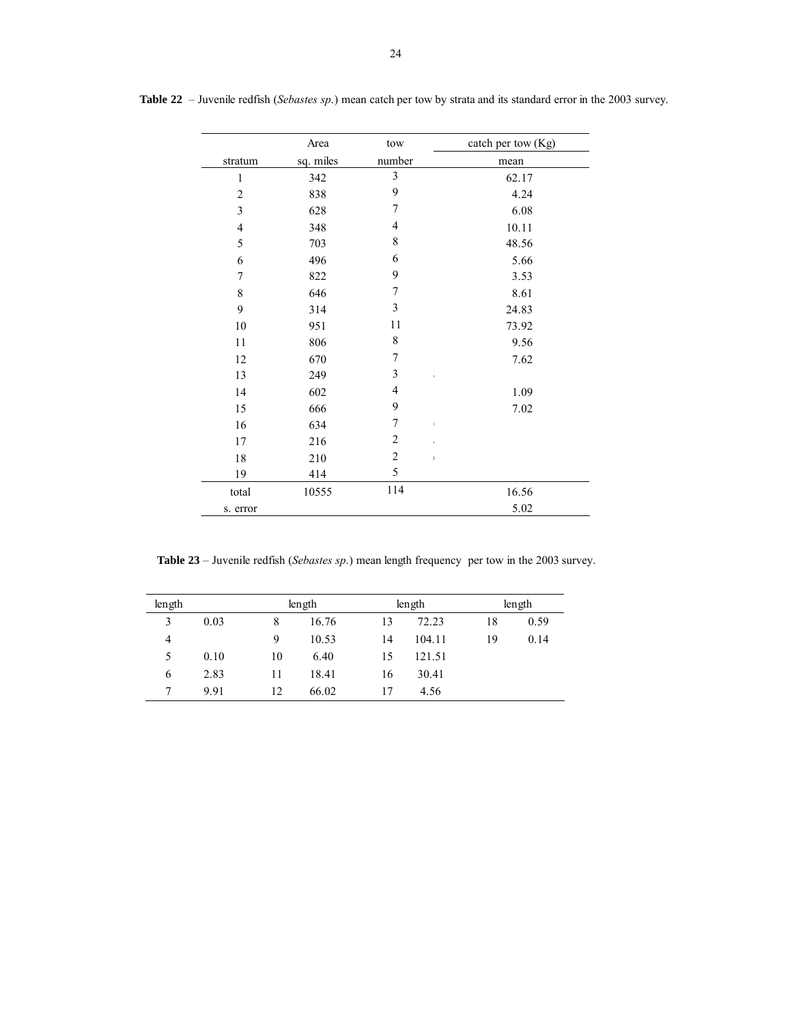|                | Area      | tow                     | catch per tow (Kg) |
|----------------|-----------|-------------------------|--------------------|
| stratum        | sq. miles | number                  | mean               |
| $\mathbf{1}$   | 342       | $\overline{\mathbf{3}}$ | 62.17              |
| $\overline{c}$ | 838       | 9                       | 4.24               |
| $\mathfrak{Z}$ | 628       | 7                       | 6.08               |
| $\overline{4}$ | 348       | 4                       | 10.11              |
| 5              | 703       | 8                       | 48.56              |
| 6              | 496       | 6                       | 5.66               |
| 7              | 822       | 9                       | 3.53               |
| 8              | 646       | $\sqrt{ }$              | 8.61               |
| 9              | 314       | 3                       | 24.83              |
| $10\,$         | 951       | 11                      | 73.92              |
| 11             | 806       | $\,$ 8 $\,$             | 9.56               |
| 12             | 670       | 7                       | 7.62               |
| 13             | 249       | 3                       |                    |
| 14             | 602       | $\overline{4}$          | 1.09               |
| 15             | 666       | 9                       | 7.02               |
| 16             | 634       | 7                       | I.                 |
| 17             | 216       | $\overline{2}$          | Ĭ.                 |
| 18             | 210       | $\overline{2}$          |                    |
| 19             | 414       | 5                       |                    |
| total          | 10555     | 114                     | 16.56              |
| s. error       |           |                         | 5.02               |

**Table 22** – Juvenile redfish (*Sebastes sp*.) mean catch per tow by strata and its standard error in the 2003 survey.

**Table 23** – Juvenile redfish (*Sebastes sp*.) mean length frequency per tow in the 2003 survey.

| length |      |    | length |    | length | length |      |  |  |
|--------|------|----|--------|----|--------|--------|------|--|--|
| 3      | 0.03 | 8  | 16.76  | 13 | 72.23  | 18     | 0.59 |  |  |
| 4      |      | 9  | 10.53  | 14 | 104.11 | 19     | 0.14 |  |  |
| 5      | 0.10 | 10 | 6.40   | 15 | 121.51 |        |      |  |  |
| 6      | 2.83 | 11 | 18.41  | 16 | 30.41  |        |      |  |  |
| 7      | 9.91 | 12 | 66.02  | 17 | 4.56   |        |      |  |  |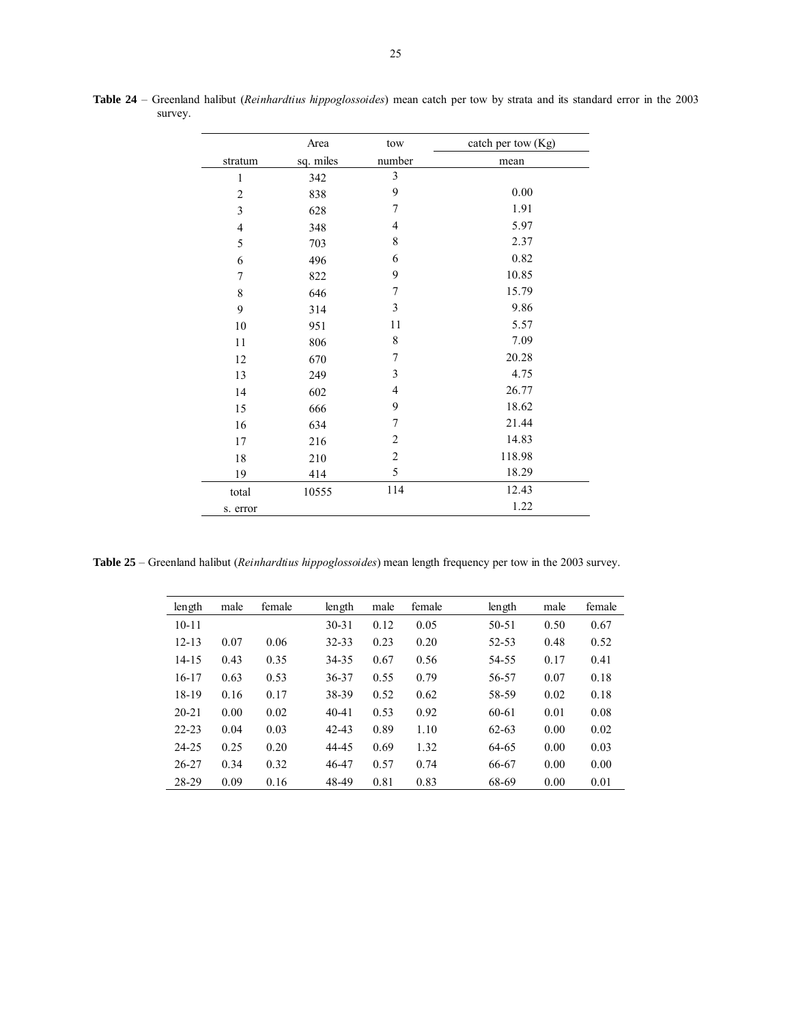|                  | Area      | tow                     | catch per tow (Kg) |
|------------------|-----------|-------------------------|--------------------|
| stratum          | sq. miles | number                  | mean               |
| $\mathbf{1}$     | 342       | $\overline{\mathbf{3}}$ |                    |
| $\overline{c}$   | 838       | 9                       | 0.00               |
| $\mathfrak{Z}$   | 628       | 7                       | 1.91               |
| $\overline{4}$   | 348       | $\overline{4}$          | 5.97               |
| 5                | 703       | 8                       | 2.37               |
| 6                | 496       | 6                       | 0.82               |
| $\boldsymbol{7}$ | 822       | 9                       | 10.85              |
| $\,$ $\,$        | 646       | 7                       | 15.79              |
| 9                | 314       | 3                       | 9.86               |
| 10               | 951       | 11                      | 5.57               |
| 11               | 806       | 8                       | 7.09               |
| 12               | 670       | 7                       | 20.28              |
| 13               | 249       | 3                       | 4.75               |
| 14               | 602       | $\overline{4}$          | 26.77              |
| 15               | 666       | 9                       | 18.62              |
| 16               | 634       | 7                       | 21.44              |
| 17               | 216       | $\overline{2}$          | 14.83              |
| $18\,$           | 210       | $\overline{2}$          | 118.98             |
| 19               | 414       | 5                       | 18.29              |
| total            | 10555     | 114                     | 12.43              |
| s. error         |           |                         | 1.22               |

**Table 24** – Greenland halibut (*Reinhardtius hippoglossoides*) mean catch per tow by strata and its standard error in the 2003 survey.

**Table 25** – Greenland halibut (*Reinhardtius hippoglossoides*) mean length frequency per tow in the 2003 survey.

| length    | male | female | length    | male | female | length    | male | female |
|-----------|------|--------|-----------|------|--------|-----------|------|--------|
| $10 - 11$ |      |        | $30 - 31$ | 0.12 | 0.05   | $50 - 51$ | 0.50 | 0.67   |
| $12 - 13$ | 0.07 | 0.06   | 32-33     | 0.23 | 0.20   | 52-53     | 0.48 | 0.52   |
| $14 - 15$ | 0.43 | 0.35   | 34-35     | 0.67 | 0.56   | 54-55     | 0.17 | 0.41   |
| $16 - 17$ | 0.63 | 0.53   | 36-37     | 0.55 | 0.79   | 56-57     | 0.07 | 0.18   |
| 18-19     | 0.16 | 0.17   | 38-39     | 0.52 | 0.62   | 58-59     | 0.02 | 0.18   |
| $20 - 21$ | 0.00 | 0.02   | $40 - 41$ | 0.53 | 0.92   | 60-61     | 0.01 | 0.08   |
| $22 - 23$ | 0.04 | 0.03   | $42 - 43$ | 0.89 | 1.10   | $62 - 63$ | 0.00 | 0.02   |
| 24-25     | 0.25 | 0.20   | 44-45     | 0.69 | 1.32   | 64-65     | 0.00 | 0.03   |
| $26 - 27$ | 0.34 | 0.32   | 46-47     | 0.57 | 0.74   | 66-67     | 0.00 | 0.00   |
| 28-29     | 0.09 | 0.16   | 48-49     | 0.81 | 0.83   | 68-69     | 0.00 | 0.01   |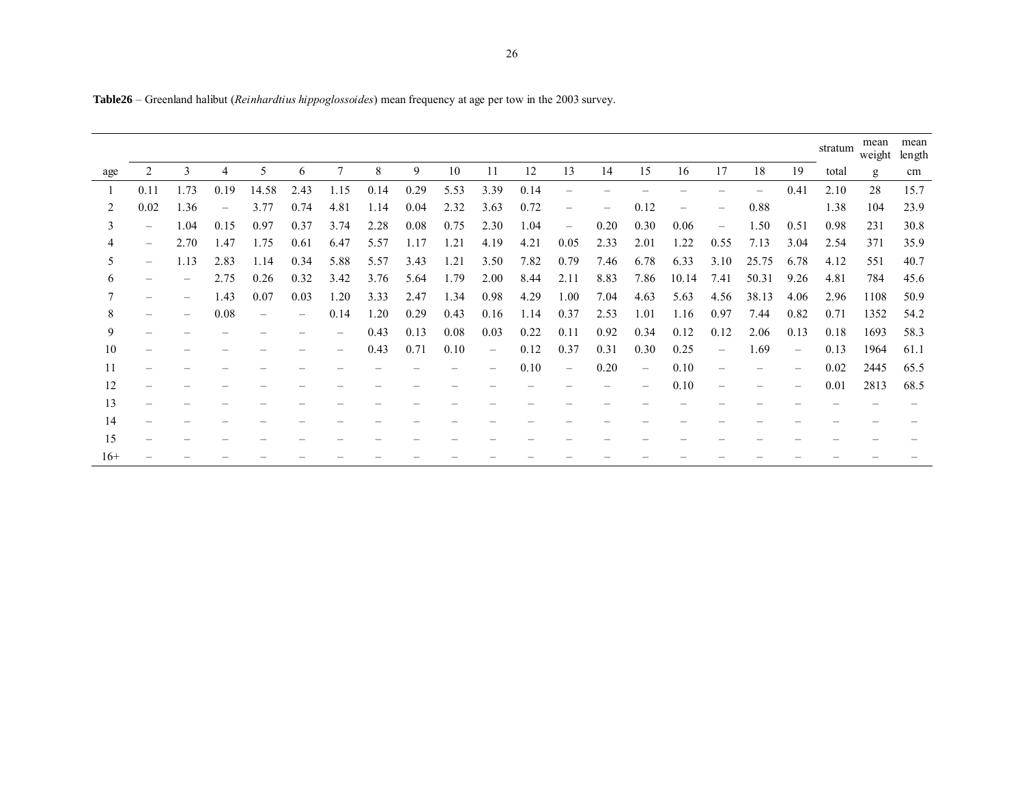|       |                          |      |                   |       |                          |                |      |      |      |                   |      |                          |                          |                          |       |                   |                          |      | stratum | mean<br>weight | mean<br>length |
|-------|--------------------------|------|-------------------|-------|--------------------------|----------------|------|------|------|-------------------|------|--------------------------|--------------------------|--------------------------|-------|-------------------|--------------------------|------|---------|----------------|----------------|
| age   |                          | 3    | 4                 | 5     | 6                        | $\overline{7}$ | 8    | 9    | 10   | 11                | 12   | 13                       | 14                       | 15                       | 16    | 17                | 18                       | 19   | total   | g              | cm             |
|       | 0.11                     | 1.73 | 0.19              | 14.58 | 2.43                     | 1.15           | 0.14 | 0.29 | 5.53 | 3.39              | 0.14 |                          |                          |                          |       |                   | $\overline{\phantom{0}}$ | 0.41 | 2.10    | 28             | 15.7           |
| 2     | 0.02                     | 1.36 | $\qquad \qquad -$ | 3.77  | 0.74                     | 4.81           | 1.14 | 0.04 | 2.32 | 3.63              | 0.72 |                          | $\overline{\phantom{0}}$ | 0.12                     |       |                   | 0.88                     |      | 1.38    | 104            | 23.9           |
| 3     | $\overline{\phantom{0}}$ | 1.04 | 0.15              | 0.97  | 0.37                     | 3.74           | 2.28 | 0.08 | 0.75 | 2.30              | 1.04 | $\overline{\phantom{m}}$ | 0.20                     | 0.30                     | 0.06  | $\qquad \qquad -$ | 1.50                     | 0.51 | 0.98    | 231            | 30.8           |
| 4     | $\qquad \qquad -$        | 2.70 | 1.47              | 1.75  | 0.61                     | 6.47           | 5.57 | 1.17 | 1.21 | 4.19              | 4.21 | 0.05                     | 2.33                     | 2.01                     | 1.22  | 0.55              | 7.13                     | 3.04 | 2.54    | 371            | 35.9           |
| 5     | $\qquad \qquad \qquad$   | 1.13 | 2.83              | 1.14  | 0.34                     | 5.88           | 5.57 | 3.43 | 1.21 | 3.50              | 7.82 | 0.79                     | 7.46                     | 6.78                     | 6.33  | 3.10              | 25.75                    | 6.78 | 4.12    | 551            | 40.7           |
| 6     |                          |      | 2.75              | 0.26  | 0.32                     | 3.42           | 3.76 | 5.64 | 1.79 | 2.00              | 8.44 | 2.11                     | 8.83                     | 7.86                     | 10.14 | 7.41              | 50.31                    | 9.26 | 4.81    | 784            | 45.6           |
| 7     |                          |      | 1.43              | 0.07  | 0.03                     | 1.20           | 3.33 | 2.47 | 1.34 | 0.98              | 4.29 | 1.00                     | 7.04                     | 4.63                     | 5.63  | 4.56              | 38.13                    | 4.06 | 2.96    | 1108           | 50.9           |
| 8     |                          |      | 0.08              |       | $\overline{\phantom{0}}$ | 0.14           | 1.20 | 0.29 | 0.43 | 0.16              | 1.14 | 0.37                     | 2.53                     | 1.01                     | 1.16  | 0.97              | 7.44                     | 0.82 | 0.71    | 1352           | 54.2           |
| 9     |                          |      |                   |       |                          | -              | 0.43 | 0.13 | 0.08 | 0.03              | 0.22 | 0.11                     | 0.92                     | 0.34                     | 0.12  | 0.12              | 2.06                     | 0.13 | 0.18    | 1693           | 58.3           |
| 10    |                          |      |                   |       |                          |                | 0.43 | 0.71 | 0.10 | $\qquad \qquad -$ | 0.12 | 0.37                     | 0.31                     | 0.30                     | 0.25  | $\qquad \qquad -$ | 1.69                     | -    | 0.13    | 1964           | 61.1           |
| 11    |                          |      |                   |       |                          |                |      |      |      |                   | 0.10 | $\overline{\phantom{0}}$ | 0.20                     | $\overline{\phantom{0}}$ | 0.10  |                   |                          |      | 0.02    | 2445           | 65.5           |
| 12    |                          |      |                   |       |                          |                |      |      |      |                   |      |                          |                          |                          | 0.10  |                   |                          |      | 0.01    | 2813           | 68.5           |
| 13    |                          |      |                   |       |                          |                |      |      |      |                   |      |                          |                          |                          |       |                   |                          |      |         |                |                |
| 14    |                          |      |                   |       |                          |                |      |      |      |                   |      |                          |                          |                          |       |                   |                          |      |         |                |                |
| 15    |                          |      |                   |       |                          |                |      |      |      |                   |      |                          |                          |                          |       |                   |                          |      |         |                |                |
| $16+$ |                          |      |                   |       |                          |                |      |      |      |                   |      |                          |                          |                          |       |                   |                          |      |         |                |                |

**Table26** – Greenland halibut (*Reinhardtius hippoglossoides*) mean frequency at age per tow in the 2003 survey.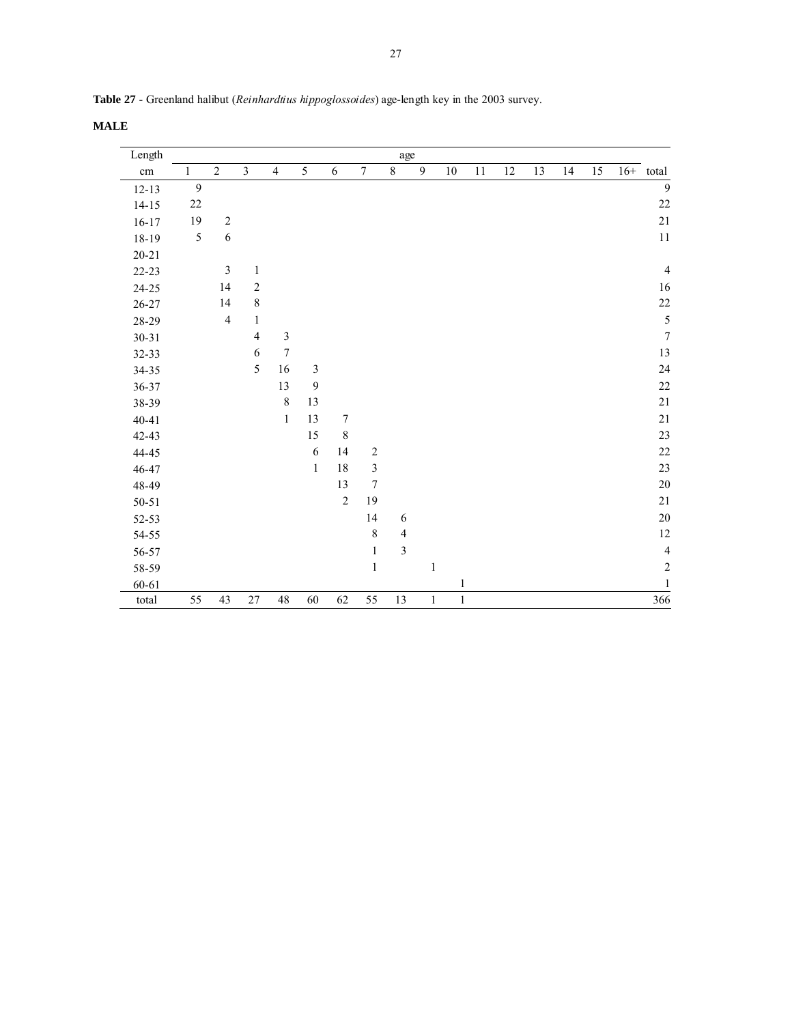| Length    |              |                |                         |                |                |                  |                | age            |              |              |    |    |    |    |    |       |                         |
|-----------|--------------|----------------|-------------------------|----------------|----------------|------------------|----------------|----------------|--------------|--------------|----|----|----|----|----|-------|-------------------------|
| $\rm cm$  | $\mathbf{1}$ | $\overline{c}$ | $\overline{\mathbf{3}}$ | $\overline{4}$ | 5              | 6                | $\tau$         | $\overline{8}$ | 9            | 10           | 11 | 12 | 13 | 14 | 15 | $16+$ | total                   |
| $12 - 13$ | $\mathbf{9}$ |                |                         |                |                |                  |                |                |              |              |    |    |    |    |    |       | 9                       |
| $14 - 15$ | $22\,$       |                |                         |                |                |                  |                |                |              |              |    |    |    |    |    |       | $22\,$                  |
| $16 - 17$ | 19           | $\sqrt{2}$     |                         |                |                |                  |                |                |              |              |    |    |    |    |    |       | $21\,$                  |
| 18-19     | 5            | 6              |                         |                |                |                  |                |                |              |              |    |    |    |    |    |       | $11\,$                  |
| $20 - 21$ |              |                |                         |                |                |                  |                |                |              |              |    |    |    |    |    |       |                         |
| $22 - 23$ |              | $\mathfrak{Z}$ | $\mathbf{1}$            |                |                |                  |                |                |              |              |    |    |    |    |    |       | $\overline{4}$          |
| $24 - 25$ |              | 14             | $\sqrt{2}$              |                |                |                  |                |                |              |              |    |    |    |    |    |       | 16                      |
| $26 - 27$ |              | 14             | $\,8\,$                 |                |                |                  |                |                |              |              |    |    |    |    |    |       | $22\,$                  |
| 28-29     |              | $\overline{4}$ | $\mathbf{1}$            |                |                |                  |                |                |              |              |    |    |    |    |    |       | $\sqrt{5}$              |
| $30 - 31$ |              |                | $\overline{4}$          | $\mathfrak{Z}$ |                |                  |                |                |              |              |    |    |    |    |    |       | $\boldsymbol{7}$        |
| 32-33     |              |                | $\sqrt{6}$              | $\tau$         |                |                  |                |                |              |              |    |    |    |    |    |       | 13                      |
| 34-35     |              |                | 5                       | 16             | $\mathfrak{Z}$ |                  |                |                |              |              |    |    |    |    |    |       | 24                      |
| 36-37     |              |                |                         | 13             | $\mathbf{9}$   |                  |                |                |              |              |    |    |    |    |    |       | $22\,$                  |
| 38-39     |              |                |                         | $\,8\,$        | 13             |                  |                |                |              |              |    |    |    |    |    |       | $21\,$                  |
| $40 - 41$ |              |                |                         | $\mathbf{1}$   | 13             | $\boldsymbol{7}$ |                |                |              |              |    |    |    |    |    |       | $21\,$                  |
| 42-43     |              |                |                         |                | 15             | $\,8\,$          |                |                |              |              |    |    |    |    |    |       | 23                      |
| 44-45     |              |                |                         |                | $\sqrt{6}$     | 14               | $\sqrt{2}$     |                |              |              |    |    |    |    |    |       | 22                      |
| 46-47     |              |                |                         |                | $\mathbf{1}$   | $18\,$           | $\mathfrak{Z}$ |                |              |              |    |    |    |    |    |       | 23                      |
| 48-49     |              |                |                         |                |                | 13               | $\tau$         |                |              |              |    |    |    |    |    |       | $20\,$                  |
| 50-51     |              |                |                         |                |                | $\sqrt{2}$       | 19             |                |              |              |    |    |    |    |    |       | $21\,$                  |
| 52-53     |              |                |                         |                |                |                  | 14             | 6              |              |              |    |    |    |    |    |       | $20\,$                  |
| 54-55     |              |                |                         |                |                |                  | $\,8\,$        | $\overline{4}$ |              |              |    |    |    |    |    |       | $12\,$                  |
| 56-57     |              |                |                         |                |                |                  | $\,1$          | $\mathfrak{Z}$ |              |              |    |    |    |    |    |       | $\overline{\mathbf{4}}$ |
| 58-59     |              |                |                         |                |                |                  | $\,1$          |                | $\mathbf{1}$ |              |    |    |    |    |    |       | $\sqrt{2}$              |
| $60 - 61$ |              |                |                         |                |                |                  |                |                |              | $\mathbf{1}$ |    |    |    |    |    |       | $\mathbf{1}$            |
| total     | 55           | 43             | 27                      | 48             | 60             | 62               | 55             | 13             | $\,1\,$      | $\mathbf{1}$ |    |    |    |    |    |       | 366                     |

**Table 27** - Greenland halibut (*Reinhardtius hippoglossoides*) age-length key in the 2003 survey.

**MALE**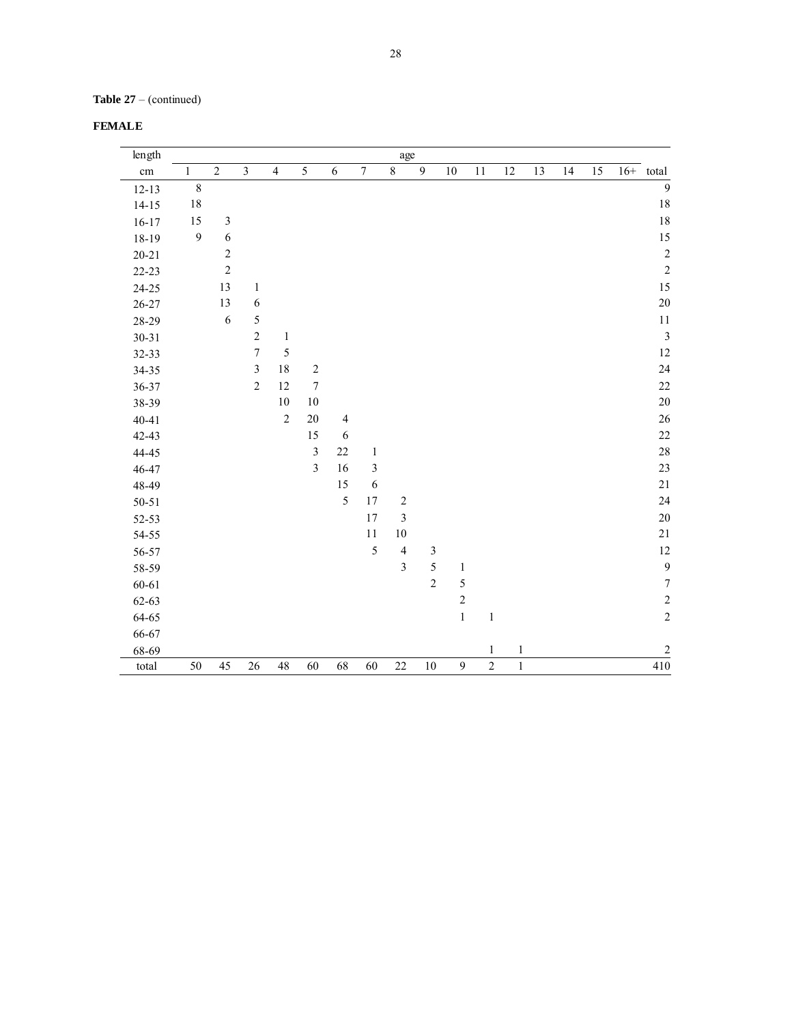| FEMALE |  |  |
|--------|--|--|
|--------|--|--|

| length    |                  |                             |                         |                |                  |                |                  | age                     |                  |                  |                |         |    |    |    |                         |
|-----------|------------------|-----------------------------|-------------------------|----------------|------------------|----------------|------------------|-------------------------|------------------|------------------|----------------|---------|----|----|----|-------------------------|
| cm        | $\mathbf{1}$     | $\sqrt{2}$                  | $\overline{\mathbf{3}}$ | $\overline{4}$ | $\sqrt{5}$       | $\sqrt{6}$     | $\boldsymbol{7}$ | $\overline{8}$          | $\boldsymbol{9}$ | $10\,$           | 11             | $12\,$  | 13 | 14 | 15 | $16+$ total             |
| $12 - 13$ | $\sqrt{8}$       |                             |                         |                |                  |                |                  |                         |                  |                  |                |         |    |    |    | 9                       |
| $14 - 15$ | $18\,$           |                             |                         |                |                  |                |                  |                         |                  |                  |                |         |    |    |    | 18                      |
| $16 - 17$ | 15               | $\ensuremath{\mathfrak{Z}}$ |                         |                |                  |                |                  |                         |                  |                  |                |         |    |    |    | $18\,$                  |
| 18-19     | $\boldsymbol{9}$ | $\sqrt{6}$                  |                         |                |                  |                |                  |                         |                  |                  |                |         |    |    |    | 15                      |
| $20 - 21$ |                  | $\sqrt{2}$                  |                         |                |                  |                |                  |                         |                  |                  |                |         |    |    |    | $\overline{c}$          |
| 22-23     |                  | $\overline{c}$              |                         |                |                  |                |                  |                         |                  |                  |                |         |    |    |    | $\overline{c}$          |
| 24-25     |                  | 13                          | $\,1$                   |                |                  |                |                  |                         |                  |                  |                |         |    |    |    | 15                      |
| 26-27     |                  | 13                          | $\boldsymbol{6}$        |                |                  |                |                  |                         |                  |                  |                |         |    |    |    | 20                      |
| 28-29     |                  | 6                           | 5                       |                |                  |                |                  |                         |                  |                  |                |         |    |    |    | $11\,$                  |
| $30 - 31$ |                  |                             | $\overline{c}$          | $\,1\,$        |                  |                |                  |                         |                  |                  |                |         |    |    |    | $\overline{\mathbf{3}}$ |
| 32-33     |                  |                             | $\boldsymbol{7}$        | 5              |                  |                |                  |                         |                  |                  |                |         |    |    |    | 12                      |
| 34-35     |                  |                             | $\mathfrak{Z}$          | $18\,$         | $\sqrt{2}$       |                |                  |                         |                  |                  |                |         |    |    |    | 24                      |
| 36-37     |                  |                             | $\overline{c}$          | 12             | $\boldsymbol{7}$ |                |                  |                         |                  |                  |                |         |    |    |    | 22                      |
| 38-39     |                  |                             |                         | $10\,$         | $10\,$           |                |                  |                         |                  |                  |                |         |    |    |    | 20                      |
| $40 - 41$ |                  |                             |                         | $\sqrt{2}$     | $20\,$           | $\overline{4}$ |                  |                         |                  |                  |                |         |    |    |    | 26                      |
| 42-43     |                  |                             |                         |                | 15               | $\sqrt{6}$     |                  |                         |                  |                  |                |         |    |    |    | $22\,$                  |
| 44-45     |                  |                             |                         |                | $\mathfrak{Z}$   | 22             | $\,1\,$          |                         |                  |                  |                |         |    |    |    | 28                      |
| 46-47     |                  |                             |                         |                | $\overline{3}$   | 16             | $\sqrt{3}$       |                         |                  |                  |                |         |    |    |    | 23                      |
| 48-49     |                  |                             |                         |                |                  | 15             | $\sqrt{6}$       |                         |                  |                  |                |         |    |    |    | $21\,$                  |
| $50 - 51$ |                  |                             |                         |                |                  | 5              | 17               | $\sqrt{2}$              |                  |                  |                |         |    |    |    | 24                      |
| 52-53     |                  |                             |                         |                |                  |                | 17               | $\overline{\mathbf{3}}$ |                  |                  |                |         |    |    |    | 20                      |
| 54-55     |                  |                             |                         |                |                  |                | 11               | 10                      |                  |                  |                |         |    |    |    | $21\,$                  |
| 56-57     |                  |                             |                         |                |                  |                | 5                | $\sqrt{4}$              | $\mathfrak{Z}$   |                  |                |         |    |    |    | 12                      |
| 58-59     |                  |                             |                         |                |                  |                |                  | $\overline{\mathbf{3}}$ | 5                | $\mathbf{1}$     |                |         |    |    |    | $\overline{9}$          |
| 60-61     |                  |                             |                         |                |                  |                |                  |                         | $\overline{c}$   | $\sqrt{5}$       |                |         |    |    |    | $\boldsymbol{7}$        |
| 62-63     |                  |                             |                         |                |                  |                |                  |                         |                  | $\overline{c}$   |                |         |    |    |    | $\overline{c}$          |
| 64-65     |                  |                             |                         |                |                  |                |                  |                         |                  | $\,1$            | $\,1\,$        |         |    |    |    | $\overline{c}$          |
| 66-67     |                  |                             |                         |                |                  |                |                  |                         |                  |                  |                |         |    |    |    |                         |
| 68-69     |                  |                             |                         |                |                  |                |                  |                         |                  |                  | $\,1$          | $\,1\,$ |    |    |    | $\sqrt{2}$              |
| total     | 50               | 45                          | 26                      | 48             | 60               | 68             | 60               | 22                      | 10               | $\boldsymbol{9}$ | $\overline{2}$ | $\,1$   |    |    |    | $\overline{410}$        |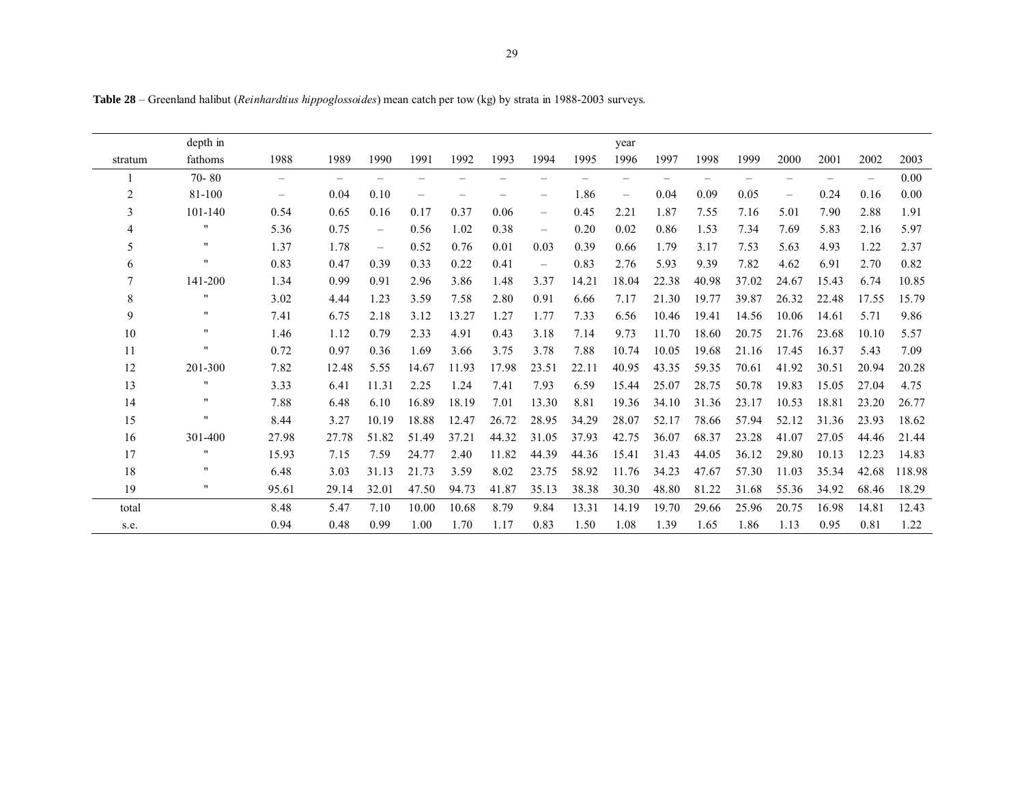**Table 28** – Greenland halibut (*Reinhardtius hippoglossoides*) mean catch per tow (kg) by strata in 1988-2003 surveys.

|                | depth in           |                          |                          |       |                          |       |       |                          |                          | year                            |                          |       |                          |                          |       |       |        |
|----------------|--------------------|--------------------------|--------------------------|-------|--------------------------|-------|-------|--------------------------|--------------------------|---------------------------------|--------------------------|-------|--------------------------|--------------------------|-------|-------|--------|
| stratum        | fathoms            | 1988                     | 1989                     | 1990  | 1991                     | 1992  | 1993  | 1994                     | 1995                     | 1996                            | 1997                     | 1998  | 1999                     | 2000                     | 2001  | 2002  | 2003   |
|                | $70 - 80$          | $\overline{\phantom{0}}$ | $\overline{\phantom{0}}$ |       |                          |       |       | $\overline{\phantom{0}}$ | $\overline{\phantom{0}}$ |                                 | $\overline{\phantom{0}}$ |       | $\overline{\phantom{0}}$ | $\overline{\phantom{0}}$ |       |       | 0.00   |
| $\overline{2}$ | 81-100             | $\qquad \qquad -$        | 0.04                     | 0.10  | $\overline{\phantom{0}}$ |       |       | $\overline{\phantom{0}}$ | 1.86                     | $\overbrace{\phantom{1232211}}$ | 0.04                     | 0.09  | 0.05                     | $\qquad \qquad -$        | 0.24  | 0.16  | 0.00   |
| 3              | 101-140            | 0.54                     | 0.65                     | 0.16  | 0.17                     | 0.37  | 0.06  | $\qquad \qquad -$        | 0.45                     | 2.21                            | 1.87                     | 7.55  | 7.16                     | 5.01                     | 7.90  | 2.88  | 1.91   |
| 4              | 11                 | 5.36                     | 0.75                     | $-$   | 0.56                     | 1.02  | 0.38  | $\overline{\phantom{0}}$ | 0.20                     | 0.02                            | 0.86                     | 1.53  | 7.34                     | 7.69                     | 5.83  | 2.16  | 5.97   |
| 5              | $^{\prime\prime}$  | 1.37                     | 1.78                     | $-$   | 0.52                     | 0.76  | 0.01  | 0.03                     | 0.39                     | 0.66                            | 1.79                     | 3.17  | 7.53                     | 5.63                     | 4.93  | 1.22  | 2.37   |
| 6              | $\pmb{\mathsf{H}}$ | 0.83                     | 0.47                     | 0.39  | 0.33                     | 0.22  | 0.41  | $\qquad \qquad -$        | 0.83                     | 2.76                            | 5.93                     | 9.39  | 7.82                     | 4.62                     | 6.91  | 2.70  | 0.82   |
| 7              | 141-200            | 1.34                     | 0.99                     | 0.91  | 2.96                     | 3.86  | 1.48  | 3.37                     | 14.21                    | 18.04                           | 22.38                    | 40.98 | 37.02                    | 24.67                    | 15.43 | 6.74  | 10.85  |
| 8              | $\pmb{\mathsf{H}}$ | 3.02                     | 4.44                     | 1.23  | 3.59                     | 7.58  | 2.80  | 0.91                     | 6.66                     | 7.17                            | 21.30                    | 19.77 | 39.87                    | 26.32                    | 22.48 | 17.55 | 15.79  |
| 9              | $\pmb{\mathsf{H}}$ | 7.41                     | 6.75                     | 2.18  | 3.12                     | 13.27 | 1.27  | 1.77                     | 7.33                     | 6.56                            | 10.46                    | 19.41 | 14.56                    | 10.06                    | 14.61 | 5.71  | 9.86   |
| 10             | $^{\bullet}$       | 1.46                     | 1.12                     | 0.79  | 2.33                     | 4.91  | 0.43  | 3.18                     | 7.14                     | 9.73                            | 11.70                    | 18.60 | 20.75                    | 21.76                    | 23.68 | 10.10 | 5.57   |
| 11             | $\pmb{\mathsf{H}}$ | 0.72                     | 0.97                     | 0.36  | 1.69                     | 3.66  | 3.75  | 3.78                     | 7.88                     | 10.74                           | 10.05                    | 19.68 | 21.16                    | 17.45                    | 16.37 | 5.43  | 7.09   |
| 12             | 201-300            | 7.82                     | 12.48                    | 5.55  | 14.67                    | 11.93 | 17.98 | 23.51                    | 22.11                    | 40.95                           | 43.35                    | 59.35 | 70.61                    | 41.92                    | 30.51 | 20.94 | 20.28  |
| 13             | 11                 | 3.33                     | 6.41                     | 11.31 | 2.25                     | 1.24  | 7.41  | 7.93                     | 6.59                     | 15.44                           | 25.07                    | 28.75 | 50.78                    | 19.83                    | 15.05 | 27.04 | 4.75   |
| 14             | $\pmb{\cdots}$     | 7.88                     | 6.48                     | 6.10  | 16.89                    | 18.19 | 7.01  | 13.30                    | 8.81                     | 19.36                           | 34.10                    | 31.36 | 23.17                    | 10.53                    | 18.81 | 23.20 | 26.77  |
| 15             | $\pmb{\mathsf{H}}$ | 8.44                     | 3.27                     | 10.19 | 18.88                    | 12.47 | 26.72 | 28.95                    | 34.29                    | 28.07                           | 52.17                    | 78.66 | 57.94                    | 52.12                    | 31.36 | 23.93 | 18.62  |
| 16             | 301-400            | 27.98                    | 27.78                    | 51.82 | 51.49                    | 37.21 | 44.32 | 31.05                    | 37.93                    | 42.75                           | 36.07                    | 68.37 | 23.28                    | 41.07                    | 27.05 | 44.46 | 21.44  |
| 17             | $\pmb{\mathsf{H}}$ | 15.93                    | 7.15                     | 7.59  | 24.77                    | 2.40  | 11.82 | 44.39                    | 44.36                    | 15.41                           | 31.43                    | 44.05 | 36.12                    | 29.80                    | 10.13 | 12.23 | 14.83  |
| 18             | $\pmb{\cdots}$     | 6.48                     | 3.03                     | 31.13 | 21.73                    | 3.59  | 8.02  | 23.75                    | 58.92                    | 11.76                           | 34.23                    | 47.67 | 57.30                    | 11.03                    | 35.34 | 42.68 | 118.98 |
| 19             | $\pmb{\cdots}$     | 95.61                    | 29.14                    | 32.01 | 47.50                    | 94.73 | 41.87 | 35.13                    | 38.38                    | 30.30                           | 48.80                    | 81.22 | 31.68                    | 55.36                    | 34.92 | 68.46 | 18.29  |
| total          |                    | 8.48                     | 5.47                     | 7.10  | 10.00                    | 10.68 | 8.79  | 9.84                     | 13.31                    | 14.19                           | 19.70                    | 29.66 | 25.96                    | 20.75                    | 16.98 | 14.81 | 12.43  |
| s.e.           |                    | 0.94                     | 0.48                     | 0.99  | 1.00                     | 1.70  | 1.17  | 0.83                     | 1.50                     | 1.08                            | 1.39                     | 1.65  | 1.86                     | 1.13                     | 0.95  | 0.81  | 1.22   |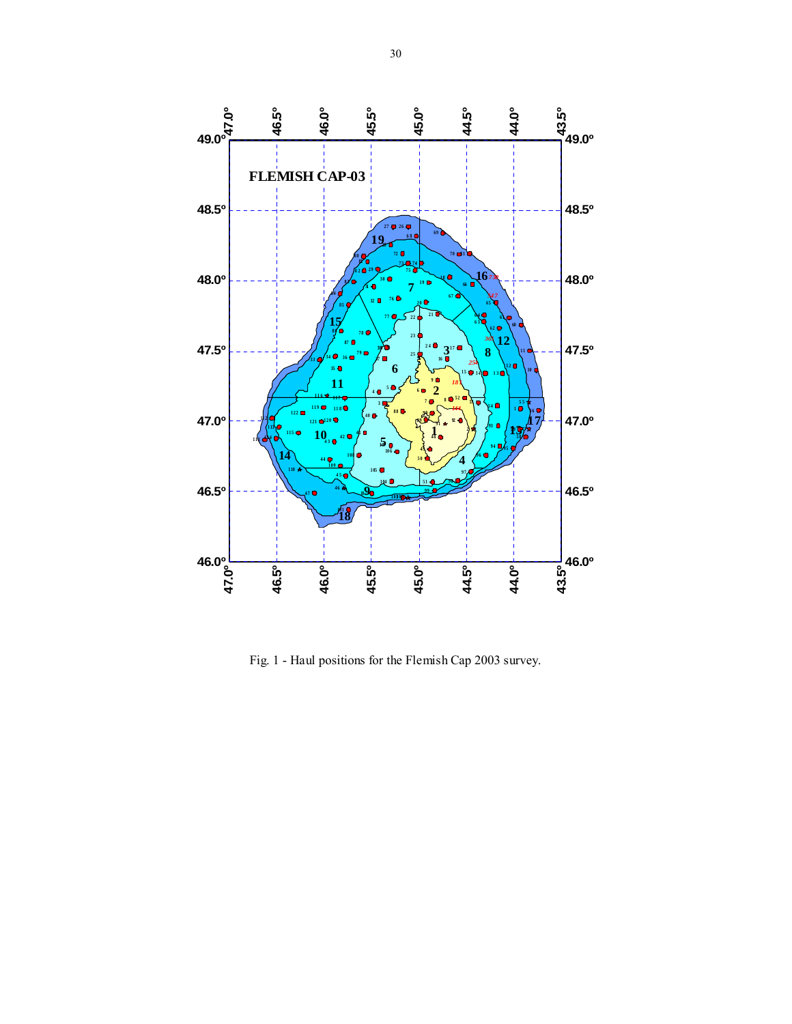

Fig. 1 - Haul positions for the Flemish Cap 2003 survey.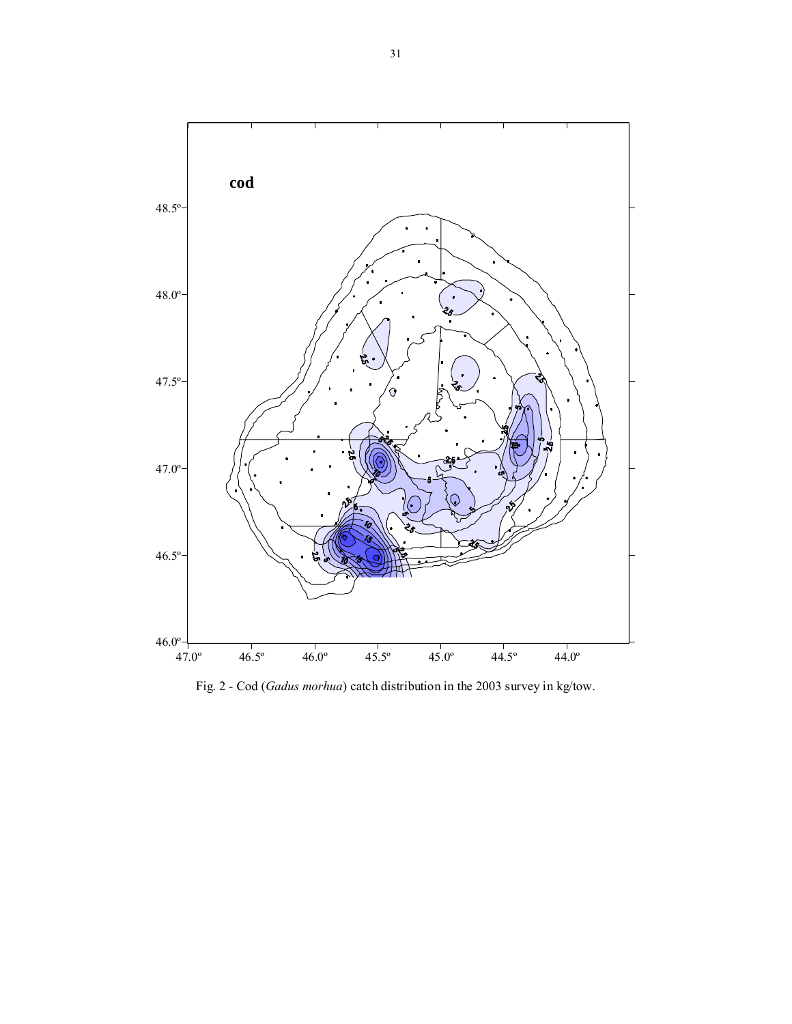

Fig. 2 - Cod (*Gadus morhua*) catch distribution in the 2003 survey in kg/tow.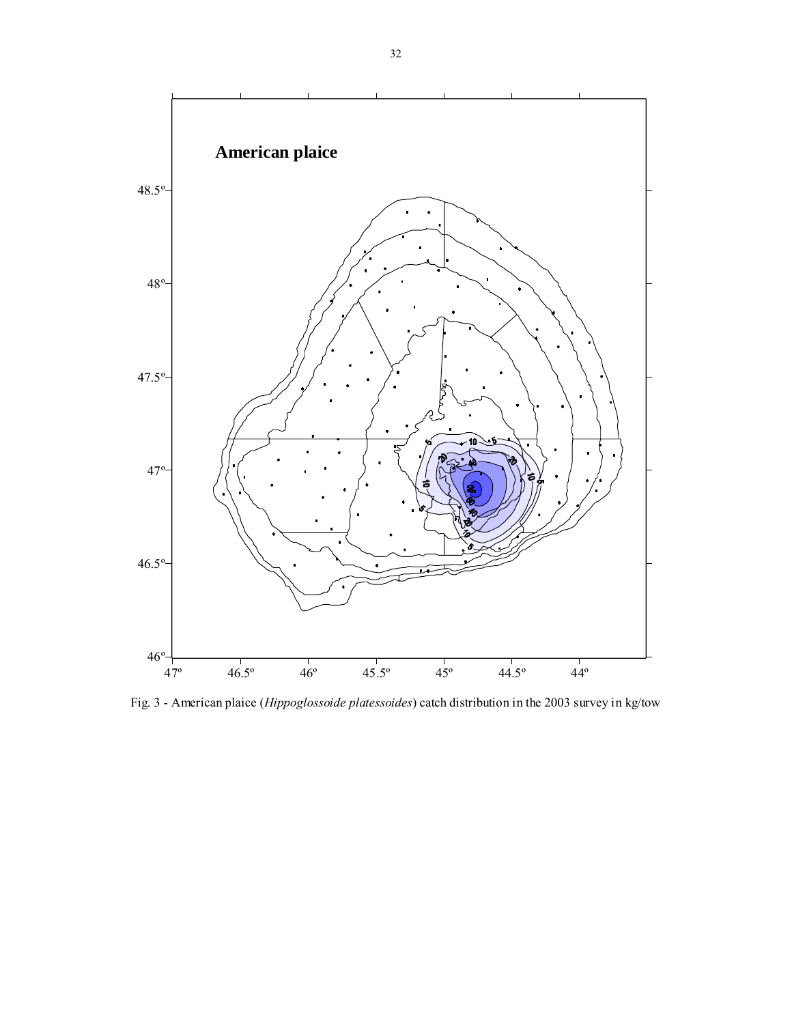

Fig. 3 - American plaice (*Hippoglossoide platessoides*) catch distribution in the 2003 survey in kg/tow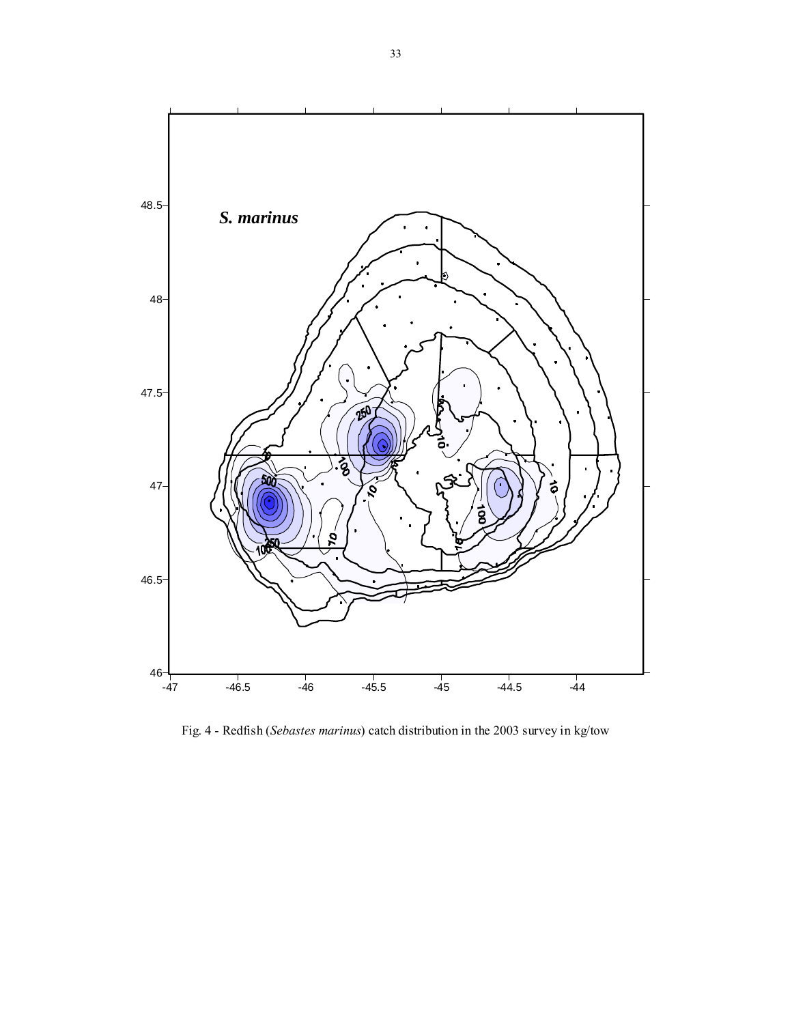

Fig. 4 - Redfish (*Sebastes marinus*) catch distribution in the 2003 survey in kg/tow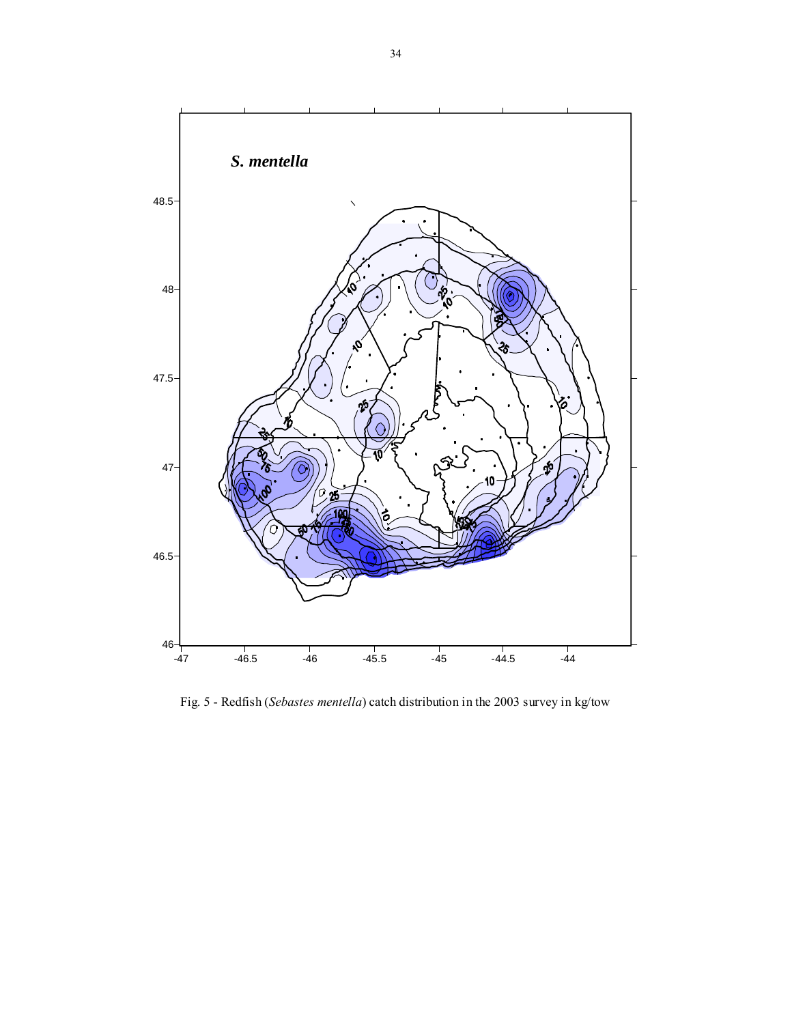

Fig. 5 - Redfish (*Sebastes mentella*) catch distribution in the 2003 survey in kg/tow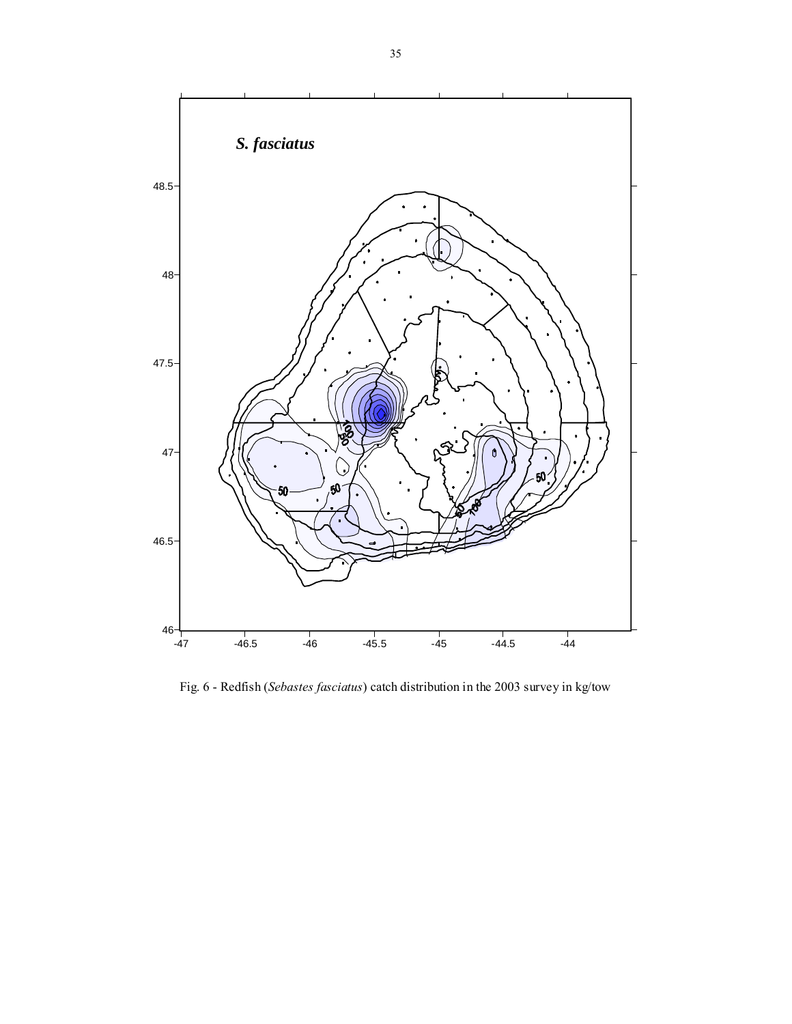

Fig. 6 - Redfish (*Sebastes fasciatus*) catch distribution in the 2003 survey in kg/tow